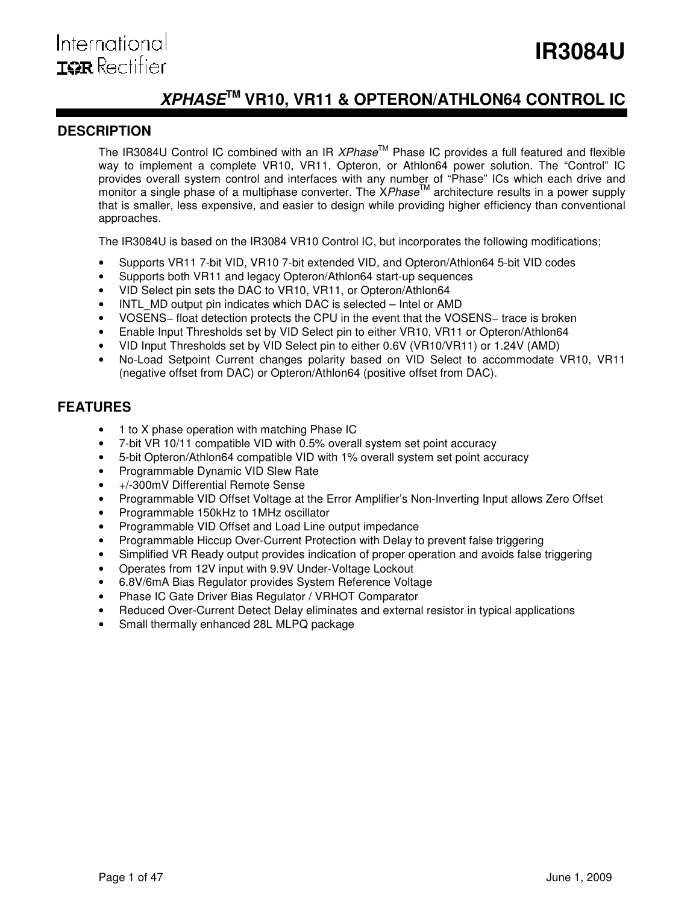# **XPHASETM VR10, VR11 & OPTERON/ATHLON64 CONTROL IC**

# **DESCRIPTION**

The IR3084U Control IC combined with an IR  $XPhase^{TM}$  Phase IC provides a full featured and flexible way to implement a complete VR10, VR11, Opteron, or Athlon64 power solution. The "Control" IC provides overall system control and interfaces with any number of "Phase" ICs which each drive and monitor a single phase of a multiphase converter. The XPhase<sup>TM</sup> architecture results in a power supply monitor as ingle phase of a multiphase converter. The XPhase<sup>TM</sup> architecture results in a power supply that is smaller, less expensive, and easier to design while providing higher efficiency than conventional approaches.

The IR3084U is based on the IR3084 VR10 Control IC, but incorporates the following modifications;

- Supports VR11 7-bit VID, VR10 7-bit extended VID, and Opteron/Athlon64 5-bit VID codes
- Supports both VR11 and legacy Opteron/Athlon64 start-up sequences
- VID Select pin sets the DAC to VR10, VR11, or Opteron/Athlon64
- INTL\_MD output pin indicates which DAC is selected Intel or AMD
- VOSENS− float detection protects the CPU in the event that the VOSENS− trace is broken
- Enable Input Thresholds set by VID Select pin to either VR10, VR11 or Opteron/Athlon64
- VID Input Thresholds set by VID Select pin to either 0.6V (VR10/VR11) or 1.24V (AMD)
- No-Load Setpoint Current changes polarity based on VID Select to accommodate VR10, VR11 (negative offset from DAC) or Opteron/Athlon64 (positive offset from DAC).

# **FEATURES**

- 1 to X phase operation with matching Phase IC
- 7-bit VR 10/11 compatible VID with 0.5% overall system set point accuracy
- 5-bit Opteron/Athlon64 compatible VID with 1% overall system set point accuracy
- Programmable Dynamic VID Slew Rate
- +/-300mV Differential Remote Sense
- Programmable VID Offset Voltage at the Error Amplifier's Non-Inverting Input allows Zero Offset
- Programmable 150kHz to 1MHz oscillator
- Programmable VID Offset and Load Line output impedance
- Programmable Hiccup Over-Current Protection with Delay to prevent false triggering
- Simplified VR Ready output provides indication of proper operation and avoids false triggering
- Operates from 12V input with 9.9V Under-Voltage Lockout
- 6.8V/6mA Bias Regulator provides System Reference Voltage
- Phase IC Gate Driver Bias Regulator / VRHOT Comparator
- Reduced Over-Current Detect Delay eliminates and external resistor in typical applications
- Small thermally enhanced 28L MLPQ package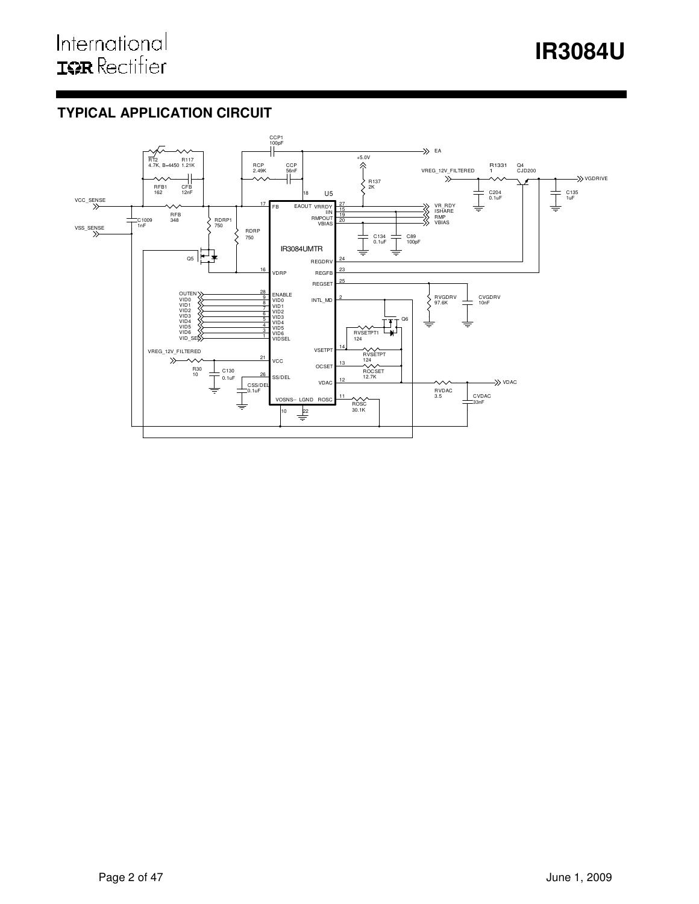# **TYPICAL APPLICATION CIRCUIT**

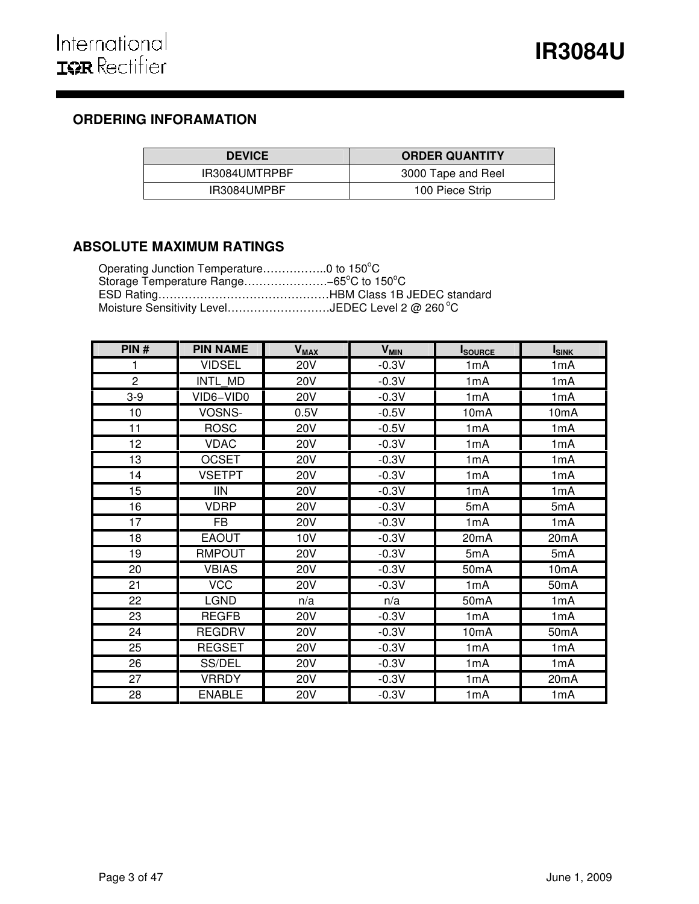# **ORDERING INFORAMATION**

| <b>DEVICE</b> | <b>ORDER QUANTITY</b> |
|---------------|-----------------------|
| IR3084UMTRPBF | 3000 Tape and Reel    |
| IR3084UMPBF   | 100 Piece Strip       |

# **ABSOLUTE MAXIMUM RATINGS**

| Operating Junction Temperature0 to 150°C                      |  |
|---------------------------------------------------------------|--|
| Storage Temperature Range-65 $^{\circ}$ C to 150 $^{\circ}$ C |  |
|                                                               |  |
| Moisture Sensitivity LevelJEDEC Level 2 @ 260 °C              |  |

| PIN#           | <b>PIN NAME</b> | <b>V<sub>MAX</sub></b> | <b>V<sub>MIN</sub></b> | <b>I</b> SOURCE   | <b>ISINK</b>      |
|----------------|-----------------|------------------------|------------------------|-------------------|-------------------|
| 1              | <b>VIDSEL</b>   | <b>20V</b>             | $-0.3V$                | 1mA               | 1mA               |
| $\overline{2}$ | INTL MD         | <b>20V</b>             | $-0.3V$                | 1mA               | 1mA               |
| $3-9$          | VID6-VID0       | <b>20V</b>             | $-0.3V$                | 1mA               | 1mA               |
| 10             | VOSNS-          | 0.5V                   | $-0.5V$                | 10 <sub>m</sub> A | 10 <sub>m</sub> A |
| 11             | <b>ROSC</b>     | <b>20V</b>             | $-0.5V$                | 1mA               | 1mA               |
| 12             | <b>VDAC</b>     | <b>20V</b>             | $-0.3V$                | 1mA               | 1mA               |
| 13             | <b>OCSET</b>    | <b>20V</b>             | $-0.3V$                | 1mA               | 1mA               |
| 14             | <b>VSETPT</b>   | <b>20V</b>             | $-0.3V$                | 1mA               | 1mA               |
| 15             | <b>IIN</b>      | <b>20V</b>             | $-0.3V$                | 1mA               | 1mA               |
| 16             | <b>VDRP</b>     | <b>20V</b>             | $-0.3V$                | 5mA               | 5mA               |
| 17             | <b>FB</b>       | <b>20V</b>             | $-0.3V$                | 1mA               | 1mA               |
| 18             | <b>EAOUT</b>    | 10V                    | $-0.3V$                | 20mA              | 20mA              |
| 19             | <b>RMPOUT</b>   | <b>20V</b>             | $-0.3V$                | 5mA               | 5mA               |
| 20             | <b>VBIAS</b>    | <b>20V</b>             | $-0.3V$                | 50 <sub>m</sub> A | 10mA              |
| 21             | <b>VCC</b>      | <b>20V</b>             | $-0.3V$                | 1mA               | 50 <sub>m</sub> A |
| 22             | <b>LGND</b>     | n/a                    | n/a                    | 50mA              | 1mA               |
| 23             | <b>REGFB</b>    | <b>20V</b>             | $-0.3V$                | 1mA               | 1mA               |
| 24             | <b>REGDRV</b>   | <b>20V</b>             | $-0.3V$                | 10mA              | 50mA              |
| 25             | <b>REGSET</b>   | <b>20V</b>             | $-0.3V$                | 1mA               | 1mA               |
| 26             | SS/DEL          | <b>20V</b>             | $-0.3V$                | 1mA               | 1mA               |
| 27             | <b>VRRDY</b>    | <b>20V</b>             | $-0.3V$                | 1mA               | 20mA              |
| 28             | <b>ENABLE</b>   | <b>20V</b>             | $-0.3V$                | 1mA               | 1mA               |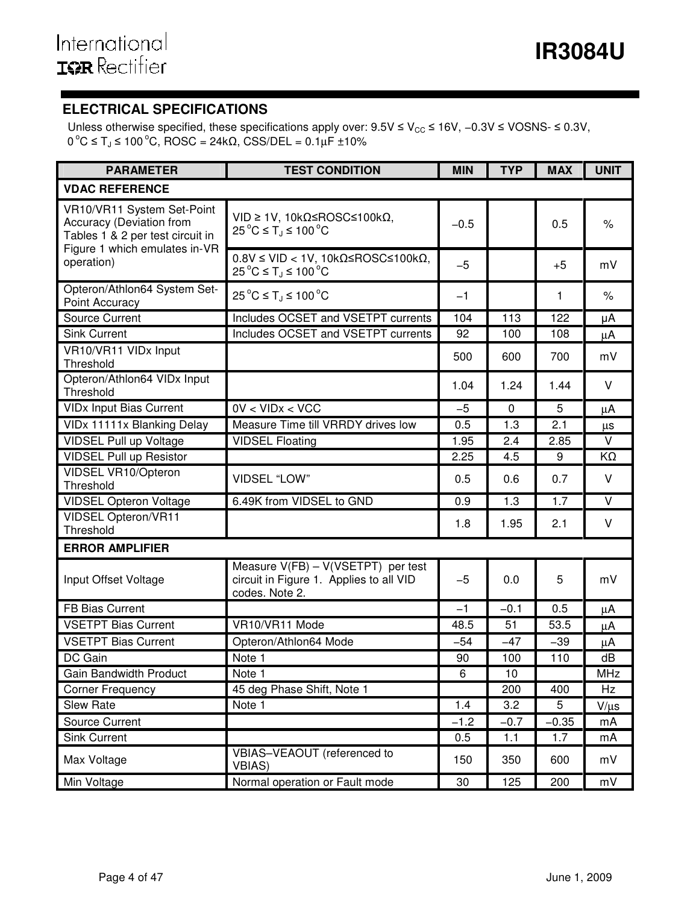# **ELECTRICAL SPECIFICATIONS**

Unless otherwise specified, these specifications apply over:  $9.5V \leq V_{CC} \leq 16V$ , –0.3V ≤ VOSNS- ≤ 0.3V,  $0 °C$  ≤ T<sub>J</sub> ≤ 100 °C, ROSC = 24kΩ, CSS/DEL = 0.1μF ±10%

| <b>PARAMETER</b>                                                                                  | <b>TEST CONDITION</b>                                                                             | <b>MIN</b> | <b>TYP</b> | <b>MAX</b> | <b>UNIT</b> |
|---------------------------------------------------------------------------------------------------|---------------------------------------------------------------------------------------------------|------------|------------|------------|-------------|
| <b>VDAC REFERENCE</b>                                                                             |                                                                                                   |            |            |            |             |
| VR10/VR11 System Set-Point<br><b>Accuracy (Deviation from</b><br>Tables 1 & 2 per test circuit in | $VID ≥ 1V$ , 10kΩ≤ROSC≤100kΩ,<br>$25^{\circ}$ C $\leq$ T <sub>i</sub> $\leq$ 100 °C               | $-0.5$     |            | 0.5        | $\%$        |
| Figure 1 which emulates in-VR<br>operation)                                                       | $0.8V \leq VID < 1V$ , 10kΩ≤ROSC≤100kΩ,<br>$25^{\circ}$ C ≤ T <sub>J</sub> ≤ 100 °C               | $-5$       |            | $+5$       | mV          |
| Opteron/Athlon64 System Set-<br>Point Accuracy                                                    | $25^{\circ}$ C ≤ T <sub>J</sub> ≤ 100 °C                                                          | $-1$       |            | 1          | $\%$        |
| <b>Source Current</b>                                                                             | Includes OCSET and VSETPT currents                                                                | 104        | 113        | 122        | μA          |
| <b>Sink Current</b>                                                                               | Includes OCSET and VSETPT currents                                                                | 92         | 100        | 108        | μA          |
| VR10/VR11 VIDx Input<br>Threshold                                                                 |                                                                                                   | 500        | 600        | 700        | mV          |
| Opteron/Athlon64 VIDx Input<br>Threshold                                                          |                                                                                                   | 1.04       | 1.24       | 1.44       | $\vee$      |
| <b>VIDx Input Bias Current</b>                                                                    | 0V < VIDx < VCC                                                                                   | $-5$       | $\Omega$   | 5          | μA          |
| VIDx 11111x Blanking Delay                                                                        | Measure Time till VRRDY drives low                                                                | 0.5        | 1.3        | 2.1        | μs          |
| <b>VIDSEL Pull up Voltage</b>                                                                     | <b>VIDSEL Floating</b>                                                                            | 1.95       | 2.4        | 2.85       | V           |
| <b>VIDSEL Pull up Resistor</b>                                                                    |                                                                                                   | 2.25       | 4.5        | 9          | KΩ          |
| VIDSEL VR10/Opteron<br>Threshold                                                                  | <b>VIDSEL "LOW"</b>                                                                               | 0.5        | 0.6        | 0.7        | $\vee$      |
| <b>VIDSEL Opteron Voltage</b>                                                                     | 6.49K from VIDSEL to GND                                                                          | 0.9        | 1.3        | 1.7        | $\vee$      |
| <b>VIDSEL Opteron/VR11</b><br>Threshold                                                           |                                                                                                   | 1.8        | 1.95       | 2.1        | $\vee$      |
| <b>ERROR AMPLIFIER</b>                                                                            |                                                                                                   |            |            |            |             |
| Input Offset Voltage                                                                              | Measure $V(FB) - V(VSETPT)$ per test<br>circuit in Figure 1. Applies to all VID<br>codes. Note 2. | $-5$       | 0.0        | 5          | mV          |
| <b>FB Bias Current</b>                                                                            |                                                                                                   | $-1$       | $-0.1$     | 0.5        | μA          |
| <b>VSETPT Bias Current</b>                                                                        | VR10/VR11 Mode                                                                                    | 48.5       | 51         | 53.5       | μA          |
| <b>VSETPT Bias Current</b>                                                                        | Opteron/Athlon64 Mode                                                                             | $-54$      | $-47$      | $-39$      | μA          |
| DC Gain                                                                                           | Note 1                                                                                            | 90         | 100        | 110        | dB          |
| Gain Bandwidth Product                                                                            | Note 1                                                                                            | 6          | 10         |            | <b>MHz</b>  |
| <b>Corner Frequency</b>                                                                           | 45 deg Phase Shift, Note 1                                                                        |            | 200        | 400        | Hz          |
| <b>Slew Rate</b>                                                                                  | Note 1                                                                                            | 1.4        | 3.2        | 5          | $V/\mu s$   |
| Source Current                                                                                    |                                                                                                   | $-1.2$     | $-0.7$     | $-0.35$    | mA          |
| <b>Sink Current</b>                                                                               |                                                                                                   | 0.5        | 1.1        | 1.7        | mA          |
| Max Voltage                                                                                       | VBIAS-VEAOUT (referenced to<br><b>VBIAS)</b>                                                      | 150        | 350        | 600        | mV          |
| Min Voltage                                                                                       | Normal operation or Fault mode                                                                    | 30         | 125        | 200        | mV          |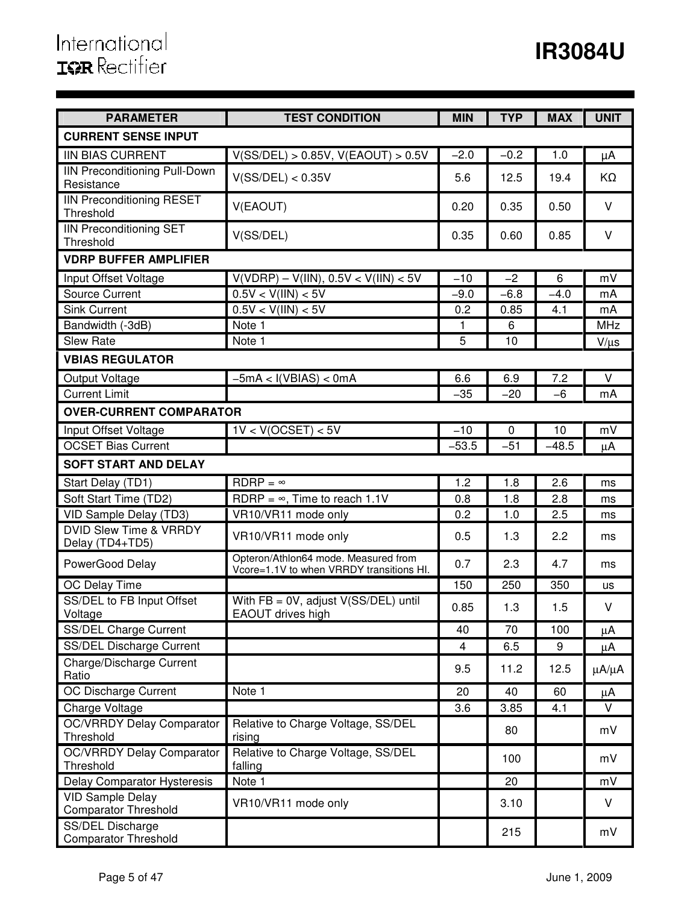| <b>PARAMETER</b>                                       | <b>TEST CONDITION</b>                                                            | <b>MIN</b> | <b>TYP</b> | <b>MAX</b> | <b>UNIT</b>   |
|--------------------------------------------------------|----------------------------------------------------------------------------------|------------|------------|------------|---------------|
| <b>CURRENT SENSE INPUT</b>                             |                                                                                  |            |            |            |               |
| <b>IIN BIAS CURRENT</b>                                | V(SS/DEL) > 0.85V, V(EAOUT) > 0.5V                                               | $-2.0$     | $-0.2$     | 1.0        | μA            |
| <b>IIN Preconditioning Pull-Down</b><br>Resistance     | V(SS/DEL) < 0.35V                                                                | 5.6        | 12.5       | 19.4       | KΩ            |
| <b>IIN Preconditioning RESET</b><br>Threshold          | V(EAOUT)                                                                         | 0.20       | 0.35       | 0.50       | V             |
| <b>IIN Preconditioning SET</b><br>Threshold            | V(SS/DEL)                                                                        | 0.35       | 0.60       | 0.85       | $\vee$        |
| <b>VDRP BUFFER AMPLIFIER</b>                           |                                                                                  |            |            |            |               |
| Input Offset Voltage                                   | $V(VDRP) - V(IIN), 0.5V < V(IIN) < 5V$                                           | $-10$      | $-2$       | 6          | mV            |
| <b>Source Current</b>                                  | 0.5V < V(III) < 5V                                                               | $-9.0$     | $-6.8$     | $-4.0$     | mA            |
| <b>Sink Current</b>                                    | 0.5V < V(III) < 5V                                                               | 0.2        | 0.85       | 4.1        | mA            |
| Bandwidth (-3dB)                                       | Note 1                                                                           | 1          | 6          |            | <b>MHz</b>    |
| <b>Slew Rate</b>                                       | $\overline{\text{Note}}$ 1                                                       | 5          | 10         |            | $V/\mu s$     |
| <b>VBIAS REGULATOR</b>                                 |                                                                                  |            |            |            |               |
| Output Voltage                                         | $-5mA < I(VBIAS) < 0mA$                                                          | 6.6        | 6.9        | 7.2        | $\vee$        |
| <b>Current Limit</b>                                   |                                                                                  | $-35$      | $-20$      | -6         | mA            |
| <b>OVER-CURRENT COMPARATOR</b>                         |                                                                                  |            |            |            |               |
| Input Offset Voltage                                   | 1V < V(OCSET) < 5V                                                               | $-10$      | 0          | 10         | mV            |
| <b>OCSET Bias Current</b>                              |                                                                                  | $-53.5$    | $-51$      | $-48.5$    | μA            |
| <b>SOFT START AND DELAY</b>                            |                                                                                  |            |            |            |               |
| Start Delay (TD1)                                      | $RDRP = \infty$                                                                  | 1.2        | 1.8        | 2.6        | ms            |
| Soft Start Time (TD2)                                  | RDRP = $\infty$ , Time to reach 1.1V                                             | 0.8        | 1.8        | 2.8        | ms            |
| VID Sample Delay (TD3)                                 | VR10/VR11 mode only                                                              | 0.2        | 1.0        | 2.5        | ms            |
| <b>DVID Slew Time &amp; VRRDY</b>                      | VR10/VR11 mode only                                                              | 0.5        | 1.3        | 2.2        | ms            |
| Delay (TD4+TD5)<br>PowerGood Delay                     | Opteron/Athlon64 mode. Measured from<br>Vcore=1.1V to when VRRDY transitions HI. | 0.7        | 2.3        | 4.7        | ms            |
| OC Delay Time                                          |                                                                                  | 150        | 250        | 350        | us            |
| SS/DEL to FB Input Offset                              | With $FB = 0V$ , adjust $V(SS/DEL)$ until                                        |            |            |            |               |
| Voltage                                                | EAOUT drives high                                                                | 0.85       | 1.3        | 1.5        | V             |
| SS/DEL Charge Current                                  |                                                                                  | 40         | 70         | 100        | μA            |
| SS/DEL Discharge Current                               |                                                                                  | 4          | 6.5        | 9          | μA            |
| Charge/Discharge Current<br>Ratio                      |                                                                                  | 9.5        | 11.2       | 12.5       | $\mu A/\mu A$ |
| OC Discharge Current                                   | Note 1                                                                           | 20         | 40         | 60         | $\mu$ A       |
| Charge Voltage                                         |                                                                                  | 3.6        | 3.85       | 4.1        | V             |
| <b>OC/VRRDY Delay Comparator</b><br>Threshold          | Relative to Charge Voltage, SS/DEL<br>rising                                     |            | 80         |            | mV            |
| <b>OC/VRRDY Delay Comparator</b><br>Threshold          | Relative to Charge Voltage, SS/DEL<br>falling                                    |            | 100        |            | mV            |
| Delay Comparator Hysteresis                            | Note 1                                                                           |            | 20         |            | mV            |
| <b>VID Sample Delay</b><br><b>Comparator Threshold</b> | VR10/VR11 mode only                                                              |            | 3.10       |            | V             |
| SS/DEL Discharge<br><b>Comparator Threshold</b>        |                                                                                  |            | 215        |            | mV            |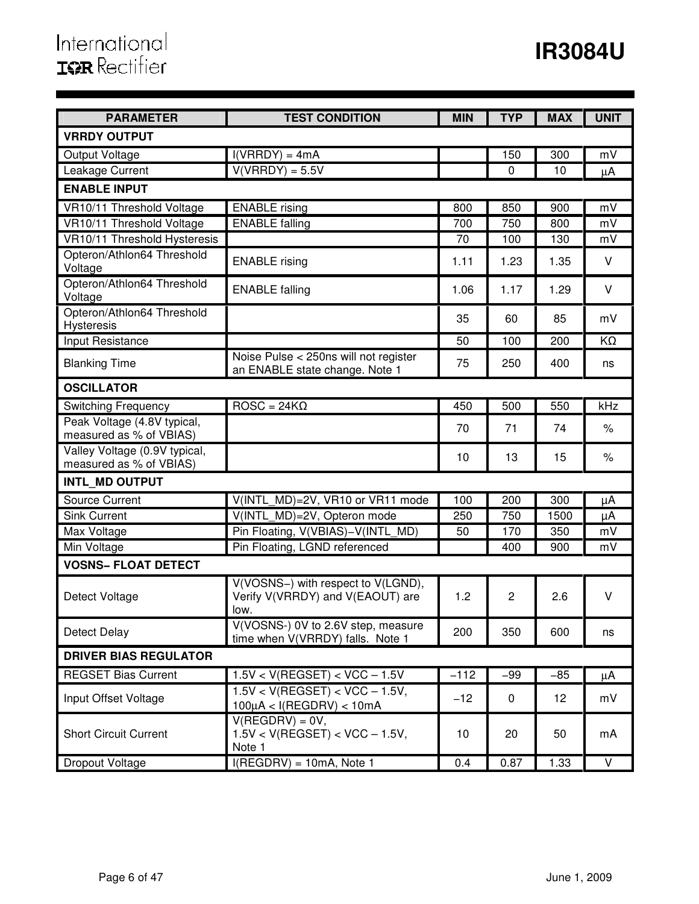| <b>PARAMETER</b>                                         | <b>TEST CONDITION</b>                                                          | <b>MIN</b> | <b>TYP</b>       | <b>MAX</b> | <b>UNIT</b>     |
|----------------------------------------------------------|--------------------------------------------------------------------------------|------------|------------------|------------|-----------------|
| <b>VRRDY OUTPUT</b>                                      |                                                                                |            |                  |            |                 |
| Output Voltage                                           | $I(VRRDY) = 4mA$                                                               |            | 150              | 300        | mV              |
| Leakage Current                                          | $V(VRRDY) = 5.5V$                                                              |            | 0                | 10         | μA              |
| <b>ENABLE INPUT</b>                                      |                                                                                |            |                  |            |                 |
| VR10/11 Threshold Voltage                                | <b>ENABLE</b> rising                                                           | 800        | 850              | 900        | mV              |
| VR10/11 Threshold Voltage                                | <b>ENABLE</b> falling                                                          | 700        | 750              | 800        | mV              |
| VR10/11 Threshold Hysteresis                             |                                                                                | 70         | 100              | 130        | mV              |
| Opteron/Athlon64 Threshold<br>Voltage                    | <b>ENABLE</b> rising                                                           | 1.11       | 1.23             | 1.35       | $\vee$          |
| Opteron/Athlon64 Threshold<br>Voltage                    | <b>ENABLE</b> falling                                                          | 1.06       | 1.17             | 1.29       | $\vee$          |
| Opteron/Athlon64 Threshold<br><b>Hysteresis</b>          |                                                                                | 35         | 60               | 85         | mV              |
| <b>Input Resistance</b>                                  |                                                                                | 50         | $\overline{100}$ | 200        | $\overline{KO}$ |
| <b>Blanking Time</b>                                     | Noise Pulse < 250ns will not register<br>an ENABLE state change. Note 1        | 75         | 250              | 400        | ns              |
| <b>OSCILLATOR</b>                                        |                                                                                |            |                  |            |                 |
| <b>Switching Frequency</b>                               | $\overline{ROSC} = 24K\Omega$                                                  | 450        | 500              | 550        | kHz             |
| Peak Voltage (4.8V typical,<br>measured as % of VBIAS)   |                                                                                | 70         | 71               | 74         | $\%$            |
| Valley Voltage (0.9V typical,<br>measured as % of VBIAS) |                                                                                | 10         | 13               | 15         | $\%$            |
| INTL MD OUTPUT                                           |                                                                                |            |                  |            |                 |
| <b>Source Current</b>                                    | V(INTL MD)=2V, VR10 or VR11 mode                                               | 100        | 200              | 300        | μA              |
| <b>Sink Current</b>                                      | V(INTL MD)=2V, Opteron mode                                                    | 250        | 750              | 1500       | μA              |
| Max Voltage                                              | Pin Floating, V(VBIAS)-V(INTL_MD)                                              | 50         | 170              | 350        | mV              |
| Min Voltage                                              | Pin Floating, LGND referenced                                                  |            | 400              | 900        | mV              |
| <b>VOSNS- FLOAT DETECT</b>                               |                                                                                |            |                  |            |                 |
| Detect Voltage                                           | V(VOSNS-) with respect to V(LGND),<br>Verify V(VRRDY) and V(EAOUT) are<br>low. | 1.2        | $\overline{2}$   | 2.6        | $\vee$          |
| Detect Delay                                             | V(VOSNS-) 0V to 2.6V step, measure<br>time when V(VRRDY) falls. Note 1         | 200        | 350              | 600        | ns              |
| <b>DRIVER BIAS REGULATOR</b>                             |                                                                                |            |                  |            |                 |
| <b>REGSET Bias Current</b>                               | $1.5V < V(REGSET) < VCC - 1.5V$                                                | $-112$     | $-99$            | $-85$      | $\mu$ A         |
| Input Offset Voltage                                     | $1.5V < V(REGSET) < VCC - 1.5V$<br>$100\mu$ A < I(REGDRV) < $10mA$             | $-12$      | $\mathbf 0$      | 12         | mV              |
| <b>Short Circuit Current</b>                             | $V(REGDRV) = 0V,$<br>$1.5V < V(REGSET) < VCC - 1.5V$ ,<br>Note 1               | 10         | 20               | 50         | mA              |
| Dropout Voltage                                          | $I(REGDRV) = 10mA$ , Note 1                                                    | 0.4        | 0.87             | 1.33       | $\vee$          |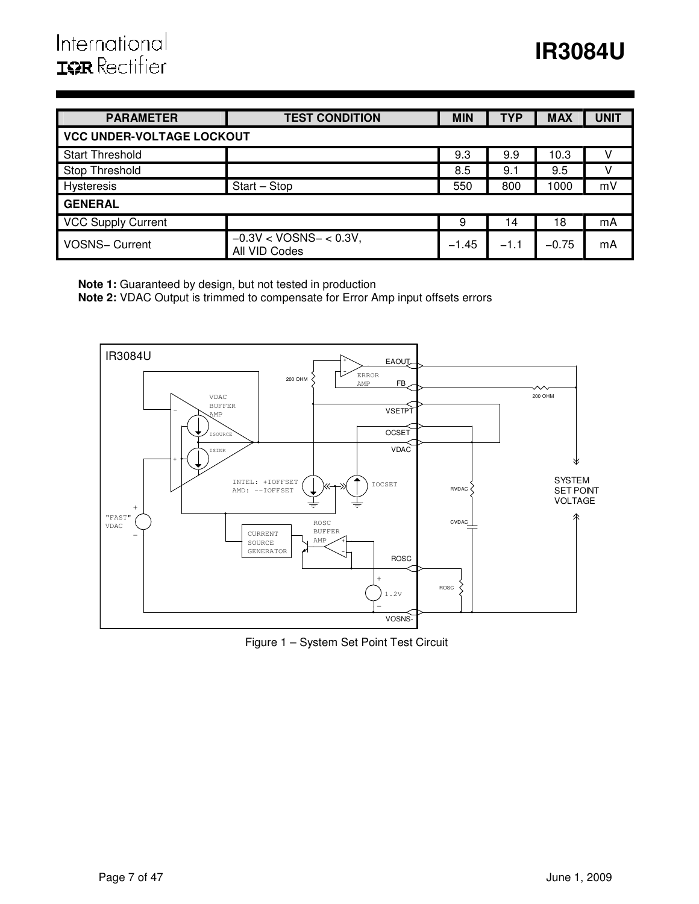# International **ISR** Rectifier

| <b>PARAMETER</b>                 | <b>TEST CONDITION</b>                     | <b>MIN</b> | <b>TYP</b> | <b>MAX</b> | <b>UNIT</b> |  |  |  |  |
|----------------------------------|-------------------------------------------|------------|------------|------------|-------------|--|--|--|--|
| <b>VCC UNDER-VOLTAGE LOCKOUT</b> |                                           |            |            |            |             |  |  |  |  |
| <b>Start Threshold</b>           |                                           | 9.3        | 9.9        | 10.3       |             |  |  |  |  |
| <b>Stop Threshold</b>            |                                           | 8.5        | 9.1        | 9.5        |             |  |  |  |  |
| Hysteresis                       | $Start - Stop$                            | 550        | 800        | 1000       | mV          |  |  |  |  |
| <b>GENERAL</b>                   |                                           |            |            |            |             |  |  |  |  |
| <b>VCC Supply Current</b>        |                                           | 9          | 14         | 18         | mA          |  |  |  |  |
| VOSNS- Current                   | $-0.3V < VOSNS - < 0.3V$<br>All VID Codes | $-1.45$    | $-1.1$     | $-0.75$    | mA          |  |  |  |  |

**Note 1:** Guaranteed by design, but not tested in production

**Note 2:** VDAC Output is trimmed to compensate for Error Amp input offsets errors



Figure 1 – System Set Point Test Circuit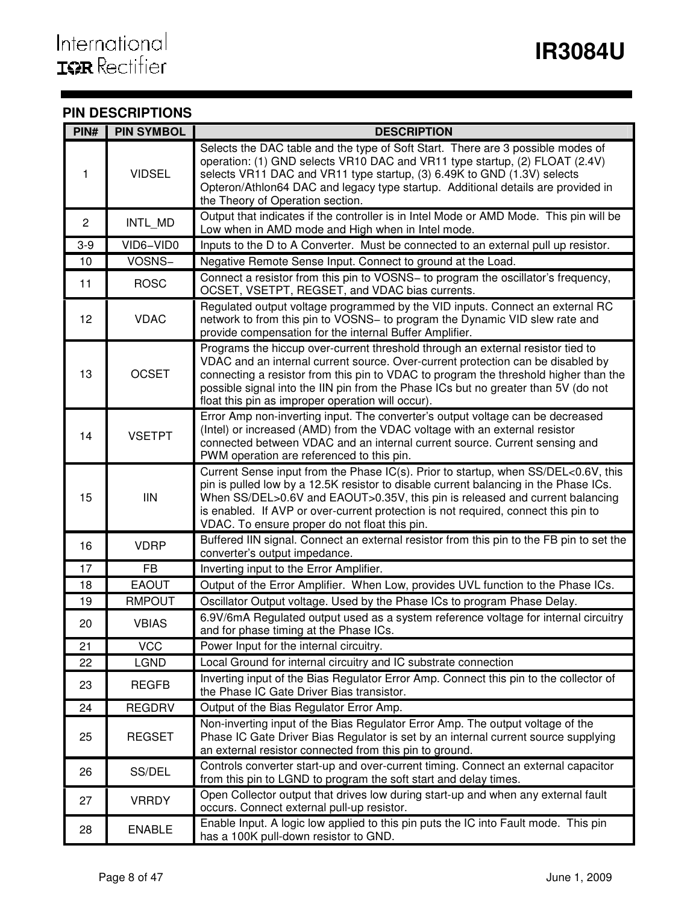# **PIN DESCRIPTIONS**

| PIN#            | <b>PIN SYMBOL</b> | <b>DESCRIPTION</b>                                                                                                                                                                                                                                                                                                                                                                                    |
|-----------------|-------------------|-------------------------------------------------------------------------------------------------------------------------------------------------------------------------------------------------------------------------------------------------------------------------------------------------------------------------------------------------------------------------------------------------------|
| 1               | <b>VIDSEL</b>     | Selects the DAC table and the type of Soft Start. There are 3 possible modes of<br>operation: (1) GND selects VR10 DAC and VR11 type startup, (2) FLOAT (2.4V)<br>selects VR11 DAC and VR11 type startup, (3) 6.49K to GND (1.3V) selects<br>Opteron/Athlon64 DAC and legacy type startup. Additional details are provided in<br>the Theory of Operation section.                                     |
| $\mathbf{2}$    | INTL_MD           | Output that indicates if the controller is in Intel Mode or AMD Mode. This pin will be<br>Low when in AMD mode and High when in Intel mode.                                                                                                                                                                                                                                                           |
| $3-9$           | VID6-VID0         | Inputs to the D to A Converter. Must be connected to an external pull up resistor.                                                                                                                                                                                                                                                                                                                    |
| 10              | VOSNS-            | Negative Remote Sense Input. Connect to ground at the Load.                                                                                                                                                                                                                                                                                                                                           |
| 11              | <b>ROSC</b>       | Connect a resistor from this pin to VOSNS- to program the oscillator's frequency,<br>OCSET, VSETPT, REGSET, and VDAC bias currents.                                                                                                                                                                                                                                                                   |
| 12 <sub>2</sub> | <b>VDAC</b>       | Regulated output voltage programmed by the VID inputs. Connect an external RC<br>network to from this pin to VOSNS- to program the Dynamic VID slew rate and<br>provide compensation for the internal Buffer Amplifier.                                                                                                                                                                               |
| 13              | <b>OCSET</b>      | Programs the hiccup over-current threshold through an external resistor tied to<br>VDAC and an internal current source. Over-current protection can be disabled by<br>connecting a resistor from this pin to VDAC to program the threshold higher than the<br>possible signal into the IIN pin from the Phase ICs but no greater than 5V (do not<br>float this pin as improper operation will occur). |
| 14              | <b>VSETPT</b>     | Error Amp non-inverting input. The converter's output voltage can be decreased<br>(Intel) or increased (AMD) from the VDAC voltage with an external resistor<br>connected between VDAC and an internal current source. Current sensing and<br>PWM operation are referenced to this pin.                                                                                                               |
| 15              | III               | Current Sense input from the Phase IC(s). Prior to startup, when SS/DEL<0.6V, this<br>pin is pulled low by a 12.5K resistor to disable current balancing in the Phase ICs.<br>When SS/DEL>0.6V and EAOUT>0.35V, this pin is released and current balancing<br>is enabled. If AVP or over-current protection is not required, connect this pin to<br>VDAC. To ensure proper do not float this pin.     |
| 16              | <b>VDRP</b>       | Buffered IIN signal. Connect an external resistor from this pin to the FB pin to set the<br>converter's output impedance.                                                                                                                                                                                                                                                                             |
| 17              | <b>FB</b>         | Inverting input to the Error Amplifier.                                                                                                                                                                                                                                                                                                                                                               |
| 18              | <b>EAOUT</b>      | Output of the Error Amplifier. When Low, provides UVL function to the Phase ICs.                                                                                                                                                                                                                                                                                                                      |
| 19              | <b>RMPOUT</b>     | Oscillator Output voltage. Used by the Phase ICs to program Phase Delay.                                                                                                                                                                                                                                                                                                                              |
| 20              | <b>VBIAS</b>      | 6.9V/6mA Regulated output used as a system reference voltage for internal circuitry<br>and for phase timing at the Phase ICs.                                                                                                                                                                                                                                                                         |
| 21              | <b>VCC</b>        | Power Input for the internal circuitry.                                                                                                                                                                                                                                                                                                                                                               |
| 22              | <b>LGND</b>       | Local Ground for internal circuitry and IC substrate connection                                                                                                                                                                                                                                                                                                                                       |
| 23              | <b>REGFB</b>      | Inverting input of the Bias Regulator Error Amp. Connect this pin to the collector of<br>the Phase IC Gate Driver Bias transistor.                                                                                                                                                                                                                                                                    |
| 24              | <b>REGDRV</b>     | Output of the Bias Regulator Error Amp.                                                                                                                                                                                                                                                                                                                                                               |
| 25              | <b>REGSET</b>     | Non-inverting input of the Bias Regulator Error Amp. The output voltage of the<br>Phase IC Gate Driver Bias Regulator is set by an internal current source supplying<br>an external resistor connected from this pin to ground.                                                                                                                                                                       |
| 26              | SS/DEL            | Controls converter start-up and over-current timing. Connect an external capacitor<br>from this pin to LGND to program the soft start and delay times.                                                                                                                                                                                                                                                |
| 27              | <b>VRRDY</b>      | Open Collector output that drives low during start-up and when any external fault<br>occurs. Connect external pull-up resistor.                                                                                                                                                                                                                                                                       |
| 28              | <b>ENABLE</b>     | Enable Input. A logic low applied to this pin puts the IC into Fault mode. This pin<br>has a 100K pull-down resistor to GND.                                                                                                                                                                                                                                                                          |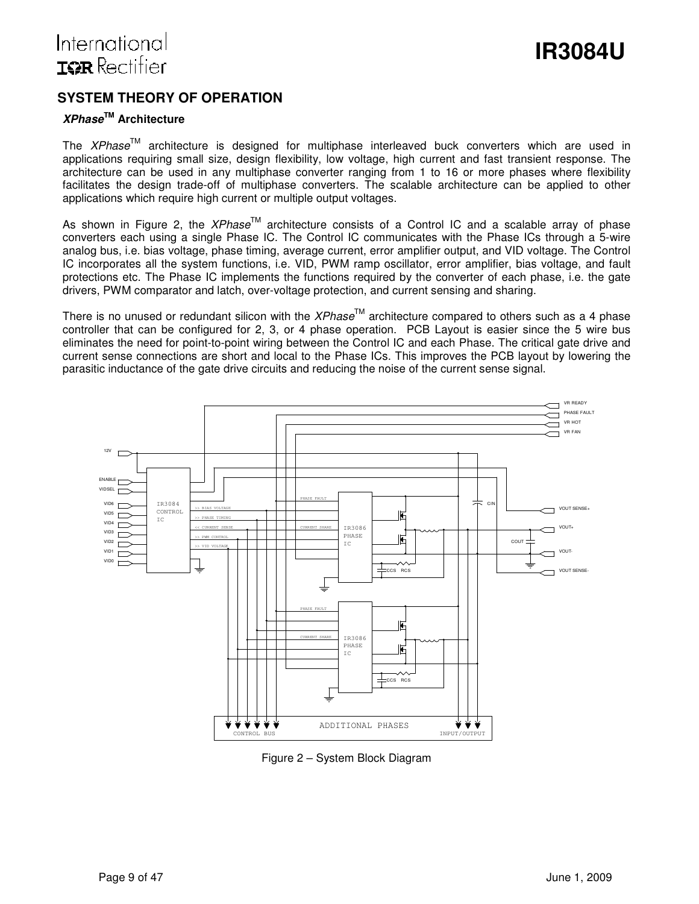# International **ISR** Rectifier

# **SYSTEM THEORY OF OPERATION**

# **XPhaseTM Architecture**

The  $XPhase^{TM}$  architecture is designed for multiphase interleaved buck converters which are used in applications requiring small size, design flexibility, low voltage, high current and fast transient response. The architecture can be used in any multiphase converter ranging from 1 to 16 or more phases where flexibility facilitates the design trade-off of multiphase converters. The scalable architecture can be applied to other applications which require high current or multiple output voltages.

As shown in Figure 2, the  $XPhase^{\text{TM}}$  architecture consists of a Control IC and a scalable array of phase converters each using a single Phase IC. The Control IC communicates with the Phase ICs through a 5-wire analog bus, i.e. bias voltage, phase timing, average current, error amplifier output, and VID voltage. The Control IC incorporates all the system functions, i.e. VID, PWM ramp oscillator, error amplifier, bias voltage, and fault protections etc. The Phase IC implements the functions required by the converter of each phase, i.e. the gate drivers, PWM comparator and latch, over-voltage protection, and current sensing and sharing.

There is no unused or redundant silicon with the XPhase<sup>TM</sup> architecture compared to others such as a 4 phase controller that can be configured for 2, 3, or 4 phase operation. PCB Layout is easier since the 5 wire bus eliminates the need for point-to-point wiring between the Control IC and each Phase. The critical gate drive and current sense connections are short and local to the Phase ICs. This improves the PCB layout by lowering the parasitic inductance of the gate drive circuits and reducing the noise of the current sense signal.



Figure 2 – System Block Diagram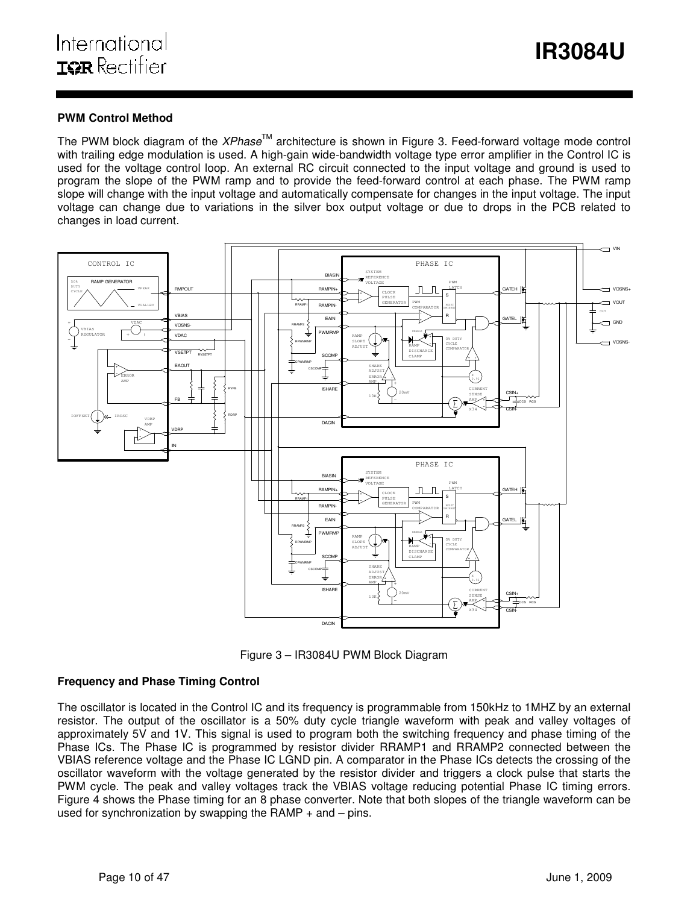### **PWM Control Method**

The PWM block diagram of the  $XPhase<sup>TM</sup>$  architecture is shown in Figure 3. Feed-forward voltage mode control with trailing edge modulation is used. A high-gain wide-bandwidth voltage type error amplifier in the Control IC is used for the voltage control loop. An external RC circuit connected to the input voltage and ground is used to program the slope of the PWM ramp and to provide the feed-forward control at each phase. The PWM ramp slope will change with the input voltage and automatically compensate for changes in the input voltage. The input voltage can change due to variations in the silver box output voltage or due to drops in the PCB related to changes in load current.



Figure 3 – IR3084U PWM Block Diagram

# **Frequency and Phase Timing Control**

The oscillator is located in the Control IC and its frequency is programmable from 150kHz to 1MHZ by an external resistor. The output of the oscillator is a 50% duty cycle triangle waveform with peak and valley voltages of approximately 5V and 1V. This signal is used to program both the switching frequency and phase timing of the Phase ICs. The Phase IC is programmed by resistor divider RRAMP1 and RRAMP2 connected between the VBIAS reference voltage and the Phase IC LGND pin. A comparator in the Phase ICs detects the crossing of the oscillator waveform with the voltage generated by the resistor divider and triggers a clock pulse that starts the PWM cycle. The peak and valley voltages track the VBIAS voltage reducing potential Phase IC timing errors. Figure 4 shows the Phase timing for an 8 phase converter. Note that both slopes of the triangle waveform can be used for synchronization by swapping the RAMP  $+$  and  $-$  pins.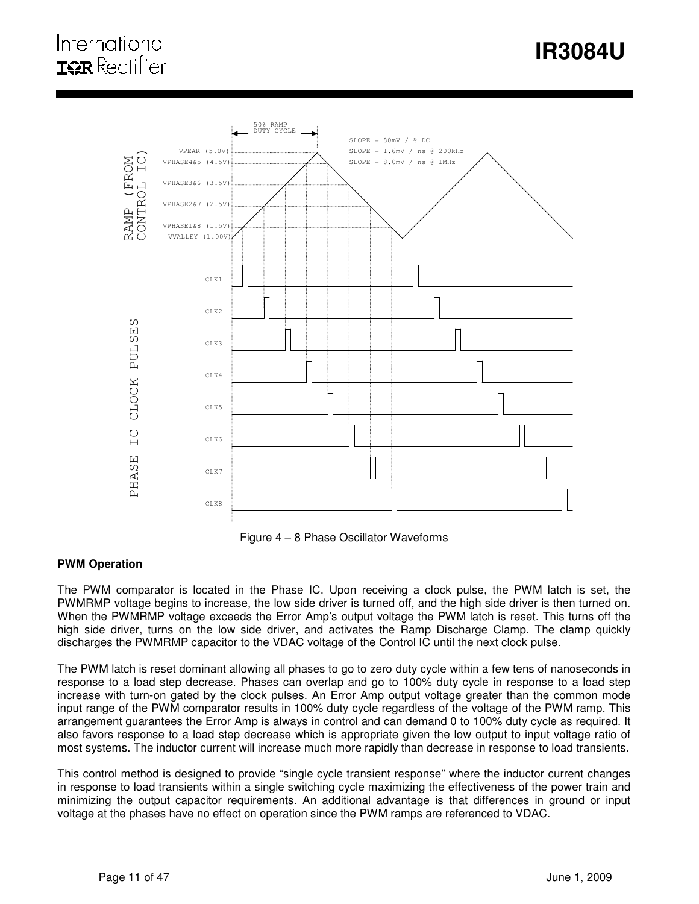# **IR3084U**

# International **IOR** Rectifier



Figure 4 – 8 Phase Oscillator Waveforms

### **PWM Operation**

The PWM comparator is located in the Phase IC. Upon receiving a clock pulse, the PWM latch is set, the PWMRMP voltage begins to increase, the low side driver is turned off, and the high side driver is then turned on. When the PWMRMP voltage exceeds the Error Amp's output voltage the PWM latch is reset. This turns off the high side driver, turns on the low side driver, and activates the Ramp Discharge Clamp. The clamp quickly discharges the PWMRMP capacitor to the VDAC voltage of the Control IC until the next clock pulse.

The PWM latch is reset dominant allowing all phases to go to zero duty cycle within a few tens of nanoseconds in response to a load step decrease. Phases can overlap and go to 100% duty cycle in response to a load step increase with turn-on gated by the clock pulses. An Error Amp output voltage greater than the common mode input range of the PWM comparator results in 100% duty cycle regardless of the voltage of the PWM ramp. This arrangement guarantees the Error Amp is always in control and can demand 0 to 100% duty cycle as required. It also favors response to a load step decrease which is appropriate given the low output to input voltage ratio of most systems. The inductor current will increase much more rapidly than decrease in response to load transients.

This control method is designed to provide "single cycle transient response" where the inductor current changes in response to load transients within a single switching cycle maximizing the effectiveness of the power train and minimizing the output capacitor requirements. An additional advantage is that differences in ground or input voltage at the phases have no effect on operation since the PWM ramps are referenced to VDAC.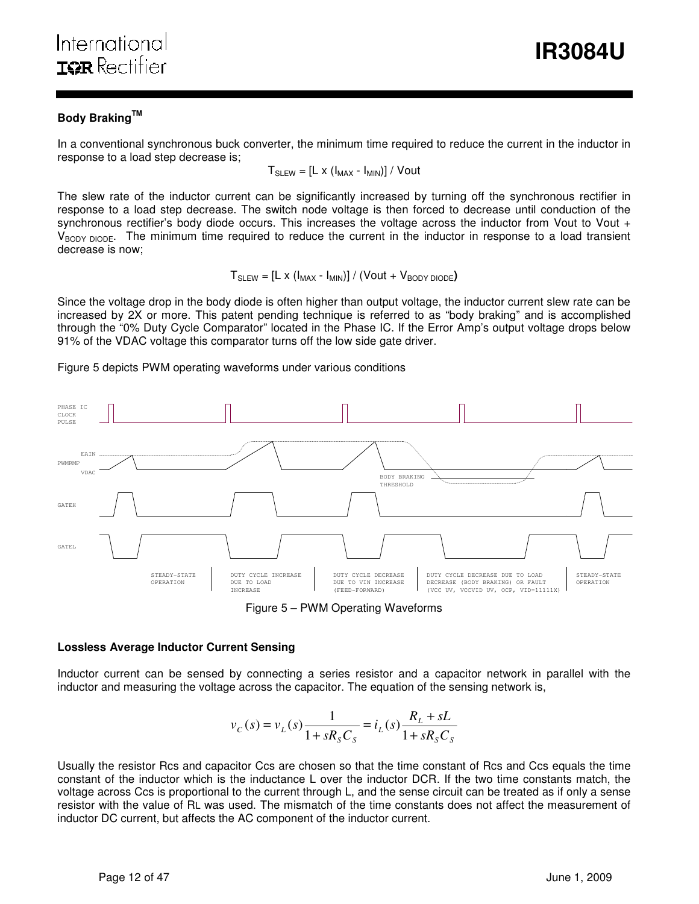# **Body BrakingTM**

In a conventional synchronous buck converter, the minimum time required to reduce the current in the inductor in response to a load step decrease is;

ı

$$
T_{SLEW} = [L \times (I_{MAX} - I_{MIN})] / Vout
$$

The slew rate of the inductor current can be significantly increased by turning off the synchronous rectifier in response to a load step decrease. The switch node voltage is then forced to decrease until conduction of the synchronous rectifier's body diode occurs. This increases the voltage across the inductor from Vout to Vout + V<sub>BODY DIODE</sub>. The minimum time required to reduce the current in the inductor in response to a load transient decrease is now;

$$
T_{SLEW} = [L \times (I_{MAX} - I_{MIN})] / (Vout + V_{BODY DIODE})
$$

Since the voltage drop in the body diode is often higher than output voltage, the inductor current slew rate can be increased by 2X or more. This patent pending technique is referred to as "body braking" and is accomplished through the "0% Duty Cycle Comparator" located in the Phase IC. If the Error Amp's output voltage drops below 91% of the VDAC voltage this comparator turns off the low side gate driver.

Figure 5 depicts PWM operating waveforms under various conditions



Figure 5 – PWM Operating Waveforms

### **Lossless Average Inductor Current Sensing**

Inductor current can be sensed by connecting a series resistor and a capacitor network in parallel with the inductor and measuring the voltage across the capacitor. The equation of the sensing network is,

$$
v_C(s) = v_L(s) \frac{1}{1 + sR_sC_s} = i_L(s) \frac{R_L + sL}{1 + sR_sC_s}
$$

Usually the resistor Rcs and capacitor Ccs are chosen so that the time constant of Rcs and Ccs equals the time constant of the inductor which is the inductance L over the inductor DCR. If the two time constants match, the voltage across Ccs is proportional to the current through L, and the sense circuit can be treated as if only a sense resistor with the value of RL was used. The mismatch of the time constants does not affect the measurement of inductor DC current, but affects the AC component of the inductor current.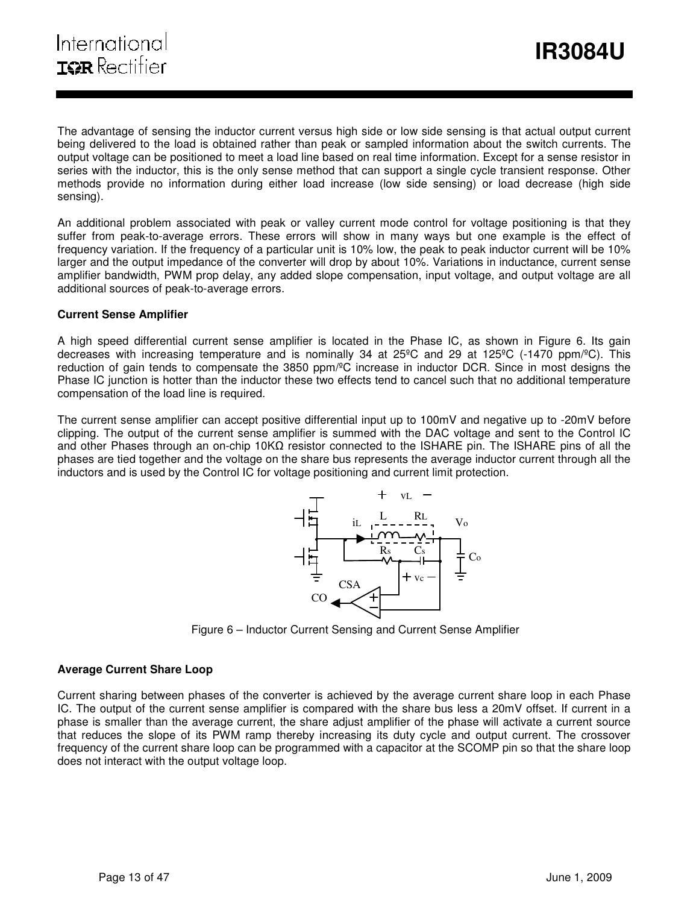The advantage of sensing the inductor current versus high side or low side sensing is that actual output current being delivered to the load is obtained rather than peak or sampled information about the switch currents. The output voltage can be positioned to meet a load line based on real time information. Except for a sense resistor in series with the inductor, this is the only sense method that can support a single cycle transient response. Other methods provide no information during either load increase (low side sensing) or load decrease (high side sensing).

ı

An additional problem associated with peak or valley current mode control for voltage positioning is that they suffer from peak-to-average errors. These errors will show in many ways but one example is the effect of frequency variation. If the frequency of a particular unit is 10% low, the peak to peak inductor current will be 10% larger and the output impedance of the converter will drop by about 10%. Variations in inductance, current sense amplifier bandwidth, PWM prop delay, any added slope compensation, input voltage, and output voltage are all additional sources of peak-to-average errors.

### **Current Sense Amplifier**

A high speed differential current sense amplifier is located in the Phase IC, as shown in Figure 6. Its gain decreases with increasing temperature and is nominally 34 at 25<sup>o</sup>C and 29 at 125<sup>o</sup>C (-1470 ppm/<sup>o</sup>C). This reduction of gain tends to compensate the 3850 ppm/ºC increase in inductor DCR. Since in most designs the Phase IC junction is hotter than the inductor these two effects tend to cancel such that no additional temperature compensation of the load line is required.

The current sense amplifier can accept positive differential input up to 100mV and negative up to -20mV before clipping. The output of the current sense amplifier is summed with the DAC voltage and sent to the Control IC and other Phases through an on-chip 10KΩ resistor connected to the ISHARE pin. The ISHARE pins of all the phases are tied together and the voltage on the share bus represents the average inductor current through all the inductors and is used by the Control IC for voltage positioning and current limit protection.



Figure 6 – Inductor Current Sensing and Current Sense Amplifier

# **Average Current Share Loop**

Current sharing between phases of the converter is achieved by the average current share loop in each Phase IC. The output of the current sense amplifier is compared with the share bus less a 20mV offset. If current in a phase is smaller than the average current, the share adjust amplifier of the phase will activate a current source that reduces the slope of its PWM ramp thereby increasing its duty cycle and output current. The crossover frequency of the current share loop can be programmed with a capacitor at the SCOMP pin so that the share loop does not interact with the output voltage loop.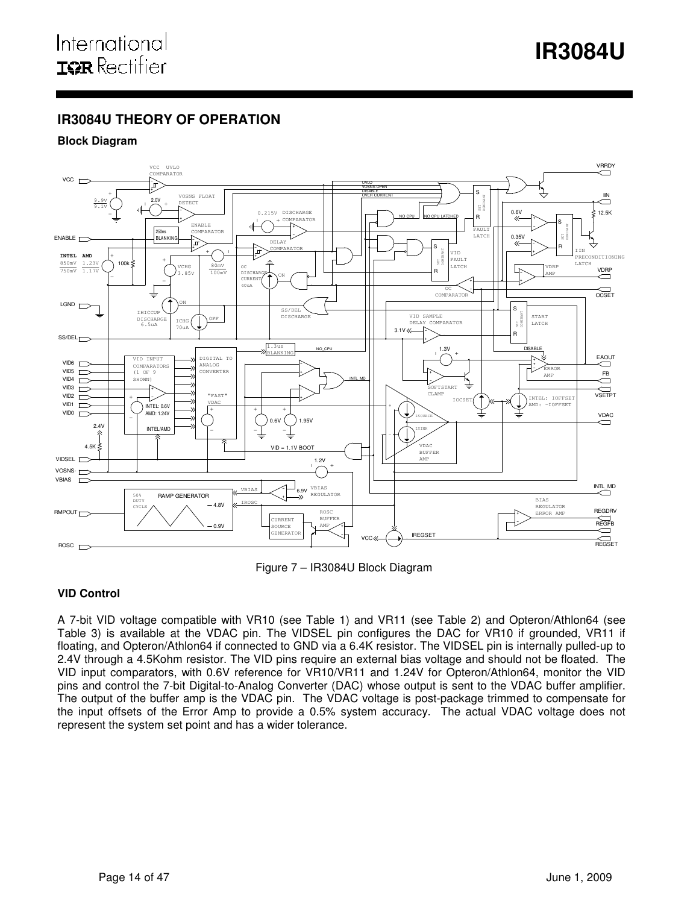# **IR3084U THEORY OF OPERATION**

# **Block Diagram**



ı

Figure 7 – IR3084U Block Diagram

# **VID Control**

A 7-bit VID voltage compatible with VR10 (see Table 1) and VR11 (see Table 2) and Opteron/Athlon64 (see Table 3) is available at the VDAC pin. The VIDSEL pin configures the DAC for VR10 if grounded, VR11 if floating, and Opteron/Athlon64 if connected to GND via a 6.4K resistor. The VIDSEL pin is internally pulled-up to 2.4V through a 4.5Kohm resistor. The VID pins require an external bias voltage and should not be floated. The VID input comparators, with 0.6V reference for VR10/VR11 and 1.24V for Opteron/Athlon64, monitor the VID pins and control the 7-bit Digital-to-Analog Converter (DAC) whose output is sent to the VDAC buffer amplifier. The output of the buffer amp is the VDAC pin. The VDAC voltage is post-package trimmed to compensate for the input offsets of the Error Amp to provide a 0.5% system accuracy. The actual VDAC voltage does not represent the system set point and has a wider tolerance.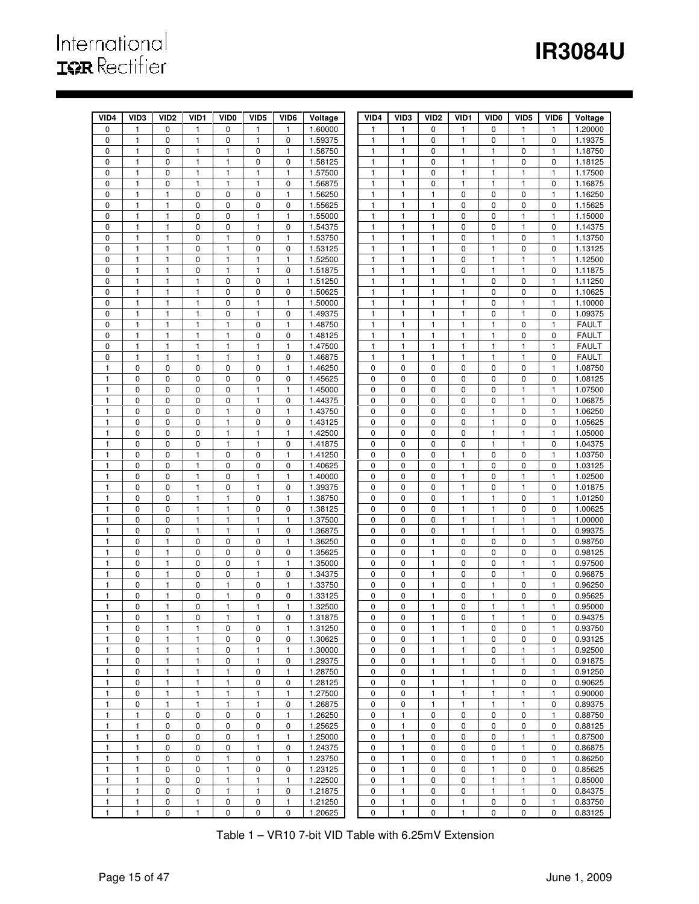# **IR3084U**

# International<br>**IGR** Rectifier

| VID4         | VID <sub>3</sub>             | VID <sub>2</sub>  | VID1              | VID <sub>0</sub>  | VID <sub>5</sub>             | VID6                      | Voltage            | VID4                         | VID <sub>3</sub>  | VID <sub>2</sub>  | VID1                         | VID <sub>0</sub>             | VID <sub>5</sub>  | VID <sub>6</sub> | Voltage                      |
|--------------|------------------------------|-------------------|-------------------|-------------------|------------------------------|---------------------------|--------------------|------------------------------|-------------------|-------------------|------------------------------|------------------------------|-------------------|------------------|------------------------------|
| 0            | $\mathbf{1}$                 | $\mathbf 0$       | $\mathbf{1}$      | 0                 | $\mathbf{1}$                 | $\mathbf{1}$              | 1.60000            | 1                            | 1                 | 0                 | $\mathbf{1}$                 | 0                            | 1                 | 1                | 1.20000                      |
| 0            | $\mathbf{1}$                 | 0                 | 1                 | 0                 | 1                            | 0                         | 1.59375            | 1                            | 1                 | 0                 | 1                            | 0                            | 1                 | 0                | 1.19375                      |
| 0            | $\mathbf{1}$                 | 0                 | 1                 | 1                 | $\pmb{0}$                    | 1                         | 1.58750            | $\mathbf{1}$                 | 1                 | $\mathbf 0$       | $\mathbf{1}$                 | $\mathbf{1}$                 | $\mathbf 0$       | $\mathbf{1}$     | 1.18750                      |
| 0            | 1                            | $\mathbf 0$       | 1                 | 1                 | 0                            | 0                         | 1.58125            | $\mathbf{1}$                 | 1                 | $\mathbf 0$       | $\mathbf{1}$                 | $\mathbf{1}$                 | 0                 | 0                | 1.18125                      |
| 0            | 1                            | $\mathbf 0$       | 1                 | 1                 | 1                            | $\mathbf{1}$              | 1.57500            | 1                            | 1                 | 0                 | $\mathbf{1}$                 | 1                            | 1                 | $\mathbf{1}$     | 1.17500                      |
| 0            | $\mathbf{1}$                 | $\mathbf 0$       | $\mathbf{1}$      | 1                 | $\mathbf{1}$                 | 0                         | 1.56875            | $\mathbf{1}$                 | $\mathbf{1}$      | 0                 | $\mathbf{1}$                 | $\mathbf{1}$                 | $\mathbf{1}$      | $\pmb{0}$        | 1.16875                      |
| $\mathbf 0$  | $\mathbf{1}$                 | 1                 | 0                 | 0                 | 0                            | 1                         | 1.56250            | $\mathbf{1}$                 | 1                 | $\mathbf{1}$      | $\pmb{0}$                    | 0                            | 0                 | $\mathbf{1}$     | 1.16250                      |
| 0            | $\mathbf{1}$                 | $\mathbf{1}$      | $\pmb{0}$         | 0                 | $\pmb{0}$                    | $\pmb{0}$                 | 1.55625            | $\mathbf{1}$                 | $\mathbf{1}$      | $\mathbf{1}$      | $\pmb{0}$                    | 0                            | 0                 | $\pmb{0}$        | 1.15625                      |
| 0            | 1                            | 1                 | 0                 | 0                 | 1                            | 1                         | 1.55000            | 1                            | 1                 | 1                 | 0                            | 0                            | 1                 | 1                | 1.15000                      |
| $\mathbf 0$  | $\mathbf{1}$                 | 1                 | 0                 | 0                 | $\mathbf{1}$                 | $\pmb{0}$                 | 1.54375            | $\mathbf{1}$                 | $\mathbf{1}$      | $\mathbf{1}$      | $\mathbf 0$                  | 0                            | $\mathbf{1}$      | $\pmb{0}$        | 1.14375                      |
| 0            | 1                            | 1                 | 0                 | 1                 | 0                            | 1                         | 1.53750            | 1                            | 1                 | $\mathbf{1}$      | $\mathbf 0$                  | 1                            | 0                 | $\mathbf{1}$     | 1.13750                      |
| 0            | 1                            | 1                 | 0                 | 1                 | 0                            | 0                         | 1.53125            | 1                            | 1                 | $\mathbf{1}$      | 0                            | $\mathbf{1}$                 | 0                 | 0                | 1.13125                      |
| 0            | $\mathbf{1}$                 | $\mathbf{1}$      | 0                 | $\mathbf{1}$      | $\mathbf{1}$                 | $\mathbf{1}$              | 1.52500            | $\mathbf{1}$                 | $\mathbf{1}$      | $\mathbf{1}$      | $\pmb{0}$                    | $\mathbf{1}$                 | $\mathbf{1}$      | $\mathbf{1}$     | 1.12500                      |
| 0            | $\mathbf{1}$                 | 1                 | 0                 | 1                 | 1                            | 0                         | 1.51875            | 1                            | 1                 | $\mathbf{1}$      | $\pmb{0}$                    | $\mathbf{1}$                 | 1                 | 0                | 1.11875                      |
| 0            | $\mathbf{1}$                 | 1                 | 1                 | 0                 | $\pmb{0}$                    | $\mathbf{1}$              | 1.51250            | $\mathbf{1}$                 | $\mathbf{1}$      | $\mathbf{1}$      | $\mathbf{1}$                 | $\mathbf 0$                  | $\pmb{0}$         | $\mathbf{1}$     | 1.11250                      |
| 0            | 1                            | 1                 | 1                 | 0                 | $\pmb{0}$                    | 0                         | 1.50625            | 1                            | 1                 | 1                 | $\mathbf{1}$                 | 0                            | 0                 | $\pmb{0}$        | 1.10625                      |
| 0            | $\mathbf{1}$                 | 1                 | 1                 | 0                 | 1                            | $\mathbf{1}$              | 1.50000            | 1                            | $\mathbf{1}$      | $\mathbf{1}$      | $\mathbf{1}$                 | 0                            | 1                 | $\mathbf{1}$     | 1.10000                      |
| 0            | $\mathbf{1}$                 | $\mathbf{1}$      | $\mathbf{1}$      | 0                 | $\mathbf{1}$                 | 0                         | 1.49375            | $\mathbf{1}$                 | $\mathbf{1}$      | $\mathbf{1}$      | $\mathbf{1}$                 | 0                            | $\mathbf{1}$      | $\pmb{0}$        | 1.09375                      |
| $\mathbf 0$  | 1                            | 1                 | $\mathbf{1}$      | 1                 | 0                            | 1                         | 1.48750            | 1                            | 1                 | 1                 | $\mathbf{1}$                 | $\mathbf{1}$                 | 0                 | 1                | <b>FAULT</b>                 |
| 0            | $\mathbf{1}$                 | $\mathbf{1}$      | $\mathbf{1}$      | $\mathbf{1}$      | $\pmb{0}$                    | $\pmb{0}$                 | 1.48125            | $\mathbf{1}$                 | $\mathbf{1}$      | $\mathbf{1}$      | $\mathbf{1}$                 | $\mathbf{1}$                 | 0                 | $\pmb{0}$        | <b>FAULT</b>                 |
| 0<br>0       | $\mathbf{1}$<br>$\mathbf{1}$ | 1<br>$\mathbf{1}$ | 1<br>$\mathbf{1}$ | 1<br>$\mathbf{1}$ | $\mathbf{1}$<br>$\mathbf{1}$ | $\mathbf{1}$<br>$\pmb{0}$ | 1.47500<br>1.46875 | $\mathbf{1}$<br>$\mathbf{1}$ | 1<br>$\mathbf{1}$ | 1<br>$\mathbf{1}$ | $\mathbf{1}$<br>$\mathbf{1}$ | $\mathbf{1}$<br>$\mathbf{1}$ | 1<br>$\mathbf{1}$ | 1<br>$\pmb{0}$   | <b>FAULT</b><br><b>FAULT</b> |
| 1            | 0                            | $\mathbf 0$       | 0                 | 0                 | 0                            | 1                         |                    | 0                            | 0                 | 0                 | $\mathbf 0$                  | 0                            | 0                 | $\mathbf{1}$     |                              |
| 1            | 0                            | $\mathbf 0$       | 0                 | 0                 | 0                            | 0                         | 1.46250<br>1.45625 | 0                            | 0                 | 0                 | 0                            | 0                            | 0                 | 0                | 1.08750<br>1.08125           |
| $\mathbf{1}$ | $\pmb{0}$                    | $\mathbf 0$       | 0                 | 0                 | $\mathbf{1}$                 | $\mathbf{1}$              | 1.45000            | $\mathbf 0$                  | 0                 | 0                 | $\mathbf 0$                  | 0                            | $\mathbf{1}$      | $\mathbf{1}$     | 1.07500                      |
| 1            | $\pmb{0}$                    | $\mathbf 0$       | $\pmb{0}$         | 0                 | 1                            | 0                         | 1.44375            | 0                            | $\pmb{0}$         | $\mathbf 0$       | $\pmb{0}$                    | $\pmb{0}$                    | 1                 | $\pmb{0}$        | 1.06875                      |
| $\mathbf{1}$ | 0                            | $\mathbf 0$       | 0                 | 1                 | $\pmb{0}$                    | 1                         | 1.43750            | 0                            | $\mathbf 0$       | $\mathbf 0$       | 0                            | $\mathbf{1}$                 | 0                 | 1                | 1.06250                      |
| 1            | $\mathbf 0$                  | $\mathbf 0$       | 0                 | 1                 | $\pmb{0}$                    | $\pmb{0}$                 | 1.43125            | $\mathbf 0$                  | $\mathbf 0$       | $\mathbf 0$       | $\mathbf 0$                  | $\mathbf{1}$                 | $\pmb{0}$         | $\pmb{0}$        | 1.05625                      |
| 1            | $\mathbf 0$                  | $\mathbf 0$       | 0                 | $\mathbf{1}$      | 1                            | $\mathbf{1}$              | 1.42500            | $\mathbf 0$                  | 0                 | $\mathbf 0$       | $\mathbf 0$                  | 1                            | 1                 | $\mathbf{1}$     | 1.05000                      |
| 1            | $\mathbf 0$                  | $\mathbf 0$       | 0                 | 1                 | $\mathbf{1}$                 | 0                         | 1.41875            | $\mathbf 0$                  | 0                 | 0                 | 0                            | $\mathbf{1}$                 | $\mathbf{1}$      | $\pmb{0}$        | 1.04375                      |
| 1            | $\pmb{0}$                    | 0                 | 1                 | 0                 | 0                            | 1                         | 1.41250            | 0                            | $\mathbf 0$       | $\mathbf 0$       | 1                            | 0                            | 0                 | 1                | 1.03750                      |
| $\mathbf{1}$ | $\pmb{0}$                    | $\mathbf 0$       | $\mathbf{1}$      | 0                 | $\pmb{0}$                    | $\pmb{0}$                 | 1.40625            | 0                            | $\mathbf 0$       | $\mathbf 0$       | $\mathbf{1}$                 | 0                            | 0                 | $\pmb{0}$        | 1.03125                      |
| 1            | $\mathbf 0$                  | $\mathbf 0$       | 1                 | 0                 | $\mathbf{1}$                 | 1                         | 1.40000            | $\mathbf 0$                  | $\mathbf 0$       | $\mathbf 0$       | $\mathbf{1}$                 | 0                            | 1                 | $\mathbf{1}$     | 1.02500                      |
| $\mathbf{1}$ | $\mathbf 0$                  | $\mathbf 0$       | $\mathbf{1}$      | $\pmb{0}$         | $\mathbf{1}$                 | $\pmb{0}$                 | 1.39375            | $\pmb{0}$                    | $\mathbf 0$       | $\mathbf 0$       | $\mathbf{1}$                 | $\mathbf 0$                  | $\mathbf{1}$      | $\pmb{0}$        | 1.01875                      |
| 1            | 0                            | 0                 | 1                 | 1                 | 0                            | 1                         | 1.38750            | 0                            | 0                 | 0                 | $\mathbf{1}$                 | 1                            | 0                 | $\mathbf{1}$     | 1.01250                      |
| 1            | $\mathbf 0$                  | $\mathbf 0$       | $\mathbf{1}$      | $\mathbf{1}$      | 0                            | 0                         | 1.38125            | $\pmb{0}$                    | 0                 | 0                 | $\mathbf{1}$                 | $\mathbf{1}$                 | 0                 | 0                | 1.00625                      |
| $\mathbf{1}$ | $\pmb{0}$                    | $\mathbf 0$       | $\mathbf{1}$      | $\mathbf{1}$      | $\mathbf{1}$                 | $\mathbf{1}$              | 1.37500            | $\mathbf 0$                  | 0                 | 0                 | $\mathbf{1}$                 | $\mathbf{1}$                 | $\mathbf{1}$      | $\mathbf{1}$     | 1.00000                      |
| 1            | $\pmb{0}$                    | 0                 | 1                 | 1                 | 1                            | 0                         | 1.36875            | 0                            | $\pmb{0}$         | $\mathbf 0$       | $\mathbf{1}$                 | $\mathbf{1}$                 | 1                 | 0                | 0.99375                      |
| 1            | $\mathbf 0$                  | 1                 | $\mathbf 0$       | 0                 | $\pmb{0}$                    | 1                         | 1.36250            | $\mathbf 0$                  | $\mathbf 0$       | $\mathbf{1}$      | $\mathbf 0$                  | $\mathbf 0$                  | 0                 | 1                | 0.98750                      |
| $\mathbf{1}$ | $\mathbf 0$                  | 1                 | 0                 | 0                 | $\pmb{0}$                    | $\pmb{0}$                 | 1.35625            | $\mathbf 0$                  | $\mathbf 0$       | $\mathbf{1}$      | $\mathbf 0$                  | 0                            | $\pmb{0}$         | $\pmb{0}$        | 0.98125                      |
| 1            | $\mathbf 0$                  | 1                 | 0                 | 0                 | 1                            | $\mathbf{1}$              | 1.35000            | $\mathbf 0$                  | 0                 | $\mathbf{1}$      | 0                            | 0                            | 1                 | $\mathbf{1}$     | 0.97500                      |
| 1            | 0                            | $\mathbf{1}$      | 0                 | 0                 | $\mathbf{1}$                 | 0                         | 1.34375            | $\mathbf 0$                  | 0                 | $\mathbf{1}$      | $\mathbf 0$                  | 0                            | 1                 | 0                | 0.96875                      |
| 1            | 0                            | 1                 | 0                 | 1                 | 0                            | 1                         | 1.33750            | 0                            | $\pmb{0}$         | 1                 | 0                            | $\mathbf{1}$                 | 0                 | 1                | 0.96250                      |
| 1            | $\pmb{0}$                    | $\mathbf{1}$      | 0                 | 1                 | $\pmb{0}$                    | $\pmb{0}$                 | 1.33125            | $\mathbf 0$                  | $\pmb{0}$         | $\mathbf{1}$      | $\pmb{0}$                    | $\mathbf{1}$                 | 0                 | $\pmb{0}$        | 0.95625                      |
| 1            | $\mathbf 0$                  | 1                 | 0                 | 1                 | 1                            | 1                         | 1.32500            | 0                            | 0                 | 1                 | 0                            | 1                            | 1                 | 1                | 0.95000                      |
| 1            | 0                            | 1                 | 0                 | 1                 | $\mathbf{1}$                 | 0                         | 1.31875            | 0                            | 0                 | 1                 | 0                            | $\mathbf{1}$                 | $\mathbf{1}$      | 0                | 0.94375                      |
| 1            | 0                            | 1                 | 1                 | 0                 | 0                            | 1                         | 1.31250            | 0                            | 0                 | 1                 | -1                           | 0                            | 0                 | 1                | 0.93750                      |
| 1            | 0                            | 1                 | 1                 | 0                 | 0                            | 0                         | 1.30625            | 0                            | $\mathbf 0$       | 1                 | 1                            | 0                            | 0                 | 0                | 0.93125                      |
| 1            | 0                            | $\mathbf{1}$      | $\mathbf{1}$      | 0                 | $\mathbf{1}$                 | $\mathbf{1}$              | 1.30000            | 0                            | 0                 | $\mathbf{1}$      | $\mathbf{1}$                 | 0                            | 1                 | $\mathbf{1}$     | 0.92500                      |
| $\mathbf{1}$ | 0                            | 1                 | 1                 | 0                 | $\mathbf{1}$                 | 0                         | 1.29375            | 0                            | 0                 | $\mathbf{1}$      | 1                            | 0                            | 1                 | 0                | 0.91875                      |
| $\mathbf{1}$ | 0                            | $\mathbf{1}$      | $\mathbf{1}$      | 1                 | 0                            | $\mathbf{1}$              | 1.28750            | 0                            | 0                 | $\mathbf{1}$      | $\mathbf{1}$                 | $\mathbf{1}$                 | 0                 | $\mathbf{1}$     | 0.91250                      |
| $\mathbf{1}$ | $\mathbf 0$                  | $\mathbf{1}$      | $\mathbf{1}$      | $\mathbf{1}$      | 0                            | 0                         | 1.28125            | 0                            | 0                 | $\mathbf{1}$      | $\mathbf{1}$                 | $\mathbf{1}$                 | 0                 | 0                | 0.90625                      |
| 1            | 0                            | 1                 | 1                 | 1                 | $\mathbf{1}$                 | $\mathbf{1}$              | 1.27500            | 0                            | 0                 | $\mathbf{1}$      | $\mathbf{1}$                 | $\mathbf{1}$                 | 1                 | $\mathbf{1}$     | 0.90000                      |
| 1            | 0                            | $\mathbf{1}$      | 1                 | 1                 | 1                            | 0                         | 1.26875            | 0                            | 0                 | 1                 | $\mathbf{1}$                 | $\mathbf{1}$                 | 1                 | 0                | 0.89375                      |
| 1            | $\mathbf{1}$                 | 0                 | 0                 | 0                 | 0                            | 1                         | 1.26250            | 0                            | 1                 | 0                 | 0                            | 0                            | 0                 | 1                | 0.88750                      |
| $\mathbf{1}$ | $\mathbf{1}$                 | $\pmb{0}$         | $\pmb{0}$         | 0                 | 0                            | 0                         | 1.25625            | $\mathbf 0$                  | $\mathbf{1}$      | 0                 | $\mathbf 0$                  | 0                            | 0                 | 0                | 0.88125                      |
| 1            | 1                            | $\mathbf 0$       | 0                 | 0                 | 1                            | 1                         | 1.25000            | 0                            | 1                 | 0                 | 0                            | 0                            | 1                 | 1                | 0.87500                      |
| $\mathbf{1}$ | $\mathbf{1}$                 | $\pmb{0}$         | 0                 | 0                 | 1                            | 0                         | 1.24375            | 0                            | $\mathbf{1}$      | 0                 | 0                            | 0                            | $\mathbf{1}$      | 0                | 0.86875                      |
| 1            | 1                            | 0                 | 0                 | 1                 | 0                            | 1                         | 1.23750            | 0                            | 1                 | 0                 | 0                            | $\mathbf{1}$                 | 0                 | 1                | 0.86250                      |
| 1            | 1                            | $\mathbf 0$       | 0                 | 1                 | 0                            | 0                         | 1.23125            | 0                            | $\mathbf{1}$      | $\mathbf 0$       | 0                            | $\mathbf{1}$                 | 0                 | 0                | 0.85625                      |
| $\mathbf{1}$ | $\mathbf{1}$                 | 0                 | 0                 | 1                 | $\mathbf{1}$                 | 1                         | 1.22500            | 0                            | $\mathbf{1}$      | 0                 | $\pmb{0}$                    | $\mathbf{1}$                 | 1                 | 1                | 0.85000                      |
| 1            | 1                            | 0                 | 0                 | 1                 | $\mathbf{1}$                 | 0                         | 1.21875            | 0                            | $\mathbf{1}$      | 0                 | 0                            | 1                            | 1                 | 0                | 0.84375                      |
| $\mathbf{1}$ | 1                            | 0                 | 1                 | 0                 | 0                            | 1                         | 1.21250            | 0                            | $\mathbf{1}$      | 0                 | $\mathbf{1}$                 | 0                            | 0                 | $\mathbf{1}$     | 0.83750                      |
| $\mathbf{1}$ | 1                            | 0                 | 1                 | 0                 | 0                            | 0                         | 1.20625            | 0                            | $\mathbf{1}$      | $\mathbf 0$       | $\mathbf{1}$                 | 0                            | 0                 | 0                | 0.83125                      |

ı

Table 1 – VR10 7-bit VID Table with 6.25mV Extension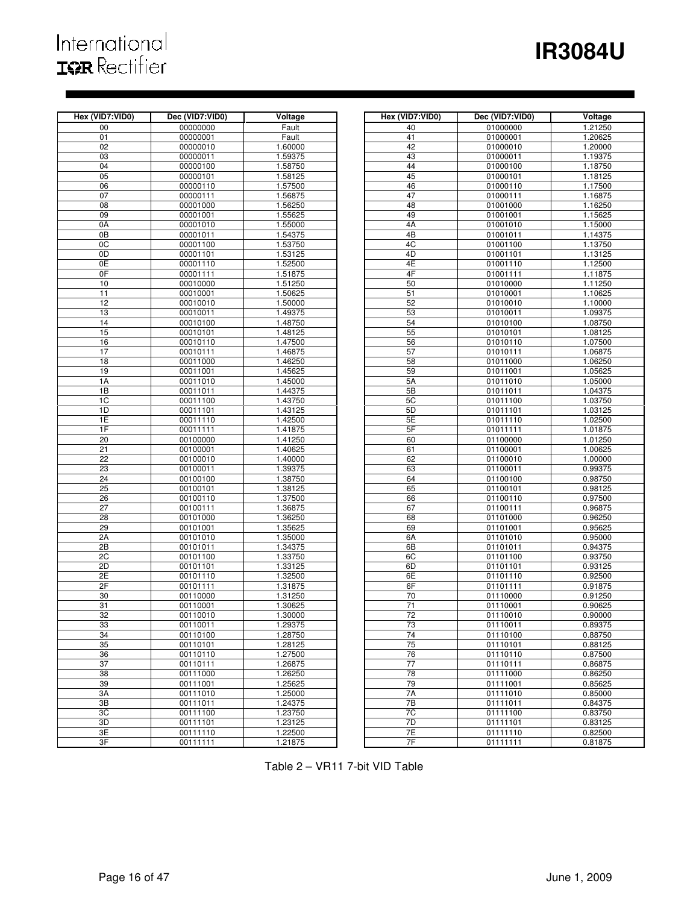# International<br>**IGR** Rectifier

# **IR3084U**

| Hex (VID7:VID0) | Dec (VID7:VID0)      | Voltage            | Hex (VID7:VID0)       | Dec (VID7:VID0)      | Voltage            |
|-----------------|----------------------|--------------------|-----------------------|----------------------|--------------------|
| 00              | 00000000             | Fault              | 40                    | 01000000             | 1.21250            |
| $\overline{01}$ | 00000001             | Fault              | 41                    | 01000001             | 1.20625            |
| 02              | 00000010             | 1.60000            | 42                    | 01000010             | 1.20000            |
| 03              | 00000011             | 1.59375            | 43                    | 01000011             | 1.19375            |
| 04              | 00000100             | 1.58750            | 44                    | 01000100             | 1.18750            |
| 05              | 00000101             | 1.58125            | 45                    | 01000101             | 1.18125            |
| 06              | 00000110             | 1.57500            | 46                    | 01000110             | 1.17500            |
| 07              | 00000111             | 1.56875            | 47                    | 01000111             | 1.16875            |
| $\overline{08}$ | 00001000             | 1.56250            | 48                    | 01001000             | 1.16250            |
| 09              | 00001001             | 1.55625            | 49                    | 01001001             | 1.15625            |
| 0A              | 00001010             | 1.55000            | 4A                    | 01001010             | 1.15000            |
| $\overline{OB}$ | 00001011             | 1.54375            | 4B                    | 01001011             | 1.14375            |
| 0C              | 00001100             | 1.53750            | 4C                    | 01001100             | 1.13750            |
| 0D              | 00001101             | 1.53125            | 4D                    | 01001101             | 1.13125            |
| 0E              | 00001110             | 1.52500            | 4E                    | 01001110             | 1.12500            |
| 0F              | 00001111             | 1.51875            | 4F                    | 01001111             | 1.11875            |
| 10              | 00010000             | 1.51250            | 50                    | 01010000             | 1.11250            |
| 11              | 00010001             | 1.50625            | 51                    | 01010001             | 1.10625            |
| 12              | 00010010             |                    | 52                    | 01010010             | 1.10000            |
| 13              |                      | 1.50000            | 53                    |                      |                    |
| 14              | 00010011<br>00010100 | 1.49375<br>1.48750 | 54                    | 01010011<br>01010100 | 1.09375<br>1.08750 |
| 15              | 00010101             |                    | 55                    |                      |                    |
| 16              | 00010110             | 1.48125<br>1.47500 | 56                    | 01010101<br>01010110 | 1.08125<br>1.07500 |
| 17              |                      |                    |                       |                      | 1.06875            |
|                 | 00010111             | 1.46875            | 57                    | 01010111             |                    |
| 18              | 00011000             | 1.46250            | 58                    | 01011000             | 1.06250            |
| 19              | 00011001             | 1.45625            | 59                    | 01011001             | 1.05625            |
| 1A              | 00011010             | 1.45000            | 5A                    | 01011010             | 1.05000            |
| 1B              | 00011011             | 1.44375            | 5B                    | 01011011             | 1.04375            |
| 1C              | 00011100             | 1.43750            | 5C                    | 01011100             | 1.03750            |
| 1D              | 00011101             | 1.43125            | 5D                    | 01011101             | 1.03125            |
| 1E              | 00011110             | 1.42500            | 5E                    | 01011110             | 1.02500            |
| 1F              | 00011111             | 1.41875            | 5F                    | 01011111             | 1.01875            |
| $\overline{20}$ | 00100000             | 1.41250            | 60                    | 01100000             | 1.01250            |
| 21              | 00100001             | 1.40625            | 61                    | 01100001             | 1.00625            |
| $\overline{22}$ | 00100010             | 1.40000            | 62                    | 01100010             | 1.00000            |
| 23<br>24        | 00100011             | 1.39375            | 63                    | 01100011             | 0.99375            |
|                 | 00100100             | 1.38750            | 64                    | 01100100             | 0.98750            |
| $\overline{25}$ | 00100101             | 1.38125            | 65                    | 01100101             | 0.98125            |
| $\overline{26}$ | 00100110             | 1.37500            | 66                    | 01100110             | 0.97500            |
| 27              | 00100111             | 1.36875            | 67                    | 01100111             | 0.96875            |
| $\overline{28}$ | 00101000             | 1.36250            | 68                    | 01101000             | 0.96250            |
| 29              | 00101001             | 1.35625            | 69                    | 01101001             | 0.95625            |
| 2A              | 00101010             | 1.35000            | 6A                    | 01101010             | 0.95000            |
| $\overline{2B}$ | 00101011             | 1.34375            | 6B                    | 01101011             | 0.94375            |
| 2C              | 00101100             | 1.33750            | 6C                    | 01101100             | 0.93750            |
| 2D              | 00101101             | 1.33125            | 6D                    | 01101101             | 0.93125            |
| 2E              | 00101110             | 1.32500            | 6E                    | 01101110             | 0.92500            |
| 2F              | 00101111             | 1.31875            | 6F                    | 01101111             | 0.91875            |
| 30              | 00110000             | 1.31250            | 70                    | 01110000             | 0.91250            |
| 31              | 00110001             | 1.30625            | 71<br>$\overline{72}$ | 01110001             | 0.90625            |
| 32              | 00110010             | 1.30000            |                       | 01110010             | 0.90000            |
| 33              | 00110011             | 1.29375            | 73                    | 01110011             | 0.89375            |
| 34              | 00110100             | 1.28750            | 74                    | 01110100             | 0.88750            |
| 35              | 00110101             | 1.28125            | 75                    | 01110101             | 0.88125            |
| 36              | 00110110             | 1.27500            | 76                    | 01110110             | 0.87500            |
| 37              | 00110111             | 1.26875            | 77                    | 01110111             | 0.86875            |
| 38              | 00111000             | 1.26250            | 78                    | 01111000             | 0.86250            |
| 39              | 00111001             | 1.25625            | 79                    | 01111001             | 0.85625            |
| 3A              | 00111010             | 1.25000            | 7A                    | 01111010             | 0.85000            |
| 3B              | 00111011             | 1.24375            | 7B                    | 01111011             | 0.84375            |
| 3C              | 00111100             | 1.23750            | 7C                    | 01111100             | 0.83750            |
| 3D              | 00111101             | 1.23125            | 7D                    | 01111101             | 0.83125            |
| 3E              | 00111110             | 1.22500            | 7E                    | 01111110             | 0.82500            |
| 3F              | 00111111             | 1.21875            | 7F                    | 01111111             | 0.81875            |

| ID7:VID0)             | Dec (VID7:VID0)      | Voltage            | Hex (VID7:VID0) | Dec (VID7:VID0)      | Voltage            |
|-----------------------|----------------------|--------------------|-----------------|----------------------|--------------------|
| 00                    | 00000000             | Fault              | 40              | 01000000             | 1.21250            |
| 01                    | 00000001             | Fault              | 41              | 01000001             | 1.20625            |
| 02                    | 00000010             | 1.60000            | 42              | 01000010             | 1.20000            |
| 03                    | 00000011             | 1.59375            | 43              | 01000011             | 1.19375            |
| 04                    | 00000100             | 1.58750            | 44              | 01000100             | 1.18750            |
| 05                    | 00000101             | 1.58125            | 45              | 01000101             | 1.18125            |
| 06                    | 00000110             | 1.57500            | 46              | 01000110             | 1.17500            |
| 07                    | 00000111             | 1.56875            | 47              | 01000111             | 1.16875            |
| 08                    | 00001000             | 1.56250            | 48              | 01001000             | 1.16250            |
| 09<br>0A              | 00001001             | 1.55625<br>1.55000 | 49<br>4A        | 01001001             | 1.15625            |
| 0Β                    | 00001010<br>00001011 | 1.54375            | 4B              | 01001010<br>01001011 | 1.15000<br>1.14375 |
| 0C                    | 00001100             | 1.53750            | 4C              | 01001100             | 1.13750            |
| 0D                    | 00001101             | 1.53125            | 4D              | 01001101             | 1.13125            |
| 0Ε                    | 00001110             | 1.52500            | 4E              | 01001110             | 1.12500            |
| 0F                    | 00001111             | 1.51875            | 4F              | 01001111             | 1.11875            |
| 10                    | 00010000             | 1.51250            | 50              | 01010000             | 1.11250            |
| 11                    | 00010001             | 1.50625            | 51              | 01010001             | 1.10625            |
| 12                    | 00010010             | 1.50000            | 52              | 01010010             | 1.10000            |
| 13                    | 00010011             | 1.49375            | 53              | 01010011             | 1.09375            |
| 14                    | 00010100             | 1.48750            | 54              | 01010100             | 1.08750            |
| 15                    | 00010101             | 1.48125            | 55              | 01010101             | 1.08125            |
| 16                    | 00010110             | 1.47500            | 56              | 01010110             | 1.07500            |
| 17                    | 00010111             | 1.46875            | 57              | 01010111             | 1.06875            |
| 18                    | 00011000             | 1.46250            | 58              | 01011000             | 1.06250            |
| 19                    | 00011001             | 1.45625            | 59              | 01011001             | 1.05625            |
| 1A                    | 00011010             | 1.45000            | 5A              | 01011010             | 1.05000            |
| 1B                    | 00011011             | 1.44375            | 5B              | 01011011             | 1.04375            |
| 1C                    | 00011100             | 1.43750            | 5C              | 01011100             | 1.03750            |
| 1D                    | 00011101             | 1.43125            | 5D              | 01011101             | 1.03125            |
| 1E                    | 00011110             | 1.42500            | 5E              | 01011110             | 1.02500            |
| 1F                    | 00011111             | 1.41875            | 5F              | 01011111             | 1.01875            |
| 20                    | 00100000             | 1.41250            | 60              | 01100000             | 1.01250            |
| 21                    | 00100001             | 1.40625            | 61              | 01100001             | 1.00625            |
| 22                    | 00100010             | 1.40000            | 62              | 01100010             | 1.00000            |
| 23                    | 00100011             | 1.39375            | 63              | 01100011             | 0.99375            |
| $\overline{24}$       | 00100100             | 1.38750            | 64              | 01100100             | 0.98750            |
| 25                    | 00100101             | 1.38125            | 65              | 01100101             | 0.98125            |
| 26                    | 00100110             | 1.37500            | 66              | 01100110             | 0.97500            |
| 27                    | 00100111             | 1.36875            | 67              | 01100111             | 0.96875            |
| 28                    | 00101000             | 1.36250            | 68              | 01101000             | 0.96250            |
| 29                    | 00101001             | 1.35625            | 69              | 01101001             | 0.95625            |
| 2A                    | 00101010             | 1.35000            | 6A              | 01101010             | 0.95000            |
| 2B<br>$\overline{2C}$ | 00101011             | 1.34375<br>1.33750 | 6B<br>6C        | 01101011             | 0.94375<br>0.93750 |
| 2D                    | 00101100<br>00101101 | 1.33125            | 6D              | 01101100<br>01101101 | 0.93125            |
| 2Е                    | 00101110             | 1.32500            | 6E              | 01101110             | 0.92500            |
| 2F                    | 00101111             | 1.31875            | 6F              | 01101111             | 0.91875            |
| 30                    | 00110000             | 1.31250            | 70              | 01110000             | 0.91250            |
| 31                    | 00110001             | 1.30625            | 71              | 01110001             | 0.90625            |
| 32                    | 00110010             | 1.30000            | 72              | 01110010             | 0.90000            |
| 33                    | 00110011             | 1.29375            | 73              | 01110011             | 0.89375            |
| 34                    | 00110100             | 1.28750            | 74              | 01110100             | 0.88750            |
| 35                    | 00110101             | 1.28125            | 75              | 01110101             | 0.88125            |
| 36                    | 00110110             | 1.27500            | 76              | 01110110             | 0.87500            |
| 37                    | 00110111             | 1.26875            | 77              | 01110111             | 0.86875            |
| 38                    | 00111000             | 1.26250            | 78              | 01111000             | 0.86250            |
| 39                    | 00111001             | 1.25625            | 79              | 01111001             | 0.85625            |
| ЗΑ                    | 00111010             | 1.25000            | 7A              | 01111010             | 0.85000            |
| ЗB                    | 00111011             | 1.24375            | 7B              | 01111011             | 0.84375            |
| ЗC                    | 00111100             | 1.23750            | 7C              | 01111100             | 0.83750            |
| 3D                    | 00111101             | 1.23125            | 7D              | 01111101             | 0.83125            |
| 3E                    | 00111110             | 1.22500            | 7E              | 01111110             | 0.82500            |
| 3F                    | 00111111             | 1.21875            | 7F              | 01111111             | 0.81875            |

Table 2 – VR11 7-bit VID Table

i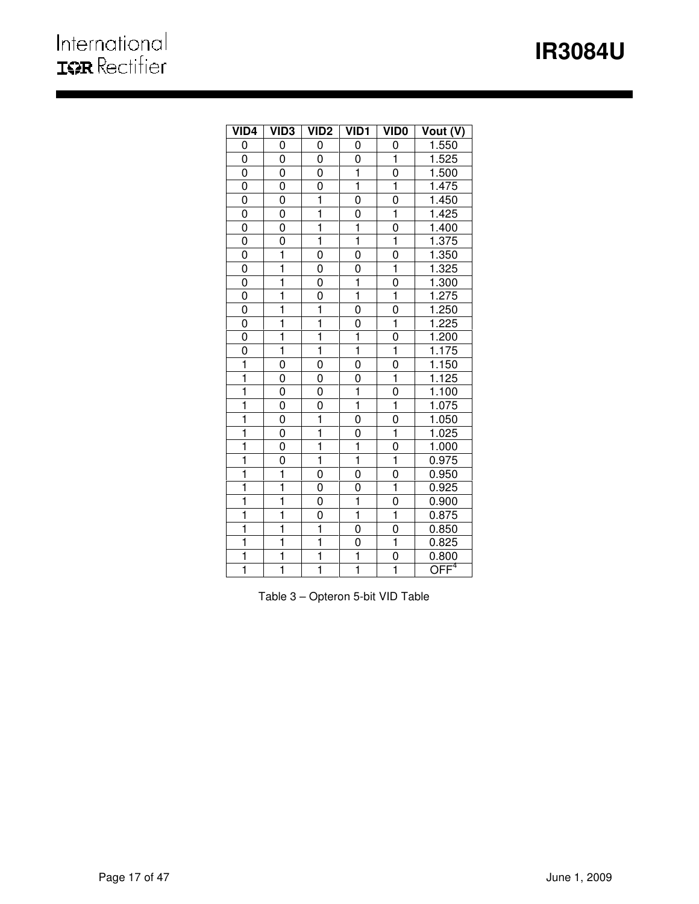# **IR3084U**

| VID4                    | <b>VID3</b>             | VID <sub>2</sub>        | <b>VID1</b>             | <b>VIDO</b>             | Vout (V)                    |
|-------------------------|-------------------------|-------------------------|-------------------------|-------------------------|-----------------------------|
| 0                       | 0                       | 0                       | 0                       | 0                       | 1.550                       |
| 0                       | 0                       | 0                       | 0                       | $\overline{\mathbf{1}}$ | 1.525                       |
| 0                       | 0                       | 0                       | ī                       | 0                       | 1.500                       |
| $\overline{0}$          | 0                       | 0                       | $\overline{\mathbf{1}}$ | ī                       | 1.475                       |
| 0                       | 0                       | $\mathbf 1$             | $\overline{0}$          | 0                       | 1.450                       |
| $\overline{0}$          | 0                       | $\overline{\mathbf{1}}$ | 0                       | $\overline{\mathbf{1}}$ | 1.425                       |
| 0                       | 0                       | 1                       | 1                       | 0                       | 1.400                       |
| $\overline{0}$          | 0                       | $\mathbf 1$             | ī                       | $\overline{1}$          | 1.375                       |
| $\overline{0}$          | $\mathbf 1$             | 0                       | $\overline{0}$          | 0                       | 1.350                       |
| $\overline{0}$          | ī                       | 0                       | 0                       | $\overline{\mathbf{1}}$ | 1.325                       |
| $\overline{0}$          | $\overline{1}$          | 0                       | $\overline{\mathbf{1}}$ | 0                       | 1.300                       |
| $\overline{0}$          | $\overline{\mathbf{1}}$ | $\overline{0}$          | ī                       | ī                       | 1.275                       |
| $\overline{0}$          | $\overline{\mathbf{1}}$ | $\overline{\mathbf{1}}$ | $\overline{0}$          | $\overline{0}$          | 1.250                       |
| $\overline{0}$          | ī                       | $\overline{\mathbf{1}}$ | $\overline{0}$          | $\overline{\mathbf{1}}$ | 1.225                       |
| $\overline{0}$          | $\overline{\mathbf{1}}$ | $\overline{\mathbf{1}}$ | 1                       | 0                       | 1.200                       |
| $\overline{0}$          | $\overline{\mathbf{1}}$ | $\overline{\mathbf{1}}$ | ī                       | $\overline{\mathbf{1}}$ | 1.175                       |
| $\overline{\mathbf{1}}$ | 0                       | 0                       | $\overline{0}$          | $\overline{0}$          | 1.150                       |
| $\frac{1}{1}$           | 0                       | 0                       | $\overline{0}$          | $\overline{\mathbf{1}}$ | 1.125                       |
| $\frac{1}{1}$           | 0                       | 0                       | ī                       | $\overline{0}$          | 1.100                       |
| ī                       | 0                       | $\overline{0}$          | ī                       | $\overline{\mathbf{1}}$ | 1.075                       |
| $\overline{\mathbf{1}}$ | 0                       | $\overline{\mathbf{1}}$ | $\overline{0}$          | $\overline{0}$          | 1.050                       |
| $\overline{\mathbf{1}}$ | 0                       | $\overline{\mathbf{1}}$ | $\overline{0}$          | $\overline{1}$          | 1.025                       |
| $\overline{\mathbf{1}}$ | 0                       | ī                       | $\overline{\mathbf{1}}$ | 0                       | 1.000                       |
| $\overline{\mathbf{1}}$ | 0                       | $\overline{1}$          | $\overline{\mathbf{1}}$ | ī                       | 0.975                       |
| $\overline{\mathbf{1}}$ | ī                       | 0                       | $\overline{0}$          | $\overline{0}$          | 0.950                       |
| $\overline{\mathbf{1}}$ | $\overline{\mathbf{1}}$ | 0                       | $\overline{0}$          | $\overline{1}$          | 0.925                       |
| $\overline{\mathbf{1}}$ | $\overline{\mathbf{1}}$ | 0                       | $\overline{\mathbf{1}}$ | $\overline{0}$          | 0.900                       |
| $\overline{\mathbf{1}}$ | ī                       | 0                       | $\overline{\mathbf{1}}$ | ī                       | 0.875                       |
| $\overline{\mathbf{1}}$ | ī                       | ī                       | $\overline{0}$          | $\overline{0}$          | 0.850                       |
| $\overline{\mathbf{1}}$ | ī                       | $\overline{\mathbf{1}}$ | $\overline{0}$          | ī                       | 0.825                       |
| $\overline{\mathbf{1}}$ | $\overline{\mathbf{1}}$ | $\overline{\mathbf{1}}$ | $\overline{\mathbf{1}}$ | $\overline{0}$          | 0.800                       |
| ī                       | ī                       | ī                       | $\overline{\mathbf{1}}$ | $\overline{1}$          | $\overline{\mathsf{OFF}}^4$ |

ı

Table 3 – Opteron 5-bit VID Table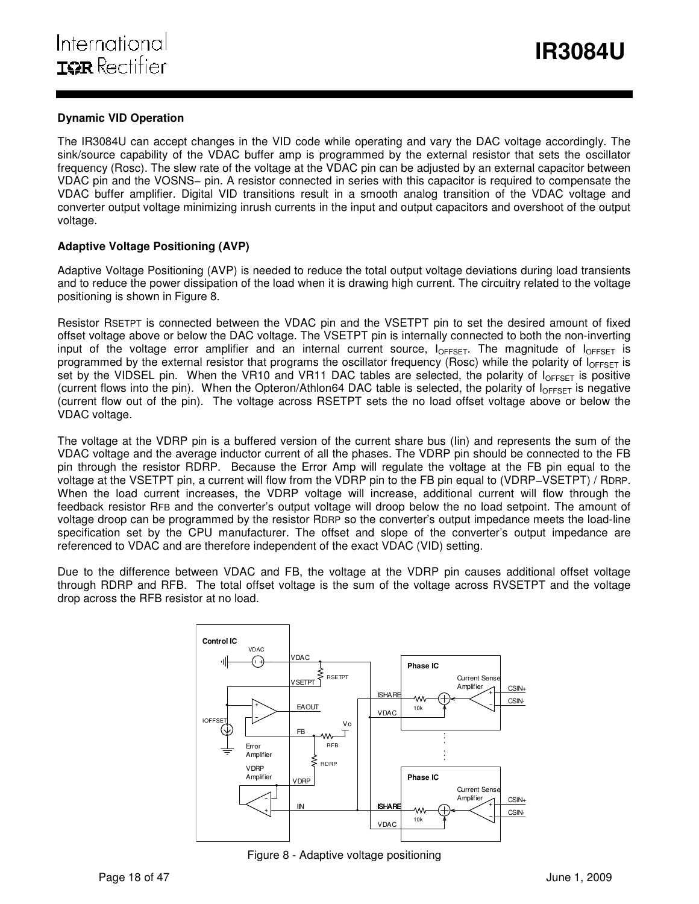# **Dynamic VID Operation**

The IR3084U can accept changes in the VID code while operating and vary the DAC voltage accordingly. The sink/source capability of the VDAC buffer amp is programmed by the external resistor that sets the oscillator frequency (Rosc). The slew rate of the voltage at the VDAC pin can be adjusted by an external capacitor between VDAC pin and the VOSNS− pin. A resistor connected in series with this capacitor is required to compensate the VDAC buffer amplifier. Digital VID transitions result in a smooth analog transition of the VDAC voltage and converter output voltage minimizing inrush currents in the input and output capacitors and overshoot of the output voltage.

ı

# **Adaptive Voltage Positioning (AVP)**

Adaptive Voltage Positioning (AVP) is needed to reduce the total output voltage deviations during load transients and to reduce the power dissipation of the load when it is drawing high current. The circuitry related to the voltage positioning is shown in Figure 8.

Resistor RSETPT is connected between the VDAC pin and the VSETPT pin to set the desired amount of fixed offset voltage above or below the DAC voltage. The VSETPT pin is internally connected to both the non-inverting input of the voltage error amplifier and an internal current source,  $I_{OFFSET}$ . The magnitude of  $I_{OFFSET}$  is programmed by the external resistor that programs the oscillator frequency (Rosc) while the polarity of  $I_{OFFSET}$  is set by the VIDSEL pin. When the VR10 and VR11 DAC tables are selected, the polarity of  $I_{OFFSET}$  is positive (current flows into the pin). When the Opteron/Athlon64 DAC table is selected, the polarity of  $I_{OFFSET}$  is negative (current flow out of the pin). The voltage across RSETPT sets the no load offset voltage above or below the VDAC voltage.

The voltage at the VDRP pin is a buffered version of the current share bus (Iin) and represents the sum of the VDAC voltage and the average inductor current of all the phases. The VDRP pin should be connected to the FB pin through the resistor RDRP. Because the Error Amp will regulate the voltage at the FB pin equal to the voltage at the VSETPT pin, a current will flow from the VDRP pin to the FB pin equal to (VDRP−VSETPT) / RDRP. When the load current increases, the VDRP voltage will increase, additional current will flow through the feedback resistor RFB and the converter's output voltage will droop below the no load setpoint. The amount of voltage droop can be programmed by the resistor RDRP so the converter's output impedance meets the load-line specification set by the CPU manufacturer. The offset and slope of the converter's output impedance are referenced to VDAC and are therefore independent of the exact VDAC (VID) setting.

Due to the difference between VDAC and FB, the voltage at the VDRP pin causes additional offset voltage through RDRP and RFB. The total offset voltage is the sum of the voltage across RVSETPT and the voltage drop across the RFB resistor at no load.



Figure 8 - Adaptive voltage positioning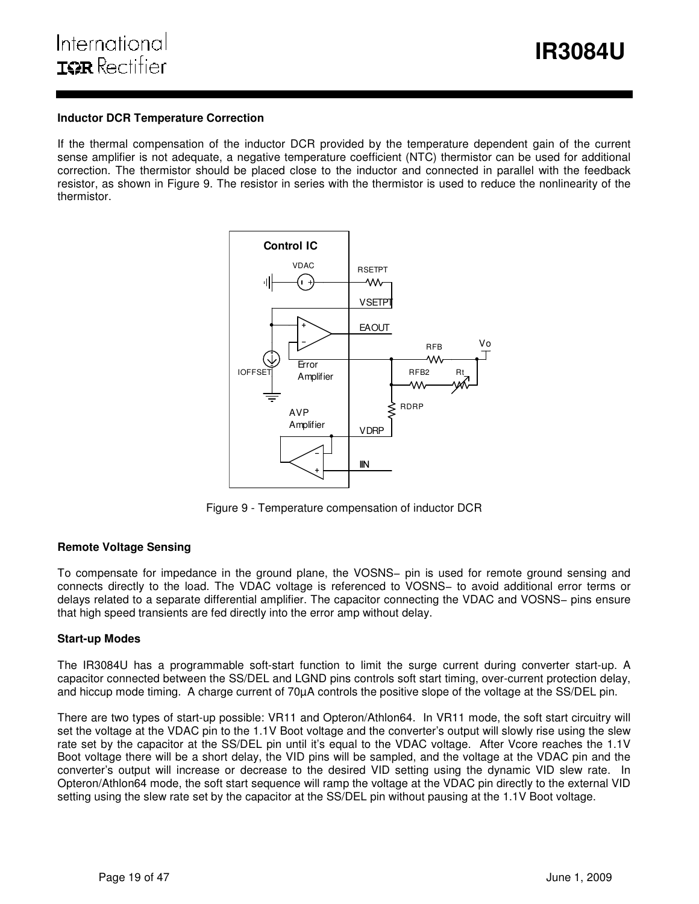### **Inductor DCR Temperature Correction**

If the thermal compensation of the inductor DCR provided by the temperature dependent gain of the current sense amplifier is not adequate, a negative temperature coefficient (NTC) thermistor can be used for additional correction. The thermistor should be placed close to the inductor and connected in parallel with the feedback resistor, as shown in Figure 9. The resistor in series with the thermistor is used to reduce the nonlinearity of the thermistor.

ı



Figure 9 - Temperature compensation of inductor DCR

### **Remote Voltage Sensing**

To compensate for impedance in the ground plane, the VOSNS− pin is used for remote ground sensing and connects directly to the load. The VDAC voltage is referenced to VOSNS− to avoid additional error terms or delays related to a separate differential amplifier. The capacitor connecting the VDAC and VOSNS− pins ensure that high speed transients are fed directly into the error amp without delay.

### **Start-up Modes**

The IR3084U has a programmable soft-start function to limit the surge current during converter start-up. A capacitor connected between the SS/DEL and LGND pins controls soft start timing, over-current protection delay, and hiccup mode timing. A charge current of 70µA controls the positive slope of the voltage at the SS/DEL pin.

There are two types of start-up possible: VR11 and Opteron/Athlon64. In VR11 mode, the soft start circuitry will set the voltage at the VDAC pin to the 1.1V Boot voltage and the converter's output will slowly rise using the slew rate set by the capacitor at the SS/DEL pin until it's equal to the VDAC voltage. After Vcore reaches the 1.1V Boot voltage there will be a short delay, the VID pins will be sampled, and the voltage at the VDAC pin and the converter's output will increase or decrease to the desired VID setting using the dynamic VID slew rate. In Opteron/Athlon64 mode, the soft start sequence will ramp the voltage at the VDAC pin directly to the external VID setting using the slew rate set by the capacitor at the SS/DEL pin without pausing at the 1.1V Boot voltage.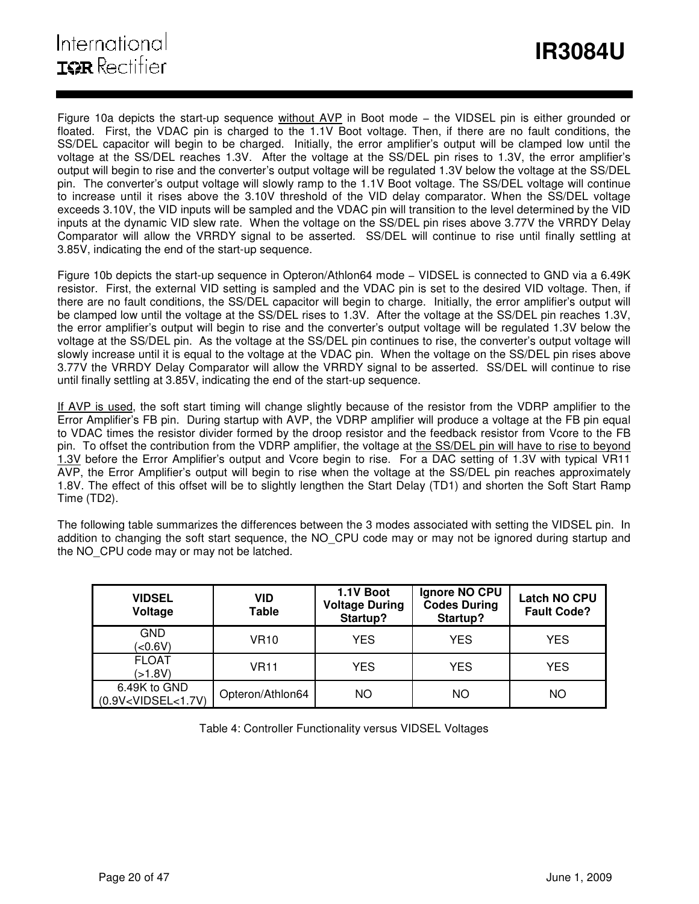Figure 10a depicts the start-up sequence without AVP in Boot mode – the VIDSEL pin is either grounded or floated. First, the VDAC pin is charged to the 1.1V Boot voltage. Then, if there are no fault conditions, the SS/DEL capacitor will begin to be charged. Initially, the error amplifier's output will be clamped low until the voltage at the SS/DEL reaches 1.3V. After the voltage at the SS/DEL pin rises to 1.3V, the error amplifier's output will begin to rise and the converter's output voltage will be regulated 1.3V below the voltage at the SS/DEL pin. The converter's output voltage will slowly ramp to the 1.1V Boot voltage. The SS/DEL voltage will continue to increase until it rises above the 3.10V threshold of the VID delay comparator. When the SS/DEL voltage exceeds 3.10V, the VID inputs will be sampled and the VDAC pin will transition to the level determined by the VID inputs at the dynamic VID slew rate. When the voltage on the SS/DEL pin rises above 3.77V the VRRDY Delay Comparator will allow the VRRDY signal to be asserted. SS/DEL will continue to rise until finally settling at 3.85V, indicating the end of the start-up sequence.

ı

Figure 10b depicts the start-up sequence in Opteron/Athlon64 mode − VIDSEL is connected to GND via a 6.49K resistor. First, the external VID setting is sampled and the VDAC pin is set to the desired VID voltage. Then, if there are no fault conditions, the SS/DEL capacitor will begin to charge. Initially, the error amplifier's output will be clamped low until the voltage at the SS/DEL rises to 1.3V. After the voltage at the SS/DEL pin reaches 1.3V, the error amplifier's output will begin to rise and the converter's output voltage will be regulated 1.3V below the voltage at the SS/DEL pin. As the voltage at the SS/DEL pin continues to rise, the converter's output voltage will slowly increase until it is equal to the voltage at the VDAC pin. When the voltage on the SS/DEL pin rises above 3.77V the VRRDY Delay Comparator will allow the VRRDY signal to be asserted. SS/DEL will continue to rise until finally settling at 3.85V, indicating the end of the start-up sequence.

If AVP is used, the soft start timing will change slightly because of the resistor from the VDRP amplifier to the Error Amplifier's FB pin. During startup with AVP, the VDRP amplifier will produce a voltage at the FB pin equal to VDAC times the resistor divider formed by the droop resistor and the feedback resistor from Vcore to the FB pin. To offset the contribution from the VDRP amplifier, the voltage at the SS/DEL pin will have to rise to beyond 1.3V before the Error Amplifier's output and Vcore begin to rise. For a DAC setting of 1.3V with typical VR11 AVP, the Error Amplifier's output will begin to rise when the voltage at the SS/DEL pin reaches approximately 1.8V. The effect of this offset will be to slightly lengthen the Start Delay (TD1) and shorten the Soft Start Ramp Time (TD2).

The following table summarizes the differences between the 3 modes associated with setting the VIDSEL pin. In addition to changing the soft start sequence, the NO\_CPU code may or may not be ignored during startup and the NO CPU code may or may not be latched.

| <b>VIDSEL</b><br>Voltage              | <b>VID</b><br><b>Table</b> | 1.1V Boot<br><b>Voltage During</b><br>Startup? | Ignore NO CPU<br><b>Codes During</b><br>Startup? | <b>Latch NO CPU</b><br><b>Fault Code?</b> |
|---------------------------------------|----------------------------|------------------------------------------------|--------------------------------------------------|-------------------------------------------|
| <b>GND</b><br>(<0.6V)                 | <b>VR10</b>                | <b>YES</b>                                     | YES                                              | YES                                       |
| <b>FLOAT</b><br>(51.8V)               | <b>VR11</b>                | YES.                                           | YES                                              | YES                                       |
| 6.49K to GND<br>$(0.9V<$ VIDSEL<1.7V) | Opteron/Athlon64           | NO.                                            | ΝO                                               | NO.                                       |

Table 4: Controller Functionality versus VIDSEL Voltages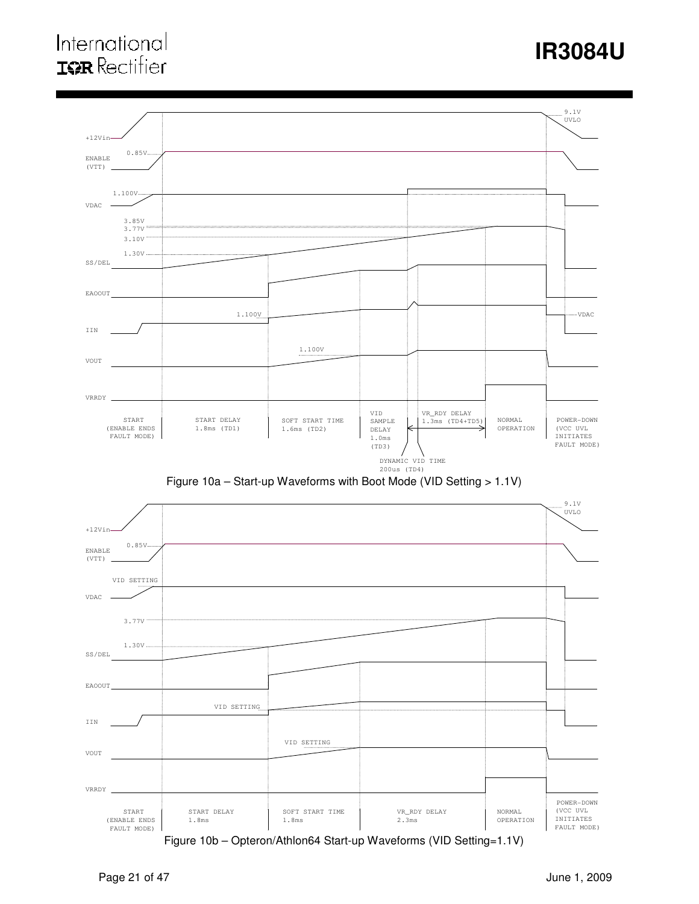# International **IOR** Rectifier

# **IR3084U**





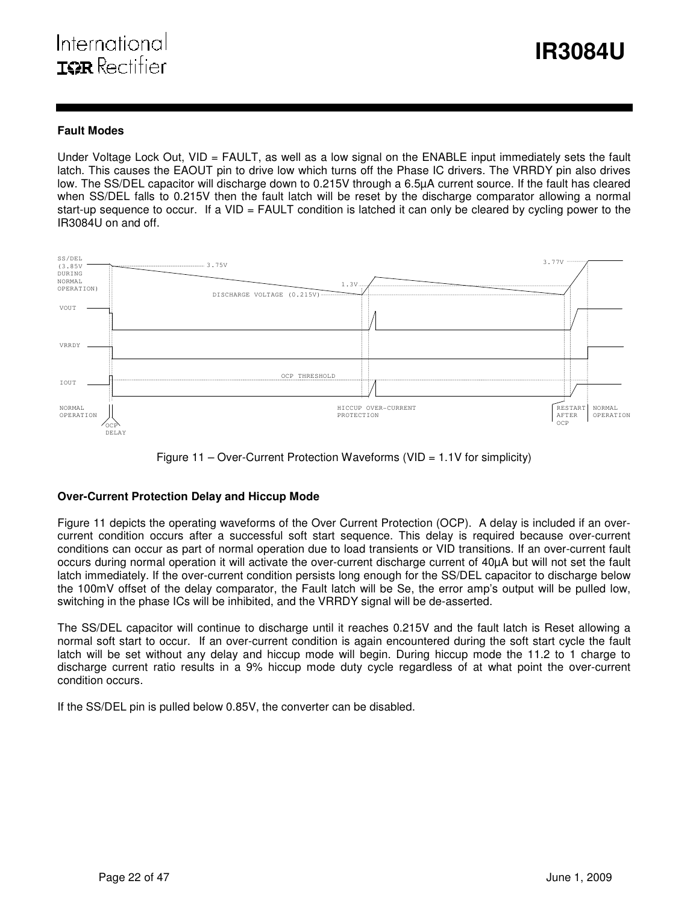### **Fault Modes**

Under Voltage Lock Out, VID = FAULT, as well as a low signal on the ENABLE input immediately sets the fault latch. This causes the EAOUT pin to drive low which turns off the Phase IC drivers. The VRRDY pin also drives low. The SS/DEL capacitor will discharge down to 0.215V through a 6.5µA current source. If the fault has cleared when SS/DEL falls to 0.215V then the fault latch will be reset by the discharge comparator allowing a normal start-up sequence to occur. If a VID = FAULT condition is latched it can only be cleared by cycling power to the IR3084U on and off.



Figure 11 – Over-Current Protection Waveforms (VID =  $1.1V$  for simplicity)

# **Over-Current Protection Delay and Hiccup Mode**

Figure 11 depicts the operating waveforms of the Over Current Protection (OCP). A delay is included if an overcurrent condition occurs after a successful soft start sequence. This delay is required because over-current conditions can occur as part of normal operation due to load transients or VID transitions. If an over-current fault occurs during normal operation it will activate the over-current discharge current of 40µA but will not set the fault latch immediately. If the over-current condition persists long enough for the SS/DEL capacitor to discharge below the 100mV offset of the delay comparator, the Fault latch will be Se, the error amp's output will be pulled low, switching in the phase ICs will be inhibited, and the VRRDY signal will be de-asserted.

The SS/DEL capacitor will continue to discharge until it reaches 0.215V and the fault latch is Reset allowing a normal soft start to occur. If an over-current condition is again encountered during the soft start cycle the fault latch will be set without any delay and hiccup mode will begin. During hiccup mode the 11.2 to 1 charge to discharge current ratio results in a 9% hiccup mode duty cycle regardless of at what point the over-current condition occurs.

If the SS/DEL pin is pulled below 0.85V, the converter can be disabled.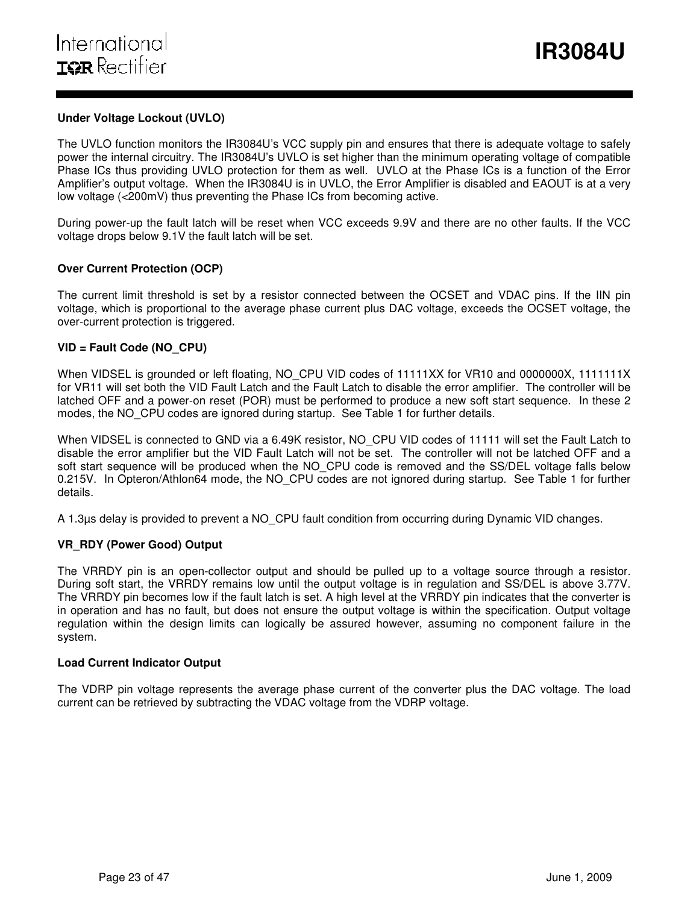### **Under Voltage Lockout (UVLO)**

The UVLO function monitors the IR3084U's VCC supply pin and ensures that there is adequate voltage to safely power the internal circuitry. The IR3084U's UVLO is set higher than the minimum operating voltage of compatible Phase ICs thus providing UVLO protection for them as well. UVLO at the Phase ICs is a function of the Error Amplifier's output voltage. When the IR3084U is in UVLO, the Error Amplifier is disabled and EAOUT is at a very low voltage (<200mV) thus preventing the Phase ICs from becoming active.

During power-up the fault latch will be reset when VCC exceeds 9.9V and there are no other faults. If the VCC voltage drops below 9.1V the fault latch will be set.

### **Over Current Protection (OCP)**

The current limit threshold is set by a resistor connected between the OCSET and VDAC pins. If the IIN pin voltage, which is proportional to the average phase current plus DAC voltage, exceeds the OCSET voltage, the over-current protection is triggered.

### **VID = Fault Code (NO\_CPU)**

When VIDSEL is grounded or left floating, NO\_CPU VID codes of 11111XX for VR10 and 0000000X, 1111111X for VR11 will set both the VID Fault Latch and the Fault Latch to disable the error amplifier. The controller will be latched OFF and a power-on reset (POR) must be performed to produce a new soft start sequence. In these 2 modes, the NO\_CPU codes are ignored during startup. See Table 1 for further details.

When VIDSEL is connected to GND via a 6.49K resistor, NO CPU VID codes of 11111 will set the Fault Latch to disable the error amplifier but the VID Fault Latch will not be set. The controller will not be latched OFF and a soft start sequence will be produced when the NO\_CPU code is removed and the SS/DEL voltage falls below 0.215V. In Opteron/Athlon64 mode, the NO CPU codes are not ignored during startup. See Table 1 for further details.

A 1.3µs delay is provided to prevent a NO\_CPU fault condition from occurring during Dynamic VID changes.

### **VR\_RDY (Power Good) Output**

The VRRDY pin is an open-collector output and should be pulled up to a voltage source through a resistor. During soft start, the VRRDY remains low until the output voltage is in regulation and SS/DEL is above 3.77V. The VRRDY pin becomes low if the fault latch is set. A high level at the VRRDY pin indicates that the converter is in operation and has no fault, but does not ensure the output voltage is within the specification. Output voltage regulation within the design limits can logically be assured however, assuming no component failure in the system.

### **Load Current Indicator Output**

The VDRP pin voltage represents the average phase current of the converter plus the DAC voltage. The load current can be retrieved by subtracting the VDAC voltage from the VDRP voltage.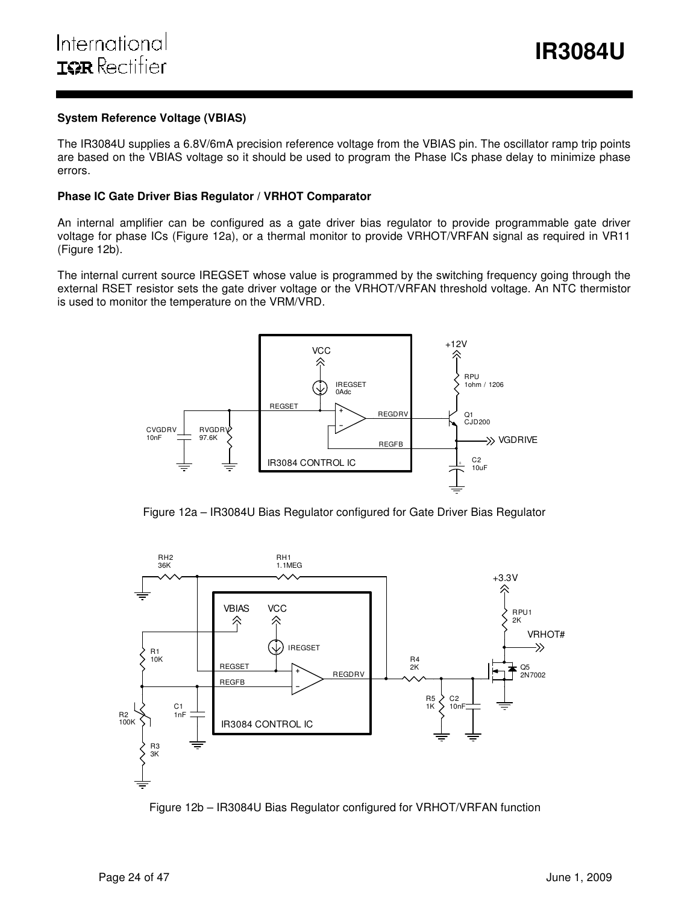### **System Reference Voltage (VBIAS)**

The IR3084U supplies a 6.8V/6mA precision reference voltage from the VBIAS pin. The oscillator ramp trip points are based on the VBIAS voltage so it should be used to program the Phase ICs phase delay to minimize phase errors.

### **Phase IC Gate Driver Bias Regulator / VRHOT Comparator**

An internal amplifier can be configured as a gate driver bias regulator to provide programmable gate driver voltage for phase ICs (Figure 12a), or a thermal monitor to provide VRHOT/VRFAN signal as required in VR11 (Figure 12b).

The internal current source IREGSET whose value is programmed by the switching frequency going through the external RSET resistor sets the gate driver voltage or the VRHOT/VRFAN threshold voltage. An NTC thermistor is used to monitor the temperature on the VRM/VRD.



Figure 12a – IR3084U Bias Regulator configured for Gate Driver Bias Regulator



Figure 12b – IR3084U Bias Regulator configured for VRHOT/VRFAN function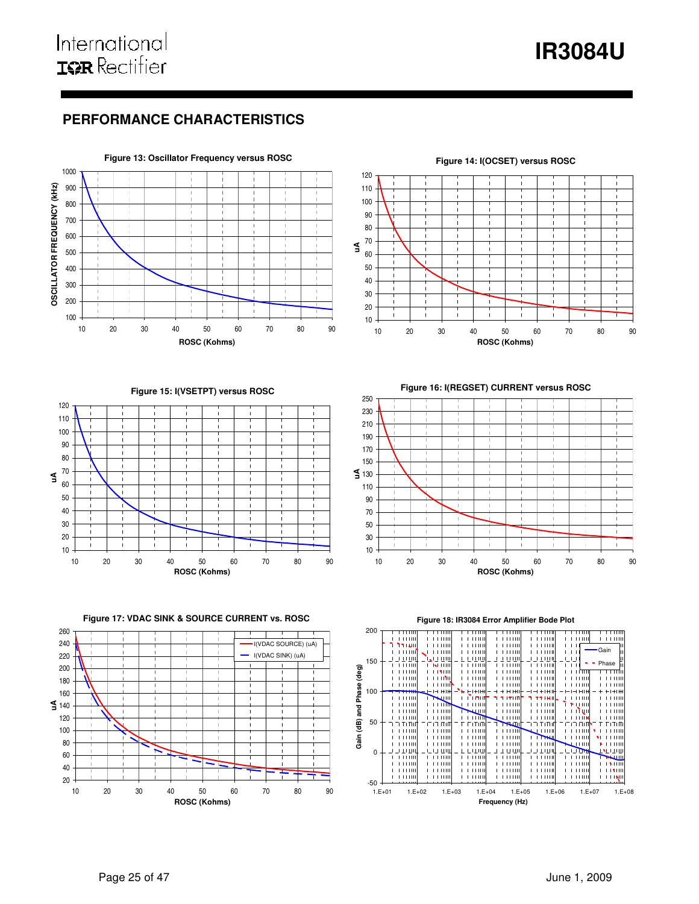# **IR3084U**

# **PERFORMANCE CHARACTERISTICS**



#### **Figure 14: I(OCSET) versus ROSC**  $\mathbb{I}$  **uA**  $\mathbf{1}$  $\mathbf{I}$  10 20 30 40 50 60 70 80 90 **ROSC (Kohms)**

**Figure 15: I(VSETPT) versus ROSC**



**Figure 16: I(REGSET) CURRENT versus ROSC**



**Figure 17: VDAC SINK & SOURCE CURRENT vs. ROSC**





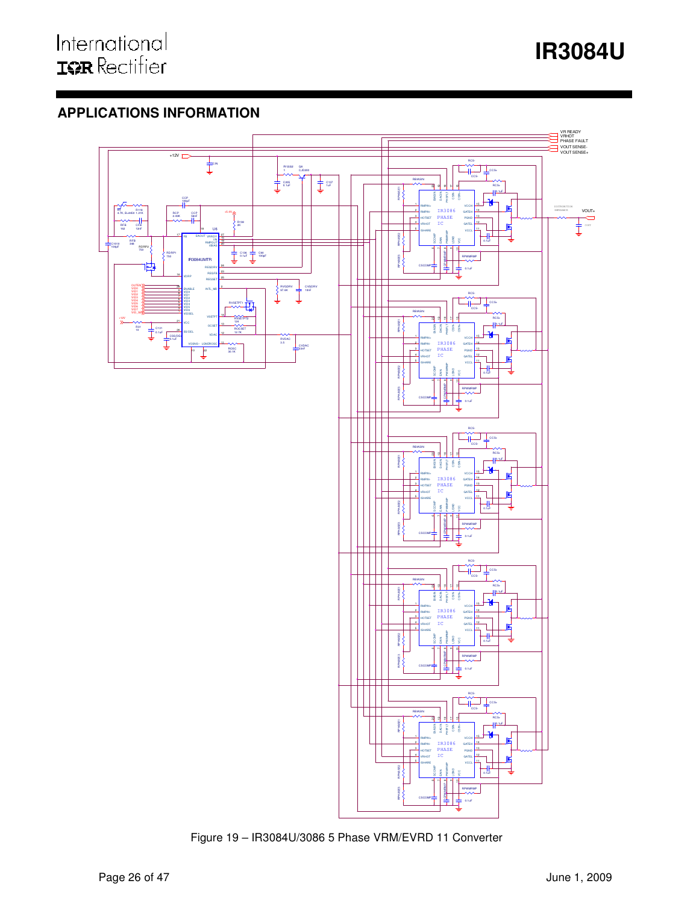# **APPLICATIONS INFORMATION**



Figure 19 – IR3084U/3086 5 Phase VRM/EVRD 11 Converter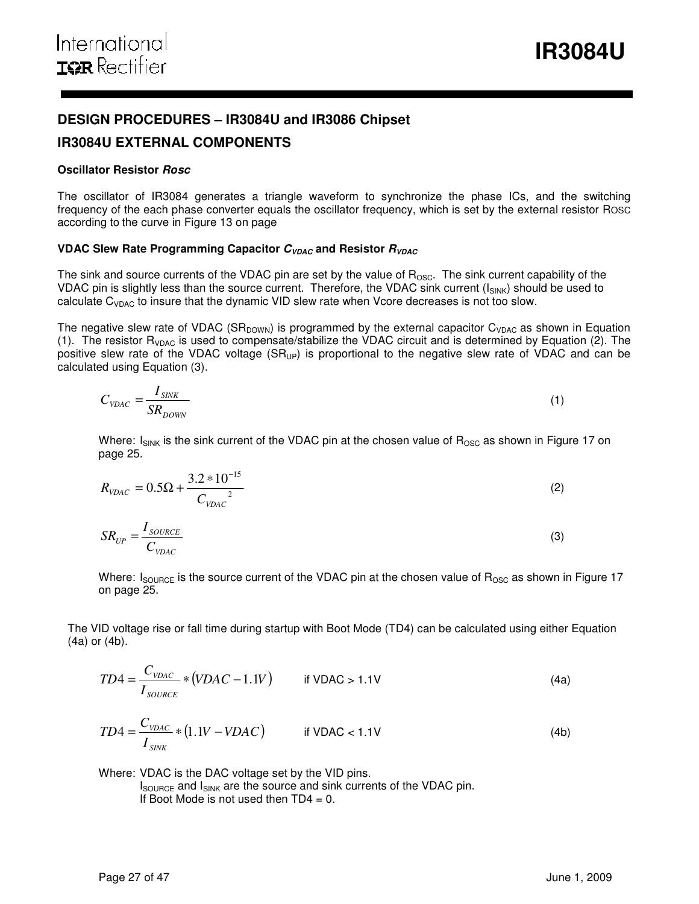# **DESIGN PROCEDURES – IR3084U and IR3086 Chipset**

# **IR3084U EXTERNAL COMPONENTS**

### **Oscillator Resistor Rosc**

The oscillator of IR3084 generates a triangle waveform to synchronize the phase ICs, and the switching frequency of the each phase converter equals the oscillator frequency, which is set by the external resistor ROSC according to the curve in Figure 13 on page

# **VDAC Slew Rate Programming Capacitor**  $C_{VDAC}$  **and Resistor**  $R_{VDAC}$

The sink and source currents of the VDAC pin are set by the value of  $R_{\text{OSC}}$ . The sink current capability of the VDAC pin is slightly less than the source current. Therefore, the VDAC sink current (I<sub>SINK</sub>) should be used to calculate  $C_{VDAC}$  to insure that the dynamic VID slew rate when Vcore decreases is not too slow.

The negative slew rate of VDAC (SR<sub>DOWN</sub>) is programmed by the external capacitor C<sub>VDAC</sub> as shown in Equation (1). The resistor  $R_{VDAC}$  is used to compensate/stabilize the VDAC circuit and is determined by Equation (2). The positive slew rate of the VDAC voltage  $(SR_{UP})$  is proportional to the negative slew rate of VDAC and can be calculated using Equation (3).

$$
C_{\text{VDAC}} = \frac{I_{\text{SINK}}}{SR_{\text{DOWN}}}
$$
\n(1)

Where:  $I_{SINK}$  is the sink current of the VDAC pin at the chosen value of  $R_{OSC}$  as shown in Figure 17 on page 25.

$$
R_{\text{VDAC}} = 0.5\Omega + \frac{3.2 \times 10^{-15}}{C_{\text{VDAC}}^2} \tag{2}
$$

$$
SR_{UP} = \frac{I_{\text{source}}}{C_{\text{VDAC}}} \tag{3}
$$

Where:  $I_{\text{SOURCE}}$  is the source current of the VDAC pin at the chosen value of  $R_{\text{OSC}}$  as shown in Figure 17 on page 25.

The VID voltage rise or fall time during startup with Boot Mode (TD4) can be calculated using either Equation (4a) or (4b).

$$
TD4 = \frac{C_{\text{VDAC}}}{I_{\text{source}}} * (VDAC - 1.1V) \qquad \text{if VDAC} > 1.1V \tag{4a}
$$

$$
TD4 = \frac{C_{\text{VDAC}}}{I_{\text{SINK}}} * (1.1V - VDAC) \qquad \text{if VDAC} < 1.1V \tag{4b}
$$

Where: VDAC is the DAC voltage set by the VID pins.

 $I_{\text{SOWRCE}}$  and  $I_{\text{SINK}}$  are the source and sink currents of the VDAC pin. If Boot Mode is not used then  $TD4 = 0$ .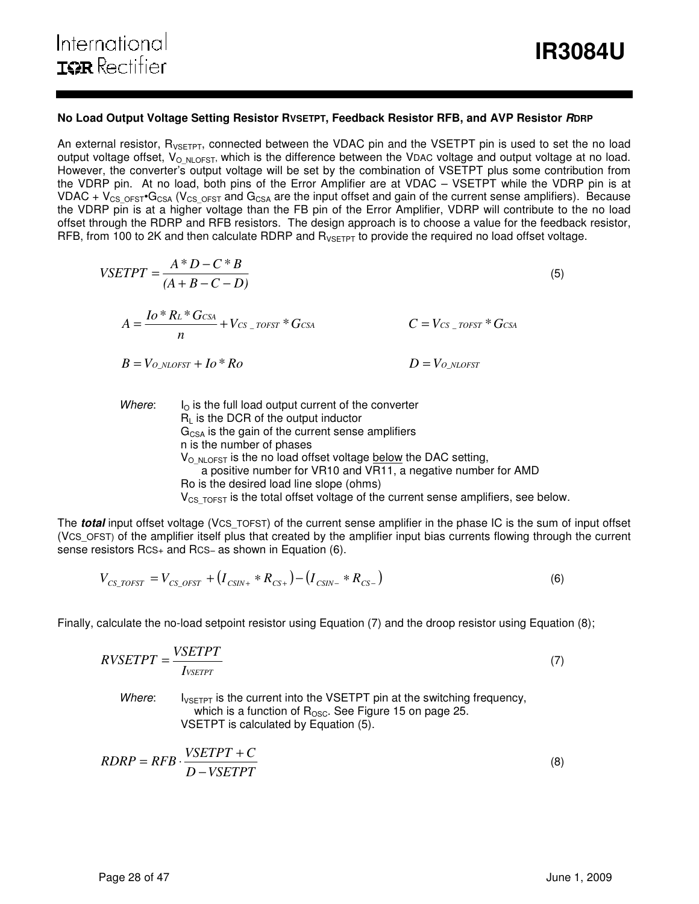### **No Load Output Voltage Setting Resistor RVSETPT, Feedback Resistor RFB, and AVP Resistor RDRP**

An external resistor, R<sub>VSETPT</sub>, connected between the VDAC pin and the VSETPT pin is used to set the no load output voltage offset,  $V_{\text{O-NLOFST}}$ , which is the difference between the VDAC voltage and output voltage at no load. However, the converter's output voltage will be set by the combination of VSETPT plus some contribution from the VDRP pin. At no load, both pins of the Error Amplifier are at VDAC – VSETPT while the VDRP pin is at VDAC +  $V_{CS$  <sub>OFST</sub>•G<sub>CSA</sub> ( $V_{CS}$  <sub>OFST</sub> and G<sub>CSA</sub> are the input offset and gain of the current sense amplifiers). Because the VDRP pin is at a higher voltage than the FB pin of the Error Amplifier, VDRP will contribute to the no load offset through the RDRP and RFB resistors. The design approach is to choose a value for the feedback resistor, RFB, from 100 to 2K and then calculate RDRP and  $R_{VSETPT}$  to provide the required no load offset voltage.

$$
VSETPT = \frac{A*D - C*B}{(A+B-C-D)}
$$
\n
$$
A = \frac{Io*RL*C_{CSA}}{n} + V_{CS\_TOFST}*G_{CSA}
$$
\n
$$
B = V_{O\_NLOFST} + Io*Ro
$$
\n
$$
D = V_{O\_NLOFST}
$$
\n(5)

Where:  $I<sub>O</sub>$  is the full load output current of the converter  $R_L$  is the DCR of the output inductor  $G<sub>CSA</sub>$  is the gain of the current sense amplifiers n is the number of phases  $V_{\text{O-NLOFST}}$  is the no load offset voltage below the DAC setting, a positive number for VR10 and VR11, a negative number for AMD Ro is the desired load line slope (ohms)  $V_{CS,TOFST}$  is the total offset voltage of the current sense amplifiers, see below.

The **total** input offset voltage (VCS\_TOFST) of the current sense amplifier in the phase IC is the sum of input offset (VCS\_OFST) of the amplifier itself plus that created by the amplifier input bias currents flowing through the current sense resistors Rcs+ and Rcs− as shown in Equation (6).

$$
V_{CS\_TOFST} = V_{CS\_OFST} + (I_{CSIN+} * R_{CS+}) - (I_{CSIN-} * R_{CS-})
$$
\n(6)

Finally, calculate the no-load setpoint resistor using Equation (7) and the droop resistor using Equation (8);

$$
RVSETPT = \frac{VSETPT}{I_{VSETPT}}\tag{7}
$$

Where:  $I_{V\ni FPT}$  is the current into the VSETPT pin at the switching frequency, which is a function of  $R_{\text{OSC}}$ . See Figure 15 on page 25. VSETPT is calculated by Equation (5).

$$
RDRP = RFB \cdot \frac{VSETPT + C}{D - VSETPT}
$$
\n(8)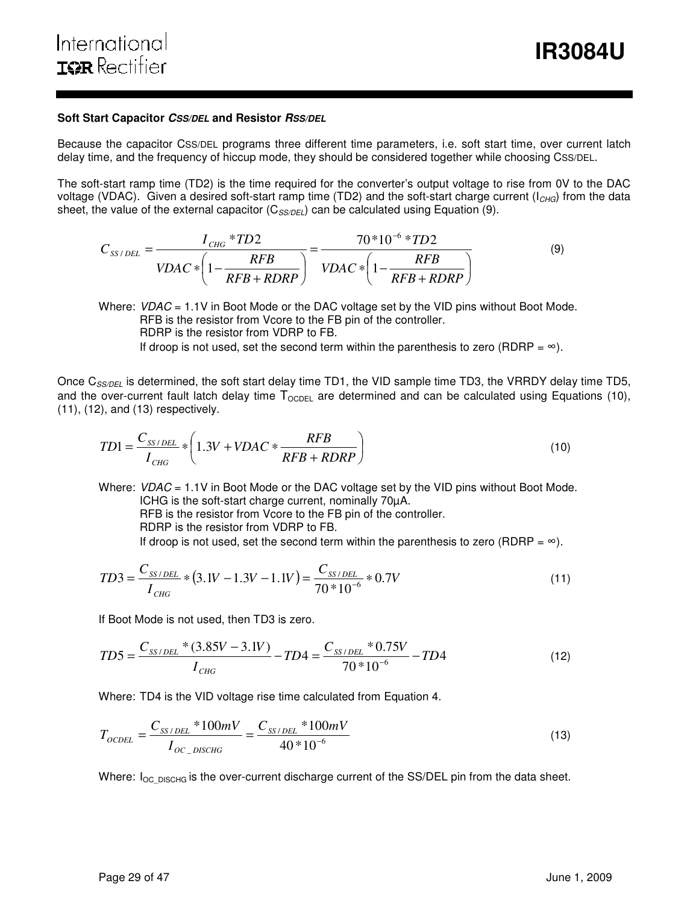### **Soft Start Capacitor CSS/DEL and Resistor RSS/DEL**

Because the capacitor CSS/DEL programs three different time parameters, i.e. soft start time, over current latch delay time, and the frequency of hiccup mode, they should be considered together while choosing CSS/DEL.

The soft-start ramp time (TD2) is the time required for the converter's output voltage to rise from 0V to the DAC voltage (VDAC). Given a desired soft-start ramp time (TD2) and the soft-start charge current ( $I_{CHG}$ ) from the data sheet, the value of the external capacitor ( $C_{SS/DEL}$ ) can be calculated using Equation (9).

$$
C_{SS/DEL} = \frac{I_{CHG} * TD2}{VDAC * \left(1 - \frac{RFB}{RFB + RDRP}\right)} = \frac{70 * 10^{-6} * TD2}{VDAC * \left(1 - \frac{RFB}{RFB + RDRP}\right)}
$$
(9)

Where:  $VDAC = 1.1V$  in Boot Mode or the DAC voltage set by the VID pins without Boot Mode. RFB is the resistor from Vcore to the FB pin of the controller. RDRP is the resistor from VDRP to FB. If droop is not used, set the second term within the parenthesis to zero (RDRP =  $\infty$ ).

Once  $C_{SS/DEL}$  is determined, the soft start delay time TD1, the VID sample time TD3, the VRRDY delay time TD5, and the over-current fault latch delay time  $T_{\text{OCDEL}}$  are determined and can be calculated using Equations (10), (11), (12), and (13) respectively.

$$
TD1 = \frac{C_{SS/DEL}}{I_{CHG}} * \left(1.3V + VDAC * \frac{RFB}{RFB + RDRP}\right)
$$
\n(10)

Where:  $VDAC = 1.1V$  in Boot Mode or the DAC voltage set by the VID pins without Boot Mode. ICHG is the soft-start charge current, nominally 70µA. RFB is the resistor from Vcore to the FB pin of the controller. RDRP is the resistor from VDRP to FB. If droop is not used, set the second term within the parenthesis to zero (RDRP =  $\infty$ ).

$$
TD3 = \frac{C_{SS/DEL}}{I_{CHG}} * (3.1V - 1.3V - 1.1V) = \frac{C_{SS/DEL}}{70 * 10^{-6}} * 0.7V
$$
\n(11)

If Boot Mode is not used, then TD3 is zero.

$$
TD5 = \frac{C_{SS/DEL} * (3.85V - 3.1V)}{I_{CHG}} - TD4 = \frac{C_{SS/DEL} * 0.75V}{70 * 10^{-6}} - TD4
$$
\n(12)

Where: TD4 is the VID voltage rise time calculated from Equation 4.

$$
T_{OCDEL} = \frac{C_{SS/DEL} * 100mV}{I_{OC\_DISCHG}} = \frac{C_{SS/DEL} * 100mV}{40 * 10^{-6}}
$$
(13)

Where:  $I_{OC-DISCHG}$  is the over-current discharge current of the SS/DEL pin from the data sheet.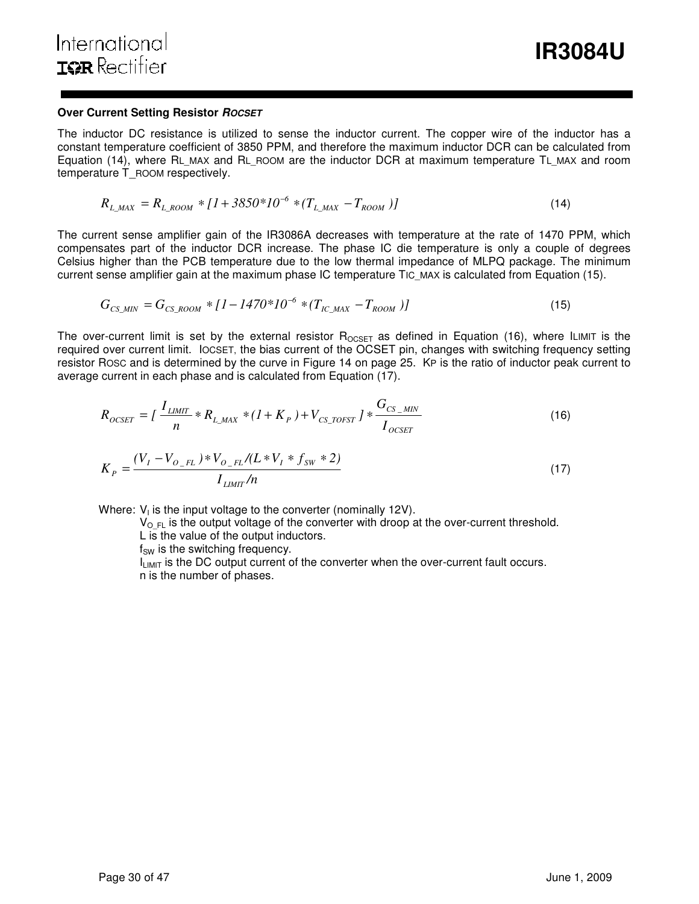### **Over Current Setting Resistor ROCSET**

The inductor DC resistance is utilized to sense the inductor current. The copper wire of the inductor has a constant temperature coefficient of 3850 PPM, and therefore the maximum inductor DCR can be calculated from Equation (14), where RL\_MAX and RL\_ROOM are the inductor DCR at maximum temperature TL\_MAX and room temperature T\_ROOM respectively.

$$
R_{L\_MAX} = R_{L\_Room} * [1 + 3850 * 10^{-6} * (T_{L\_MAX} - T_{ROM})]
$$
\n(14)

The current sense amplifier gain of the IR3086A decreases with temperature at the rate of 1470 PPM, which compensates part of the inductor DCR increase. The phase IC die temperature is only a couple of degrees Celsius higher than the PCB temperature due to the low thermal impedance of MLPQ package. The minimum current sense amplifier gain at the maximum phase IC temperature TIC\_MAX is calculated from Equation (15).

$$
G_{CS\_MIN} = G_{CS\_Room} * [1 - 1470 * 10^{-6} * (T_{IC\_MAX} - T_{ROM})]
$$
\n(15)

The over-current limit is set by the external resistor  $R_{OCSET}$  as defined in Equation (16), where ILIMIT is the required over current limit. IOCSET, the bias current of the OCSET pin, changes with switching frequency setting resistor ROSC and is determined by the curve in Figure 14 on page 25. KP is the ratio of inductor peak current to average current in each phase and is calculated from Equation (17).

$$
R_{OCSET} = \left[ \frac{I_{LIMIT}}{n} * R_{L\_MAX} * (1 + K_P) + V_{CS\_TOFST} \right] * \frac{G_{CS\_MIN}}{I_{OCSET}}
$$
(16)

$$
K_{P} = \frac{(V_{I} - V_{O_{-FL}}) * V_{O_{-FL}}/(L * V_{I} * f_{SW} * 2)}{I_{LIMIT}/n}
$$
\n(17)

Where:  $V_1$  is the input voltage to the converter (nominally 12V).

 $V_{\text{O-FL}}$  is the output voltage of the converter with droop at the over-current threshold.

L is the value of the output inductors.

 $f<sub>SW</sub>$  is the switching frequency.

I<sub>LIMIT</sub> is the DC output current of the converter when the over-current fault occurs. n is the number of phases.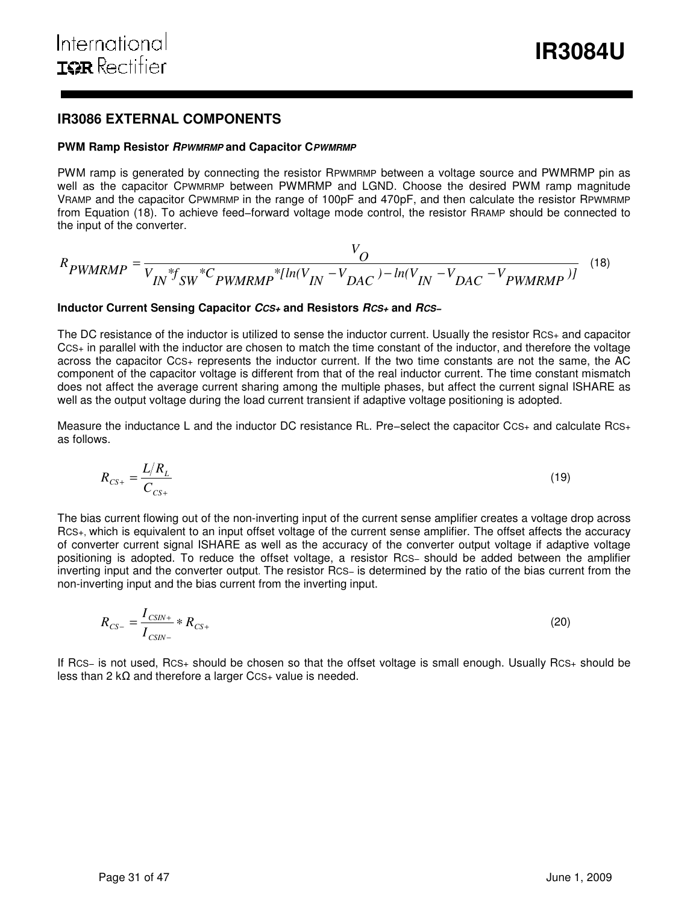# **IR3086 EXTERNAL COMPONENTS**

#### **PWM Ramp Resistor RPWMRMP and Capacitor CPWMRMP**

PWM ramp is generated by connecting the resistor RPWMRMP between a voltage source and PWMRMP pin as well as the capacitor CPWMRMP between PWMRMP and LGND. Choose the desired PWM ramp magnitude VRAMP and the capacitor CPWMRMP in the range of 100pF and 470pF, and then calculate the resistor RPWMRMP from Equation (18). To achieve feed−forward voltage mode control, the resistor RRAMP should be connected to the input of the converter.

$$
R_{PWMRMP} = \frac{V_O}{V_{IN} * f_{SW} * C_{PWMRMP} * [ln(V_{IN} - V_{DAC}) - ln(V_{IN} - V_{DAC} - V_{PWMRMP})]} \quad (18)
$$

#### **Inductor Current Sensing Capacitor CCS+ and Resistors RCS+ and RCS−**

The DC resistance of the inductor is utilized to sense the inductor current. Usually the resistor RCS+ and capacitor CCS+ in parallel with the inductor are chosen to match the time constant of the inductor, and therefore the voltage across the capacitor CCS+ represents the inductor current. If the two time constants are not the same, the AC component of the capacitor voltage is different from that of the real inductor current. The time constant mismatch does not affect the average current sharing among the multiple phases, but affect the current signal ISHARE as well as the output voltage during the load current transient if adaptive voltage positioning is adopted.

Measure the inductance L and the inductor DC resistance RL. Pre−select the capacitor CCS+ and calculate RCS+ as follows.

$$
R_{CS+} = \frac{L/R_L}{C_{CS+}}\tag{19}
$$

The bias current flowing out of the non-inverting input of the current sense amplifier creates a voltage drop across RCS+, which is equivalent to an input offset voltage of the current sense amplifier. The offset affects the accuracy of converter current signal ISHARE as well as the accuracy of the converter output voltage if adaptive voltage positioning is adopted. To reduce the offset voltage, a resistor RCS− should be added between the amplifier inverting input and the converter output. The resistor RCS− is determined by the ratio of the bias current from the non-inverting input and the bias current from the inverting input.

$$
R_{CS-} = \frac{I_{CSIN+}}{I_{CSIN-}} * R_{CS+}
$$
 (20)

If RCS− is not used, RCS+ should be chosen so that the offset voltage is small enough. Usually RCS+ should be less than 2 kΩ and therefore a larger CcS+ value is needed.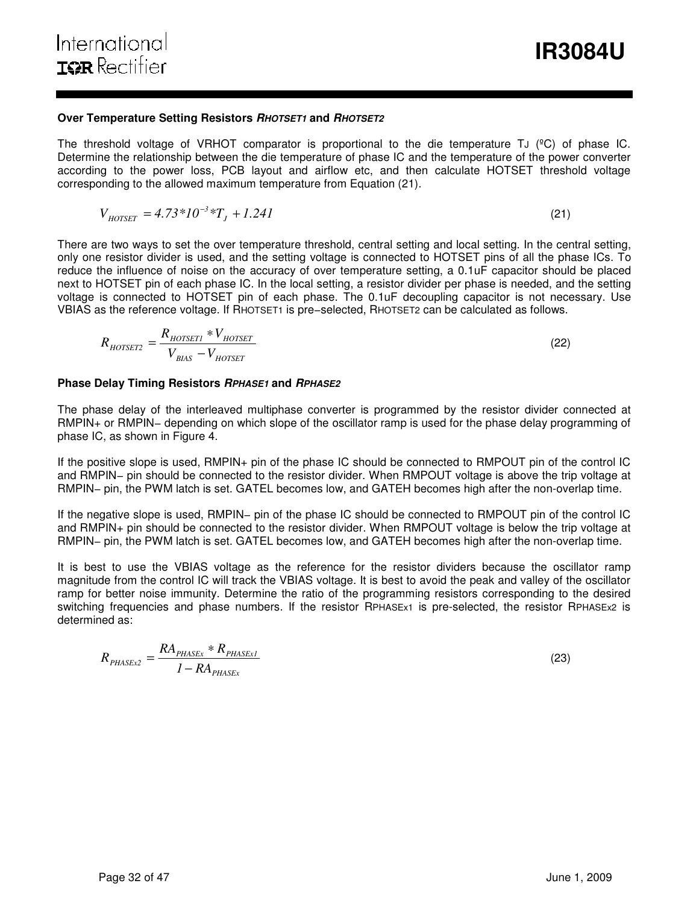# **Over Temperature Setting Resistors RHOTSET1 and RHOTSET2**

The threshold voltage of VRHOT comparator is proportional to the die temperature TJ ( $°C$ ) of phase IC. Determine the relationship between the die temperature of phase IC and the temperature of the power converter according to the power loss, PCB layout and airflow etc, and then calculate HOTSET threshold voltage corresponding to the allowed maximum temperature from Equation (21).

$$
V_{HOTSET} = 4.73 \times 10^{-3} \times T_J + 1.241 \tag{21}
$$

There are two ways to set the over temperature threshold, central setting and local setting. In the central setting, only one resistor divider is used, and the setting voltage is connected to HOTSET pins of all the phase ICs. To reduce the influence of noise on the accuracy of over temperature setting, a 0.1uF capacitor should be placed next to HOTSET pin of each phase IC. In the local setting, a resistor divider per phase is needed, and the setting voltage is connected to HOTSET pin of each phase. The 0.1uF decoupling capacitor is not necessary. Use VBIAS as the reference voltage. If RHOTSET1 is pre−selected, RHOTSET2 can be calculated as follows.

$$
R_{HOTSET2} = \frac{R_{HOTSET1} * V_{HOTSET}}{V_{BIAS} - V_{HOTSET}}\tag{22}
$$

# **Phase Delay Timing Resistors RPHASE1 and RPHASE2**

The phase delay of the interleaved multiphase converter is programmed by the resistor divider connected at RMPIN+ or RMPIN– depending on which slope of the oscillator ramp is used for the phase delay programming of phase IC, as shown in Figure 4.

If the positive slope is used, RMPIN+ pin of the phase IC should be connected to RMPOUT pin of the control IC and RMPIN− pin should be connected to the resistor divider. When RMPOUT voltage is above the trip voltage at RMPIN– pin, the PWM latch is set. GATEL becomes low, and GATEH becomes high after the non-overlap time.

If the negative slope is used, RMPIN− pin of the phase IC should be connected to RMPOUT pin of the control IC and RMPIN+ pin should be connected to the resistor divider. When RMPOUT voltage is below the trip voltage at RMPIN− pin, the PWM latch is set. GATEL becomes low, and GATEH becomes high after the non-overlap time.

It is best to use the VBIAS voltage as the reference for the resistor dividers because the oscillator ramp magnitude from the control IC will track the VBIAS voltage. It is best to avoid the peak and valley of the oscillator ramp for better noise immunity. Determine the ratio of the programming resistors corresponding to the desired switching frequencies and phase numbers. If the resistor RPHASEx1 is pre-selected, the resistor RPHASEx2 is determined as:

$$
R_{PHASEx2} = \frac{RA_{PHASEx} * R_{PHASEx1}}{1 - RA_{PHASEx}}
$$
\n(23)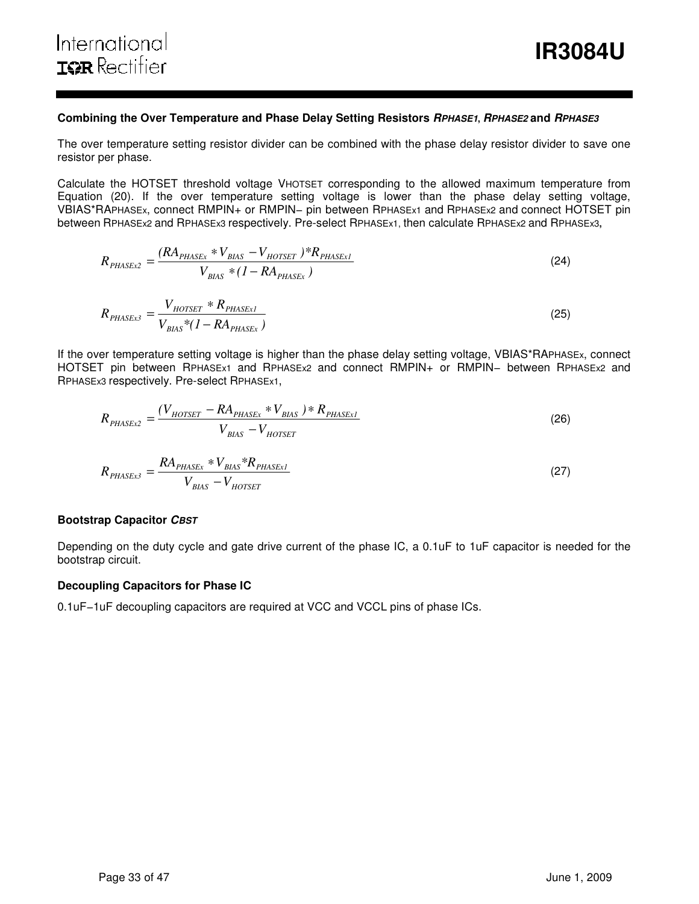#### **Combining the Over Temperature and Phase Delay Setting Resistors RPHASE1, RPHASE2 and RPHASE3**

The over temperature setting resistor divider can be combined with the phase delay resistor divider to save one resistor per phase.

Calculate the HOTSET threshold voltage VHOTSET corresponding to the allowed maximum temperature from Equation (20). If the over temperature setting voltage is lower than the phase delay setting voltage, VBIAS\*RAPHASEx, connect RMPIN+ or RMPIN− pin between RPHASEx1 and RPHASEx2 and connect HOTSET pin between RPHASEx2 and RPHASEx3 respectively. Pre-select RPHASEx1, then calculate RPHASEx2 and RPHASEx3**,** 

$$
R_{PHASEx2} = \frac{(RA_{PHASEx} * V_{BIAS} - V_{HOTSET}) * R_{PHASEx1}}{V_{BIAS} * (1 - RA_{PHASEx})}
$$
(24)

$$
R_{PHASEx3} = \frac{V_{HOTSET} * R_{PHASEx1}}{V_{BIAS} * (1 - RA_{PHASEx})}
$$
\n(25)

If the over temperature setting voltage is higher than the phase delay setting voltage, VBIAS\*RAPHASEx, connect HOTSET pin between RPHASEx1 and RPHASEx2 and connect RMPIN+ or RMPIN– between RPHASEx2 and RPHASEx3 respectively. Pre-select RPHASEx1,

$$
R_{PHASEx2} = \frac{(V_{HOTSET} - RA_{PHASEx} * V_{BIAS}) * R_{PHASEx1}}{V_{BIAS} - V_{HOTSET}}
$$
(26)

$$
R_{PHASEx3} = \frac{RA_{PHASEx} * V_{BIAS} * R_{PHASEx1}}{V_{BIAS} - V_{HOTSET}}
$$
\n(27)

#### **Bootstrap Capacitor CBST**

Depending on the duty cycle and gate drive current of the phase IC, a 0.1uF to 1uF capacitor is needed for the bootstrap circuit.

#### **Decoupling Capacitors for Phase IC**

0.1uF−1uF decoupling capacitors are required at VCC and VCCL pins of phase ICs.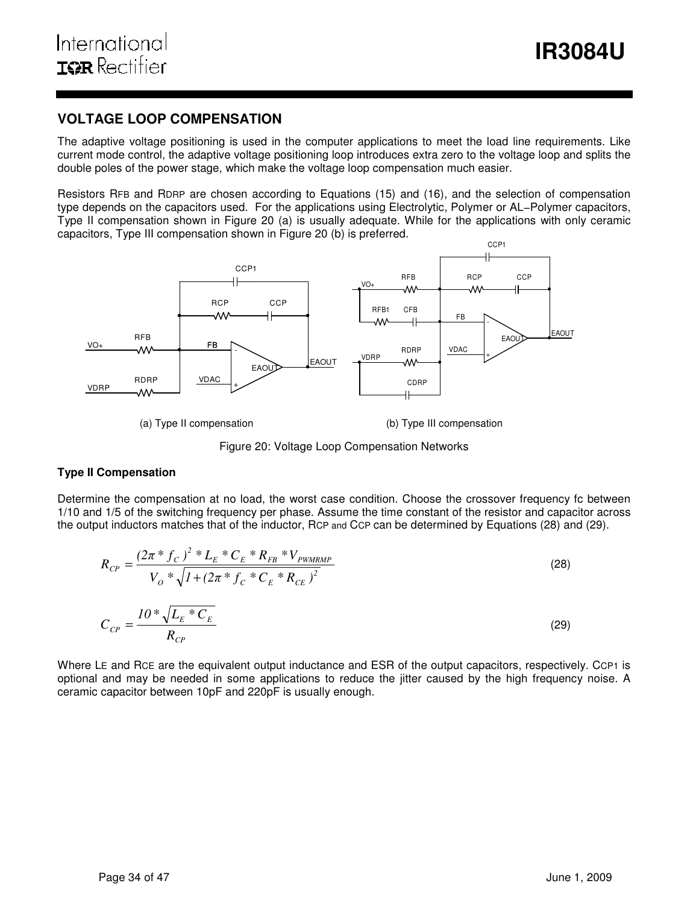# **VOLTAGE LOOP COMPENSATION**

The adaptive voltage positioning is used in the computer applications to meet the load line requirements. Like current mode control, the adaptive voltage positioning loop introduces extra zero to the voltage loop and splits the double poles of the power stage, which make the voltage loop compensation much easier.

Resistors RFB and RDRP are chosen according to Equations (15) and (16), and the selection of compensation type depends on the capacitors used. For the applications using Electrolytic, Polymer or AL−Polymer capacitors, Type II compensation shown in Figure 20 (a) is usually adequate. While for the applications with only ceramic capacitors, Type III compensation shown in Figure 20 (b) is preferred.



(a) Type II compensation (b) Type III compensation



### **Type II Compensation**

Determine the compensation at no load, the worst case condition. Choose the crossover frequency fc between 1/10 and 1/5 of the switching frequency per phase. Assume the time constant of the resistor and capacitor across the output inductors matches that of the inductor, RCP and CCP can be determined by Equations (28) and (29).

$$
R_{CP} = \frac{(2\pi * f_C)^2 * L_E * C_E * R_{FB} * V_{PWMRMP}}{V_o * \sqrt{I + (2\pi * f_C * C_E * R_{CE})^2}}
$$
(28)  

$$
C_{CP} = \frac{I0 * \sqrt{L_E * C_E}}{R_{CP}}
$$
 (29)

Where LE and RCE are the equivalent output inductance and ESR of the output capacitors, respectively. CCP1 is optional and may be needed in some applications to reduce the jitter caused by the high frequency noise. A ceramic capacitor between 10pF and 220pF is usually enough.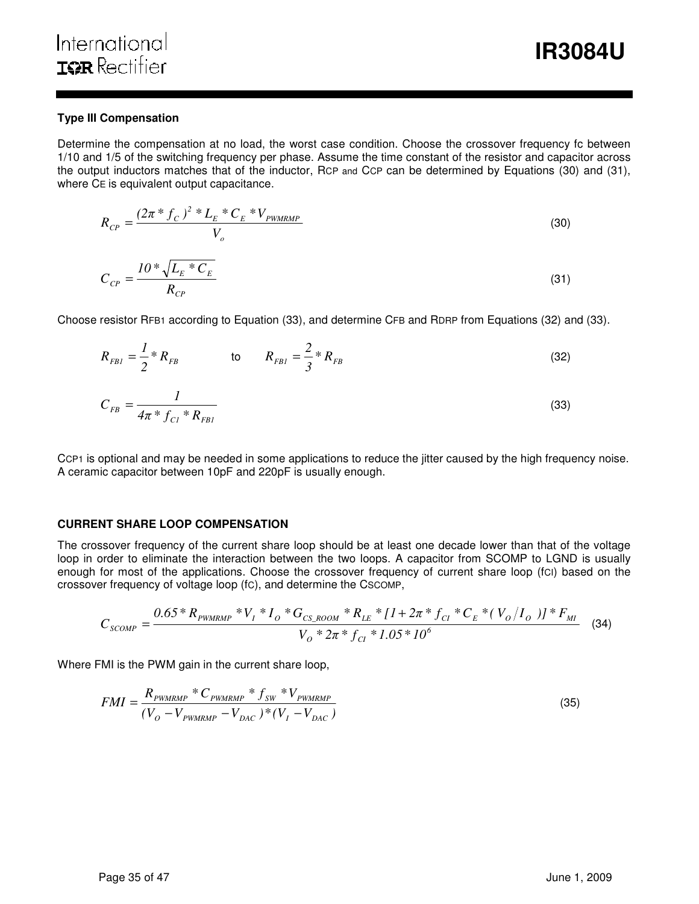### **Type III Compensation**

Determine the compensation at no load, the worst case condition. Choose the crossover frequency fc between 1/10 and 1/5 of the switching frequency per phase. Assume the time constant of the resistor and capacitor across the output inductors matches that of the inductor, RCP and CCP can be determined by Equations (30) and (31), where CE is equivalent output capacitance.

$$
R_{CP} = \frac{(2\pi * f_C)^2 * L_E * C_E * V_{PWMRMP}}{V_o}
$$
(30)

$$
C_{CP} = \frac{10 \times \sqrt{L_E \times C_E}}{R_{CP}}
$$
 (31)

Choose resistor RFB1 according to Equation (33), and determine CFB and RDRP from Equations (32) and (33).

$$
R_{FBI} = \frac{I}{2} * R_{FB} \qquad \qquad \text{to} \qquad R_{FBI} = \frac{2}{3} * R_{FB} \qquad \qquad (32)
$$

$$
C_{FB} = \frac{1}{4\pi \, ^{*} f_{Cl} \, ^{*} R_{FBI}} \tag{33}
$$

CCP1 is optional and may be needed in some applications to reduce the jitter caused by the high frequency noise. A ceramic capacitor between 10pF and 220pF is usually enough.

### **CURRENT SHARE LOOP COMPENSATION**

The crossover frequency of the current share loop should be at least one decade lower than that of the voltage loop in order to eliminate the interaction between the two loops. A capacitor from SCOMP to LGND is usually enough for most of the applications. Choose the crossover frequency of current share loop (fCI) based on the crossover frequency of voltage loop (fC), and determine the CSCOMP,

$$
C_{SCOMP} = \frac{0.65 * R_{PWMRMP} * V_I * I_O * G_{CS\_ROOM} * R_{LE} * [1 + 2\pi * f_{Cl} * C_E * (V_O/I_O)] * F_{MI}}{V_O * 2\pi * f_{Cl} * 1.05 * 10^6}
$$
(34)

Where FMI is the PWM gain in the current share loop,

$$
FMI = \frac{R_{\text{PWMRMP}} * C_{\text{PWMRMP}} * f_{\text{SW}} * V_{\text{PWMRMP}}}{(V_O - V_{\text{PWMRMP}} - V_{\text{DAC}})^* (V_I - V_{\text{DAC}})} \tag{35}
$$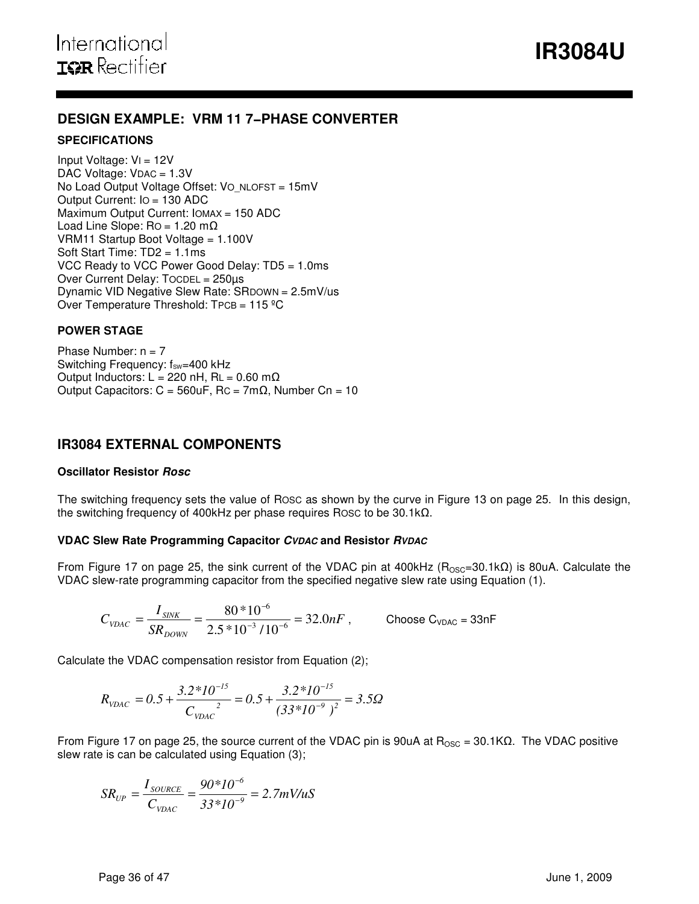# **DESIGN EXAMPLE: VRM 11 7−PHASE CONVERTER**

### **SPECIFICATIONS**

Input Voltage: VI = 12V DAC Voltage: VDAC = 1.3V No Load Output Voltage Offset: VO\_NLOFST = 15mV Output Current: IO = 130 ADC Maximum Output Current: IOMAX = 150 ADC Load Line Slope:  $Ro = 1.20 \text{ m}\Omega$ VRM11 Startup Boot Voltage = 1.100V Soft Start Time: TD2 = 1.1ms VCC Ready to VCC Power Good Delay: TD5 = 1.0ms Over Current Delay: TOCDEL = 250µs Dynamic VID Negative Slew Rate: SRDOWN = 2.5mV/us Over Temperature Threshold: TPCB = 115 ºC

# **POWER STAGE**

Phase Number:  $n = 7$ Switching Frequency:  $f_{sw}=400$  kHz Output Inductors: L = 220 nH, RL =  $0.60$  m $\Omega$ Output Capacitors:  $C = 560$ uF, Rc = 7m $\Omega$ , Number Cn = 10

# **IR3084 EXTERNAL COMPONENTS**

# **Oscillator Resistor Rosc**

The switching frequency sets the value of ROSC as shown by the curve in Figure 13 on page 25. In this design, the switching frequency of 400kHz per phase requires ROSC to be 30.1kΩ.

# **VDAC Slew Rate Programming Capacitor CVDAC and Resistor RVDAC**

From Figure 17 on page 25, the sink current of the VDAC pin at 400kHz ( $R_{\text{OSC}}$ =30.1kΩ) is 80uA. Calculate the VDAC slew-rate programming capacitor from the specified negative slew rate using Equation (1).

$$
C_{\text{VDAC}} = \frac{I_{\text{SINK}}}{SR_{\text{DOWN}}} = \frac{80*10^{-6}}{2.5*10^{-3}/10^{-6}} = 32.0nF
$$
, Choose C<sub>VDAC</sub> = 33nF

Calculate the VDAC compensation resistor from Equation (2);

$$
R_{\text{VDAC}} = 0.5 + \frac{3.2 \cdot 10^{-15}}{C_{\text{VDAC}}^2} = 0.5 + \frac{3.2 \cdot 10^{-15}}{(33 \cdot 10^{-9})^2} = 3.5 \Omega
$$

From Figure 17 on page 25, the source current of the VDAC pin is 90uA at  $R_{\text{OSC}} = 30.1 KΩ$ . The VDAC positive slew rate is can be calculated using Equation (3);

$$
SR_{UP} = \frac{I_{\text{SOLRCE}}}{C_{\text{VDAC}}} = \frac{90*10^{-6}}{33*10^{-9}} = 2.7 \text{mV/uS}
$$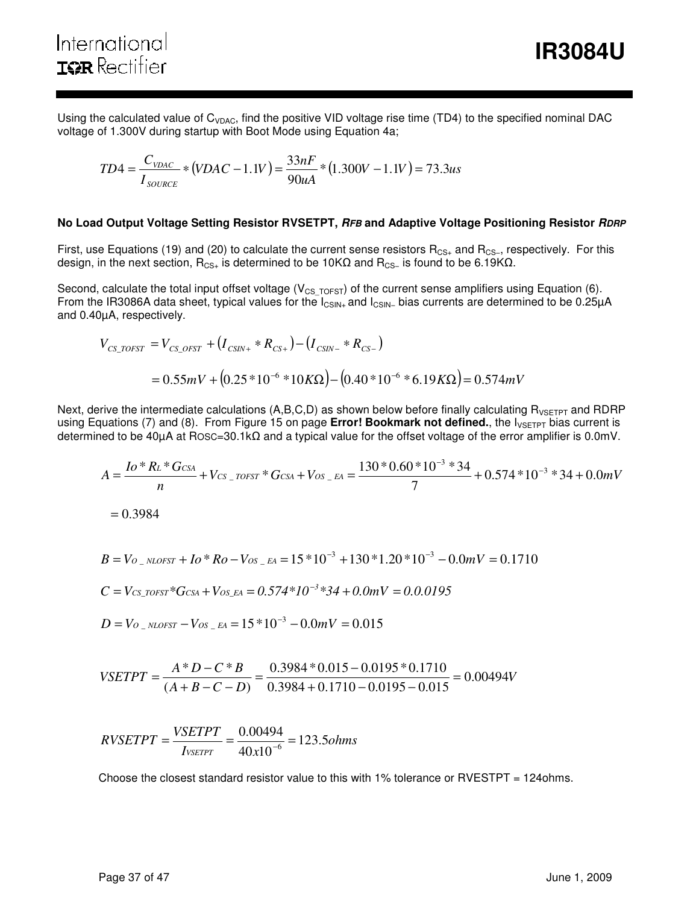Using the calculated value of  $C_{VDAC}$ , find the positive VID voltage rise time (TD4) to the specified nominal DAC voltage of 1.300V during startup with Boot Mode using Equation 4a;

$$
TD4 = \frac{C_{\text{VDAC}}}{I_{\text{SOLVECE}}} * (VDAC - 1.1V) = \frac{33nF}{90uA} * (1.300V - 1.1V) = 73.3us
$$

#### **No Load Output Voltage Setting Resistor RVSETPT, RFB and Adaptive Voltage Positioning Resistor RDRP**

First, use Equations (19) and (20) to calculate the current sense resistors R<sub>CS+</sub> and R<sub>CS−</sub>, respectively. For this design, in the next section,  $R_{CS+}$  is determined to be 10KΩ and  $R_{CS-}$  is found to be 6.19KΩ.

Second, calculate the total input offset voltage ( $V_{CS\_TOFST}$ ) of the current sense amplifiers using Equation (6). From the IR3086A data sheet, typical values for the I<sub>CSIN+</sub> and I<sub>CSIN−</sub> bias currents are determined to be 0.25μA and 0.40µA, respectively.

$$
V_{CS\_TOFST} = V_{CS\_OFST} + (I_{CSIN+} * R_{CS+}) - (I_{CSIN-} * R_{CS-})
$$
  
= 0.55mV + (0.25 \* 10<sup>-6</sup> \* 10KΩ) – (0.40 \* 10<sup>-6</sup> \* 6.19KΩ) = 0.574mV

Next, derive the intermediate calculations  $(A,B,C,D)$  as shown below before finally calculating  $R_{VSETPT}$  and RDRP using Equations (7) and (8). From Figure 15 on page Error! Bookmark not defined., the I<sub>VSETPT</sub> bias current is determined to be 40µA at ROSC=30.1kΩ and a typical value for the offset voltage of the error amplifier is 0.0mV.

$$
A = \frac{I_0 * R_L * G_{CSA}}{n} + V_{CS\_TOST} * G_{CSA} + V_{OS\_EA} = \frac{130 * 0.60 * 10^{-3} * 34}{7} + 0.574 * 10^{-3} * 34 + 0.0 mV
$$

 $= 0.3984$ 

$$
B = V_{O_{-}NLOFST} + I_0 * R_O - V_{OS_{-}EA} = 15 * 10^{-3} + 130 * 1.20 * 10^{-3} - 0.0 mV = 0.1710
$$

$$
C = V_{CS\_TOST} * G_{CSA} + V_{OS\_EA} = 0.574 * 10^{-3} * 34 + 0.0 mV = 0.0.0195
$$

$$
D = V_{O_{\rm -NLOFST}} - V_{OS_{\rm -}EA} = 15*10^{-3} - 0.0mV = 0.015
$$

$$
VSETPT = \frac{A*D - C*B}{(A+B-C-D)} = \frac{0.3984*0.015 - 0.0195*0.1710}{0.3984 + 0.1710 - 0.0195 - 0.015} = 0.00494V
$$

$$
RVSETPT = \frac{VSETPT}{I_{VSETPT}} = \frac{0.00494}{40 \times 10^{-6}} = 123.5 ohms
$$

Choose the closest standard resistor value to this with 1% tolerance or RVESTPT = 124ohms.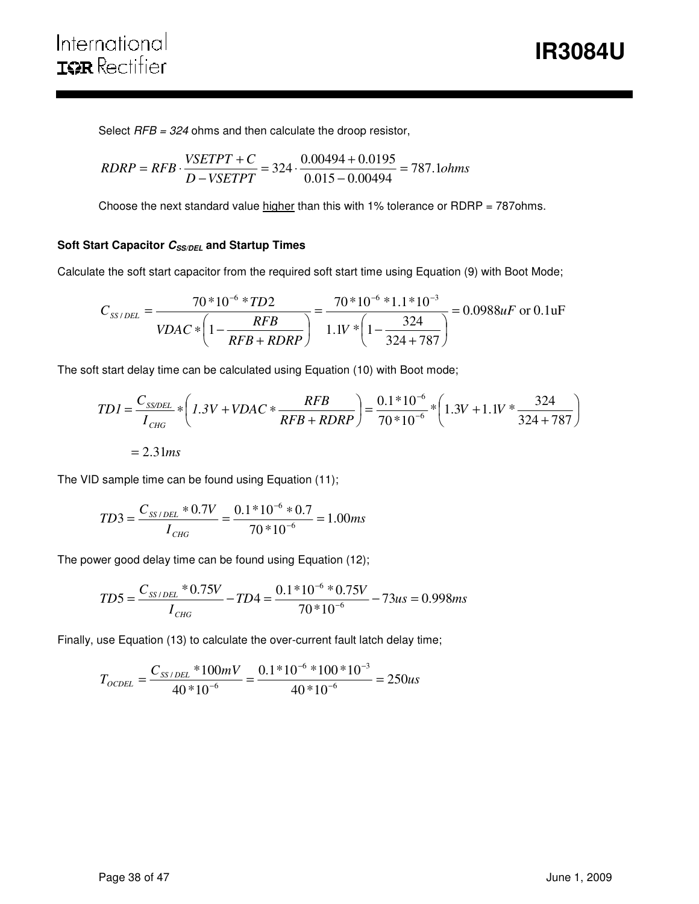Select  $RFB = 324$  ohms and then calculate the droop resistor,

$$
RDRP = RFB \cdot \frac{VSETPT + C}{D - VSETPT} = 324 \cdot \frac{0.00494 + 0.0195}{0.015 - 0.00494} = 787.1 ohms
$$

Choose the next standard value higher than this with 1% tolerance or RDRP =  $787$ ohms.

# **Soft Start Capacitor**  $C_{SS/DEL}$  **and Startup Times**

Calculate the soft start capacitor from the required soft start time using Equation (9) with Boot Mode;

$$
C_{SS/DEL} = \frac{70*10^{-6}*TD2}{VDAC*\left(1-\frac{RFB}{RFB+RDRP}\right)} = \frac{70*10^{-6}*1.1*10^{-3}}{1.1V*\left(1-\frac{324}{324+787}\right)} = 0.0988uF \text{ or } 0.1uF
$$

The soft start delay time can be calculated using Equation (10) with Boot mode;

$$
TDI = \frac{C_{SSDEL}}{I_{CHG}} * \left( 1.3V + VDAC * \frac{RFB}{RFB + RDRP} \right) = \frac{0.1 * 10^{-6}}{70 * 10^{-6}} * \left( 1.3V + 1.1V * \frac{324}{324 + 787} \right)
$$

$$
= 2.31ms
$$

The VID sample time can be found using Equation (11);

$$
TD3 = \frac{C_{SS/DEL} * 0.7V}{I_{CHG}} = \frac{0.1 * 10^{-6} * 0.7}{70 * 10^{-6}} = 1.00ms
$$

The power good delay time can be found using Equation (12);

$$
TD5 = \frac{C_{SS/DEL} * 0.75V}{I_{CHG}} - TD4 = \frac{0.1 * 10^{-6} * 0.75V}{70 * 10^{-6}} - 73us = 0.998ms
$$

Finally, use Equation (13) to calculate the over-current fault latch delay time;

$$
T_{\text{OCDEL}} = \frac{C_{SS/DEL} * 100mV}{40 * 10^{-6}} = \frac{0.1 * 10^{-6} * 100 * 10^{-3}}{40 * 10^{-6}} = 250us
$$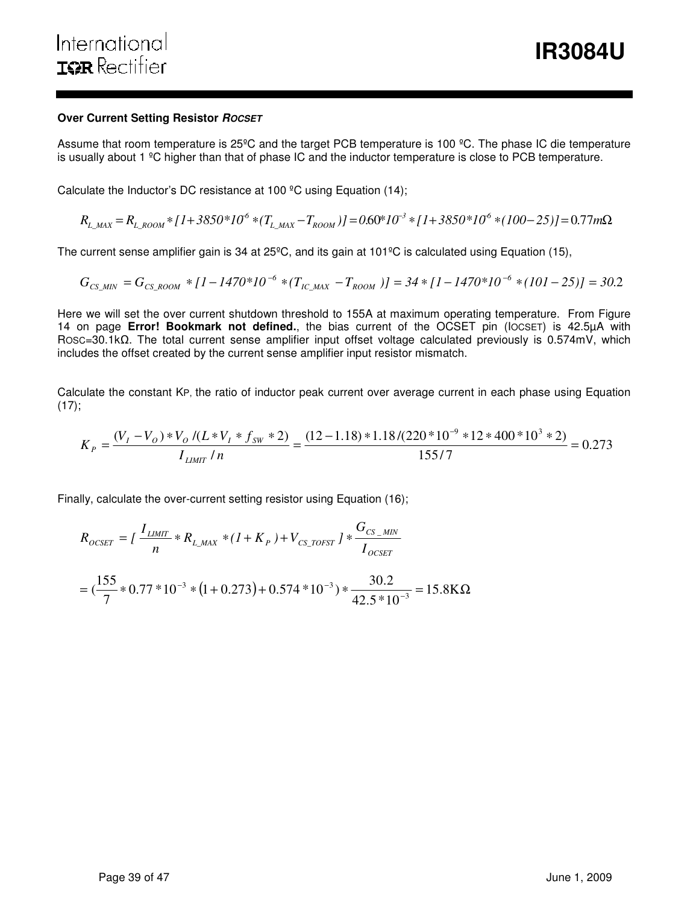#### **Over Current Setting Resistor ROCSET**

Assume that room temperature is 25ºC and the target PCB temperature is 100 ºC. The phase IC die temperature is usually about 1 ºC higher than that of phase IC and the inductor temperature is close to PCB temperature.

Calculate the Inductor's DC resistance at 100 ºC using Equation (14);

$$
R_{L\_MAX} = R_{L\_ROOM} * [1 + 3850 * 10^6 * (T_{L\_MAX} - T_{ROOM})] = 0.60 * 10^{-3} * [1 + 3850 * 10^6 * (100 - 25)] = 0.77 m\Omega
$$

The current sense amplifier gain is 34 at 25ºC, and its gain at 101ºC is calculated using Equation (15),

$$
G_{CS\_MIN} = G_{CS\_Room} * [1 - 1470 * 10^{-6} * (T_{IC\_MAX} - T_{ROM})] = 34 * [1 - 1470 * 10^{-6} * (101 - 25)] = 30.2
$$

Here we will set the over current shutdown threshold to 155A at maximum operating temperature. From Figure 14 on page **Error! Bookmark not defined.**, the bias current of the OCSET pin (IOCSET) is 42.5µA with ROSC=30.1kΩ. The total current sense amplifier input offset voltage calculated previously is 0.574mV, which includes the offset created by the current sense amplifier input resistor mismatch.

Calculate the constant KP, the ratio of inductor peak current over average current in each phase using Equation  $(17);$ 

$$
K_P = \frac{(V_I - V_o) * V_o / (L * V_I * f_{SW} * 2)}{I_{LIMIT}/n} = \frac{(12 - 1.18) * 1.18 / (220 * 10^{-9} * 12 * 400 * 10^3 * 2)}{155 / 7} = 0.273
$$

Finally, calculate the over-current setting resistor using Equation (16);

$$
R_{OCSET} = \left[ \frac{I_{LIMIT}}{n} * R_{L\_MAX} * (1 + K_P) + V_{CS\_TOFST} \right] * \frac{G_{CS\_MIN}}{I_{OCSET}}
$$

$$
= \left(\frac{155}{7} * 0.77 * 10^{-3} * (1 + 0.273) + 0.574 * 10^{-3}\right) * \frac{30.2}{42.5 * 10^{-3}} = 15.8 \text{K}\Omega
$$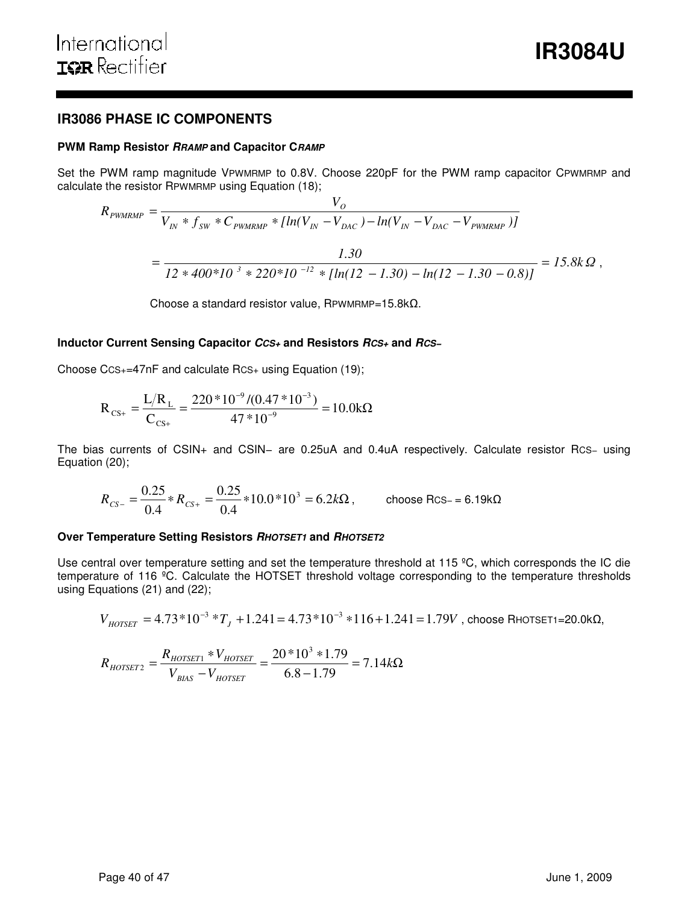# **IR3086 PHASE IC COMPONENTS**

#### **PWM Ramp Resistor RRAMP and Capacitor CRAMP**

Set the PWM ramp magnitude VPWMRMP to 0.8V. Choose 220pF for the PWM ramp capacitor CPWMRMP and calculate the resistor RPWMRMP using Equation (18);

$$
R_{\text{PWMRMP}} = \frac{V_O}{V_{IN} * f_{SW} * C_{\text{PWMRMP}} * [ln(V_{IN} - V_{DAC}) - ln(V_{IN} - V_{DAC} - V_{\text{PWMRMP}})]}
$$
  
= 
$$
\frac{1.30}{12 * 400 * 10^{-3} * 220 * 10^{-12} * [ln(12 - 1.30) - ln(12 - 1.30 - 0.8)]} = 15.8 k \Omega,
$$

Choose a standard resistor value, RPWMRMP=15.8kΩ.

#### **Inductor Current Sensing Capacitor CCS+ and Resistors RCS+ and RCS−**

Choose CCS+=47nF and calculate RCS+ using Equation (19);

$$
R_{\text{CS+}} = \frac{L/R_{\text{L}}}{C_{\text{CS+}}} = \frac{220 * 10^{-9} / (0.47 * 10^{-3})}{47 * 10^{-9}} = 10.0 \text{k}\Omega
$$

The bias currents of CSIN+ and CSIN− are 0.25uA and 0.4uA respectively. Calculate resistor RCS− using Equation (20);

$$
R_{CS-} = \frac{0.25}{0.4} * R_{CS+} = \frac{0.25}{0.4} * 10.0 * 10^3 = 6.2 k\Omega, \qquad \text{choose RCS} = 6.19 k\Omega
$$

#### **Over Temperature Setting Resistors RHOTSET1 and RHOTSET2**

Use central over temperature setting and set the temperature threshold at 115 °C, which corresponds the IC die temperature of 116 ºC. Calculate the HOTSET threshold voltage corresponding to the temperature thresholds using Equations (21) and (22);

$$
V_{HOTSET} = 4.73*10^{-3}*T_J + 1.241 = 4.73*10^{-3}*116+1.241 = 1.79V
$$
, choose RHOTSET1=20.0 k $\Omega$ ,

$$
R_{HOTSET2} = \frac{R_{HOTSET1} * V_{HOTSET}}{V_{BIAS} - V_{HOTSET}} = \frac{20 * 10^3 * 1.79}{6.8 - 1.79} = 7.14 k\Omega
$$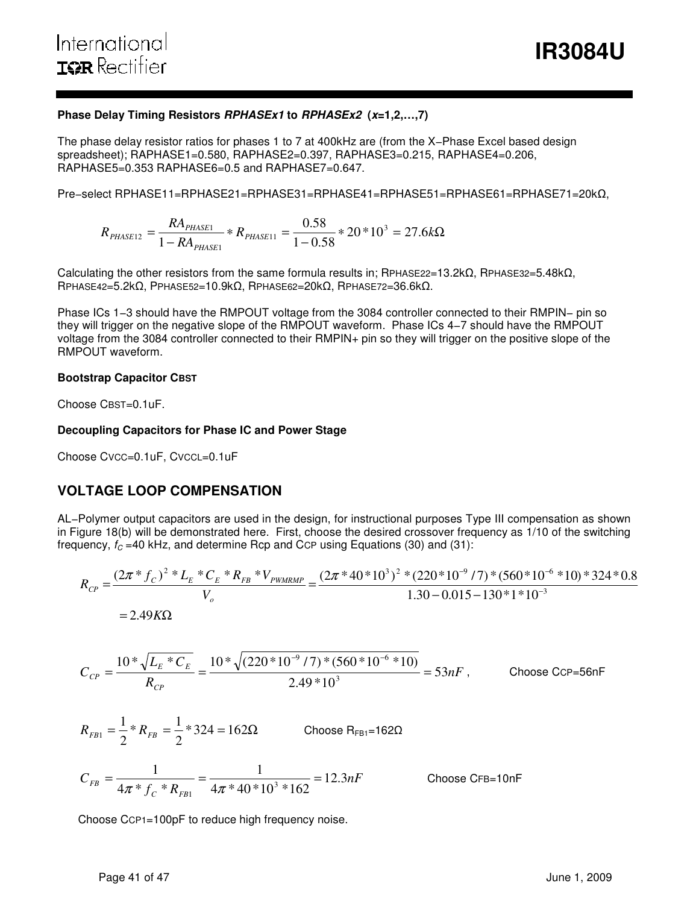# **Phase Delay Timing Resistors RPHASEx1 to RPHASEx2 (x=1,2,…,7)**

The phase delay resistor ratios for phases 1 to 7 at 400kHz are (from the X−Phase Excel based design spreadsheet); RAPHASE1=0.580, RAPHASE2=0.397, RAPHASE3=0.215, RAPHASE4=0.206, RAPHASE5=0.353 RAPHASE6=0.5 and RAPHASE7=0.647.

Pre−select RPHASE11=RPHASE21=RPHASE31=RPHASE41=RPHASE51=RPHASE61=RPHASE71=20kΩ,

 $* 20 * 10^3 = 27.6 kΩ$ − \*  $R_{PHASE11}$  = −  $=\frac{R_{\text{HASE1}}}{R_{\text{HASE1}}} * R_{\text{HASE1}} = \frac{0.00}{1.00} * 20 * 10^3 = 27.6 k$ *RA*  $R_{PHASE12} = \frac{RA_{PHASE1}}{1 - PA} * R_{PHASE}$ *PHASE*  $P_{HASE12} = \frac{P_{HASE1}}{1 - R_{PHASE1}} * R_{PHASE11} = \frac{0.36}{1 - 0.58} * 20 * 10^3 = 27.6$ 0.58 1 3 11 1  $\frac{12}{} = \frac{10 \text{ J} \mu_{\text{HASE1}}}{1 \text{ R A}}$ 

Calculating the other resistors from the same formula results in; RPHASE22=13.2k $\Omega$ , RPHASE32=5.48k $\Omega$ , RPHASE42=5.2kΩ, PPHASE52=10.9kΩ, RPHASE62=20kΩ, RPHASE72=36.6kΩ.

Phase ICs 1−3 should have the RMPOUT voltage from the 3084 controller connected to their RMPIN− pin so they will trigger on the negative slope of the RMPOUT waveform. Phase ICs 4−7 should have the RMPOUT voltage from the 3084 controller connected to their RMPIN+ pin so they will trigger on the positive slope of the RMPOUT waveform.

### **Bootstrap Capacitor CBST**

Choose CBST=0.1uF.

# **Decoupling Capacitors for Phase IC and Power Stage**

Choose CVCC=0.1uF, CVCCL=0.1uF

# **VOLTAGE LOOP COMPENSATION**

AL−Polymer output capacitors are used in the design, for instructional purposes Type III compensation as shown in Figure 18(b) will be demonstrated here. First, choose the desired crossover frequency as 1/10 of the switching frequency,  $f_C = 40$  kHz, and determine Rcp and CcP using Equations (30) and (31):

$$
R_{CP} = \frac{(2\pi * f_C)^2 * L_E * C_E * R_{FB} * V_{PWMRMP}}{V_o} = \frac{(2\pi * 40 * 10^3)^2 * (220 * 10^{-9} / 7) * (560 * 10^{-6} * 10) * 324 * 0.8}{1.30 - 0.015 - 130 * 1 * 10^{-3}}
$$
  
= 2.49KΩ

$$
C_{CP} = \frac{10 \times \sqrt{L_E \times C_E}}{R_{CP}} = \frac{10 \times \sqrt{(220 \times 10^{-9} / 7) \times (560 \times 10^{-6} \times 10)}}{2.49 \times 10^3} = 53nF,
$$
 Choose CCP=56nF

$$
R_{FB1} = \frac{1}{2} * R_{FB} = \frac{1}{2} * 324 = 162 \Omega
$$
 Choose  $R_{FB1} = 162 \Omega$   

$$
C_{FB} = \frac{1}{4\pi * f_c * R_{FB1}} = \frac{1}{4\pi * 40 * 10^3 * 162} = 12.3nF
$$
 Choose CFB=10nF

Choose CCP1=100pF to reduce high frequency noise.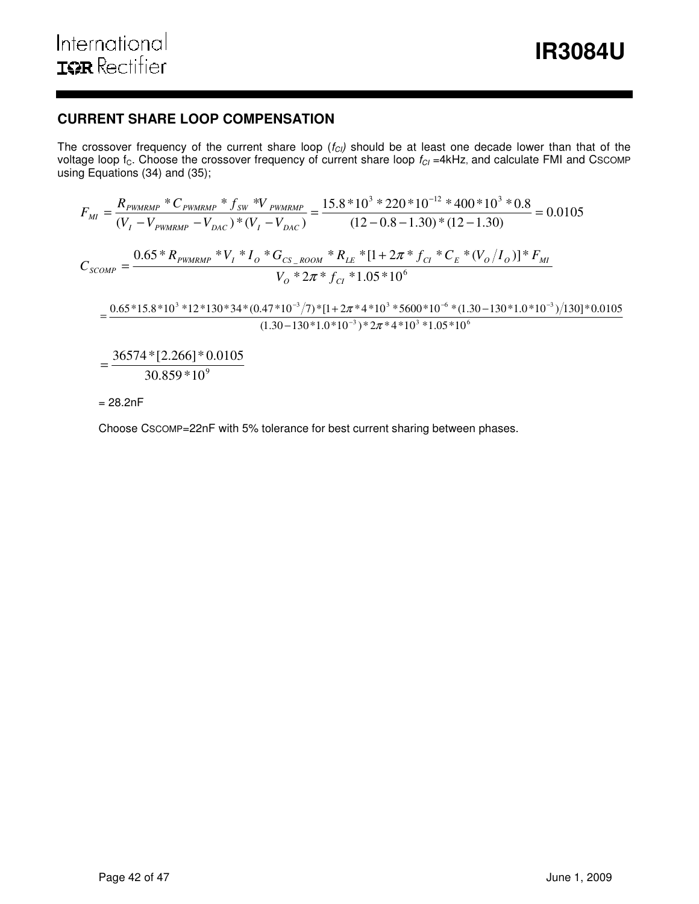# **CURRENT SHARE LOOP COMPENSATION**

The crossover frequency of the current share loop  $(f_{Cl})$  should be at least one decade lower than that of the voltage loop f $_{\rm C}$ . Choose the crossover frequency of current share loop  $f_{Cl}$  =4kHz, and calculate FMI and Cscomp using Equations (34) and (35);

$$
F_{MI} = \frac{R_{PWMRMP} * C_{PWMRMP} * f_{SW} * V_{PWMRMP}}{(V_I - V_{PMC}) * (V_I - V_{DAC})} = \frac{15.8 * 10^3 * 220 * 10^{-12} * 400 * 10^3 * 0.8}{(12 - 0.8 - 1.30) * (12 - 1.30)} = 0.0105
$$
  

$$
C_{SCOMP} = \frac{0.65 * R_{PWMRMP} * V_I * I_o * G_{CS\_ROOM} * R_{LE} * [1 + 2\pi * f_{CI} * C_E * (V_o/I_o)] * F_{MI}}{V_o * 2\pi * f_{CI} * 1.05 * 10^6}
$$
  

$$
= \frac{0.65 * 15.8 * 10^3 * 12 * 130 * 34 * (0.47 * 10^{-3} / 7) * [1 + 2\pi * 4 * 10^3 * 5600 * 10^{-6} * (1.30 - 130 * 1.0 * 10^{-3}) / 130] * 0.0105}{(1.30 - 130 * 1.0 * 10^{-3}) * 2\pi * 4 * 10^3 * 1.05 * 10^6}
$$
  

$$
= \frac{36574 * [2.266] * 0.0105}{30.859 * 10^9}
$$

 $= 28.2nF$ 

Choose CSCOMP=22nF with 5% tolerance for best current sharing between phases.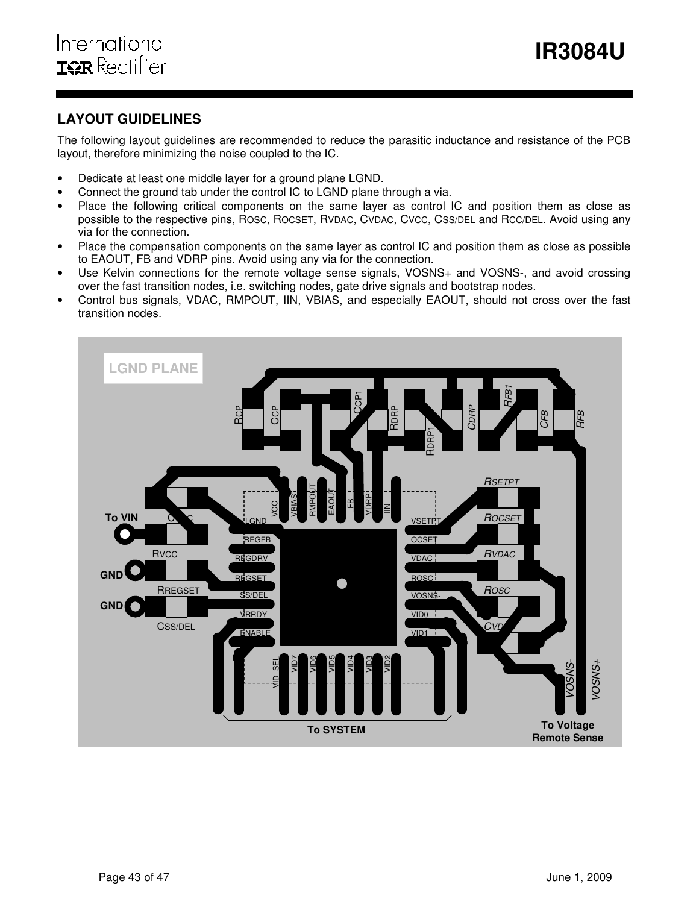# **LAYOUT GUIDELINES**

The following layout guidelines are recommended to reduce the parasitic inductance and resistance of the PCB layout, therefore minimizing the noise coupled to the IC.

- Dedicate at least one middle layer for a ground plane LGND.
- Connect the ground tab under the control IC to LGND plane through a via.
- Place the following critical components on the same layer as control IC and position them as close as possible to the respective pins, ROSC, ROCSET, RVDAC, CVDAC, CVCC, CSS/DEL and RCC/DEL. Avoid using any via for the connection.
- Place the compensation components on the same layer as control IC and position them as close as possible to EAOUT, FB and VDRP pins. Avoid using any via for the connection.
- Use Kelvin connections for the remote voltage sense signals, VOSNS+ and VOSNS-, and avoid crossing over the fast transition nodes, i.e. switching nodes, gate drive signals and bootstrap nodes.
- Control bus signals, VDAC, RMPOUT, IIN, VBIAS, and especially EAOUT, should not cross over the fast transition nodes.

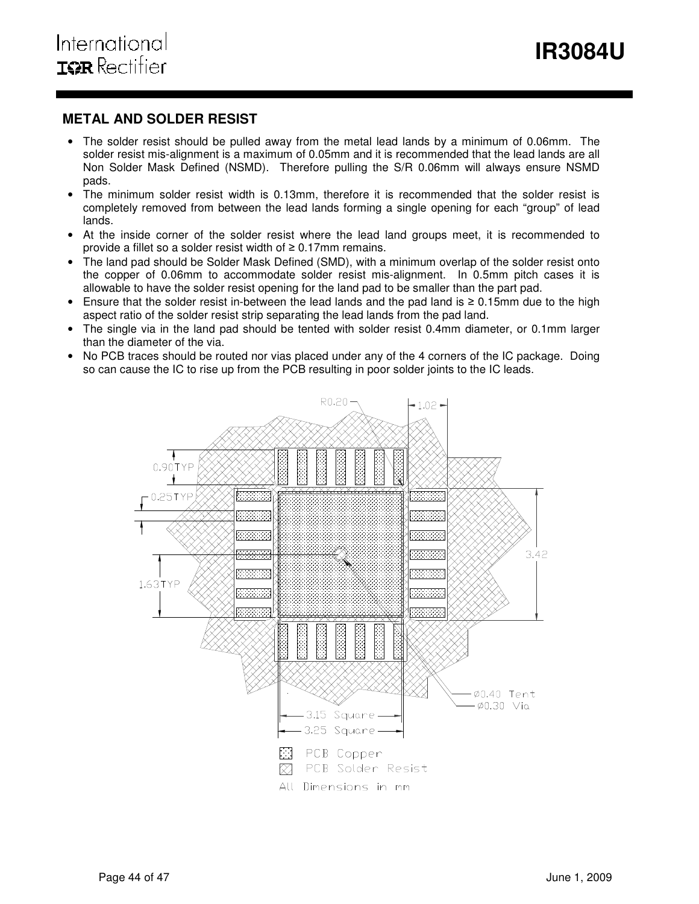# **METAL AND SOLDER RESIST**

- The solder resist should be pulled away from the metal lead lands by a minimum of 0.06mm. The solder resist mis-alignment is a maximum of 0.05mm and it is recommended that the lead lands are all Non Solder Mask Defined (NSMD). Therefore pulling the S/R 0.06mm will always ensure NSMD pads.
- The minimum solder resist width is 0.13mm, therefore it is recommended that the solder resist is completely removed from between the lead lands forming a single opening for each "group" of lead lands.
- At the inside corner of the solder resist where the lead land groups meet, it is recommended to provide a fillet so a solder resist width of  $\geq 0.17$ mm remains.
- The land pad should be Solder Mask Defined (SMD), with a minimum overlap of the solder resist onto the copper of 0.06mm to accommodate solder resist mis-alignment. In 0.5mm pitch cases it is allowable to have the solder resist opening for the land pad to be smaller than the part pad.
- Ensure that the solder resist in-between the lead lands and the pad land is ≥ 0.15mm due to the high aspect ratio of the solder resist strip separating the lead lands from the pad land.
- The single via in the land pad should be tented with solder resist 0.4mm diameter, or 0.1mm larger than the diameter of the via.
- No PCB traces should be routed nor vias placed under any of the 4 corners of the IC package. Doing so can cause the IC to rise up from the PCB resulting in poor solder joints to the IC leads.

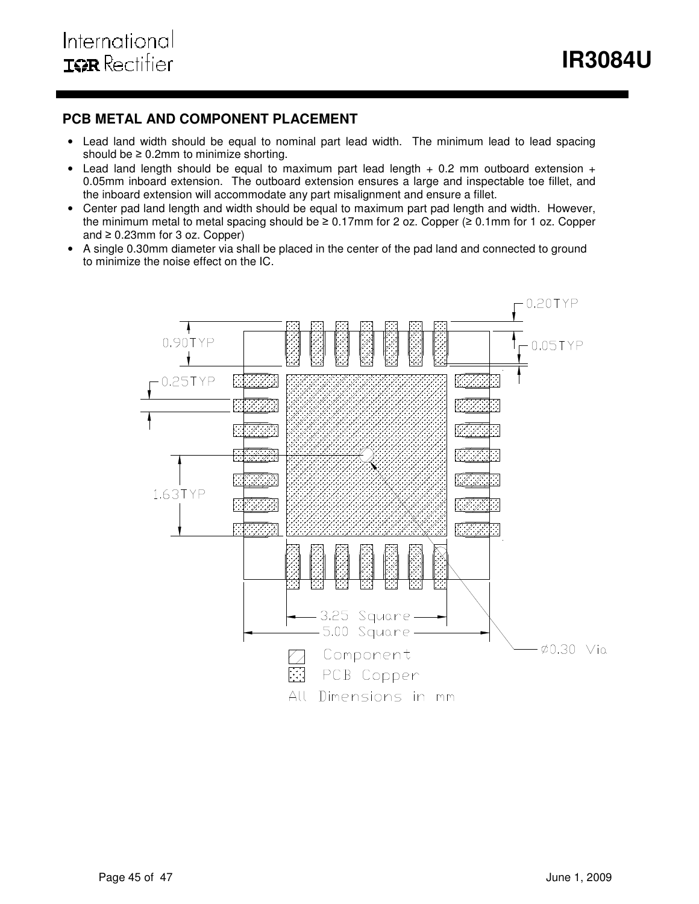**IR3084U** 

# **PCB METAL AND COMPONENT PLACEMENT**

- Lead land width should be equal to nominal part lead width. The minimum lead to lead spacing should be  $\geq 0.2$ mm to minimize shorting.
- Lead land length should be equal to maximum part lead length  $+$  0.2 mm outboard extension  $+$ 0.05mm inboard extension. The outboard extension ensures a large and inspectable toe fillet, and the inboard extension will accommodate any part misalignment and ensure a fillet.
- Center pad land length and width should be equal to maximum part pad length and width. However, the minimum metal to metal spacing should be ≥ 0.17mm for 2 oz. Copper (≥ 0.1mm for 1 oz. Copper and  $\geq 0.23$ mm for 3 oz. Copper)
- A single 0.30mm diameter via shall be placed in the center of the pad land and connected to ground to minimize the noise effect on the IC.

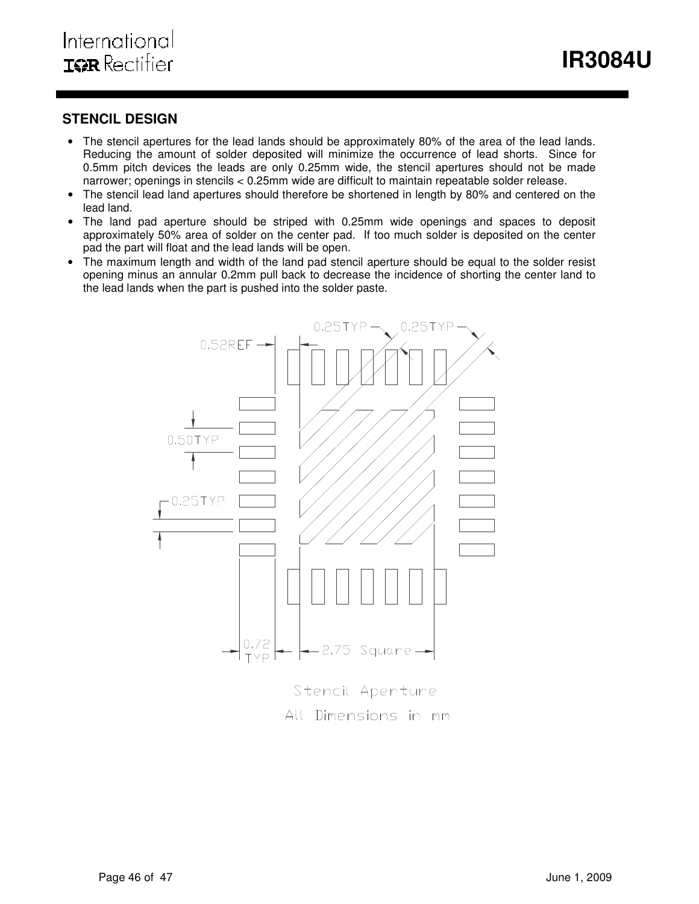**IR3084U** 

# **STENCIL DESIGN**

- The stencil apertures for the lead lands should be approximately 80% of the area of the lead lands. Reducing the amount of solder deposited will minimize the occurrence of lead shorts. Since for 0.5mm pitch devices the leads are only 0.25mm wide, the stencil apertures should not be made narrower; openings in stencils < 0.25mm wide are difficult to maintain repeatable solder release.
- The stencil lead land apertures should therefore be shortened in length by 80% and centered on the lead land.
- The land pad aperture should be striped with 0.25mm wide openings and spaces to deposit approximately 50% area of solder on the center pad. If too much solder is deposited on the center pad the part will float and the lead lands will be open.
- The maximum length and width of the land pad stencil aperture should be equal to the solder resist opening minus an annular 0.2mm pull back to decrease the incidence of shorting the center land to the lead lands when the part is pushed into the solder paste.